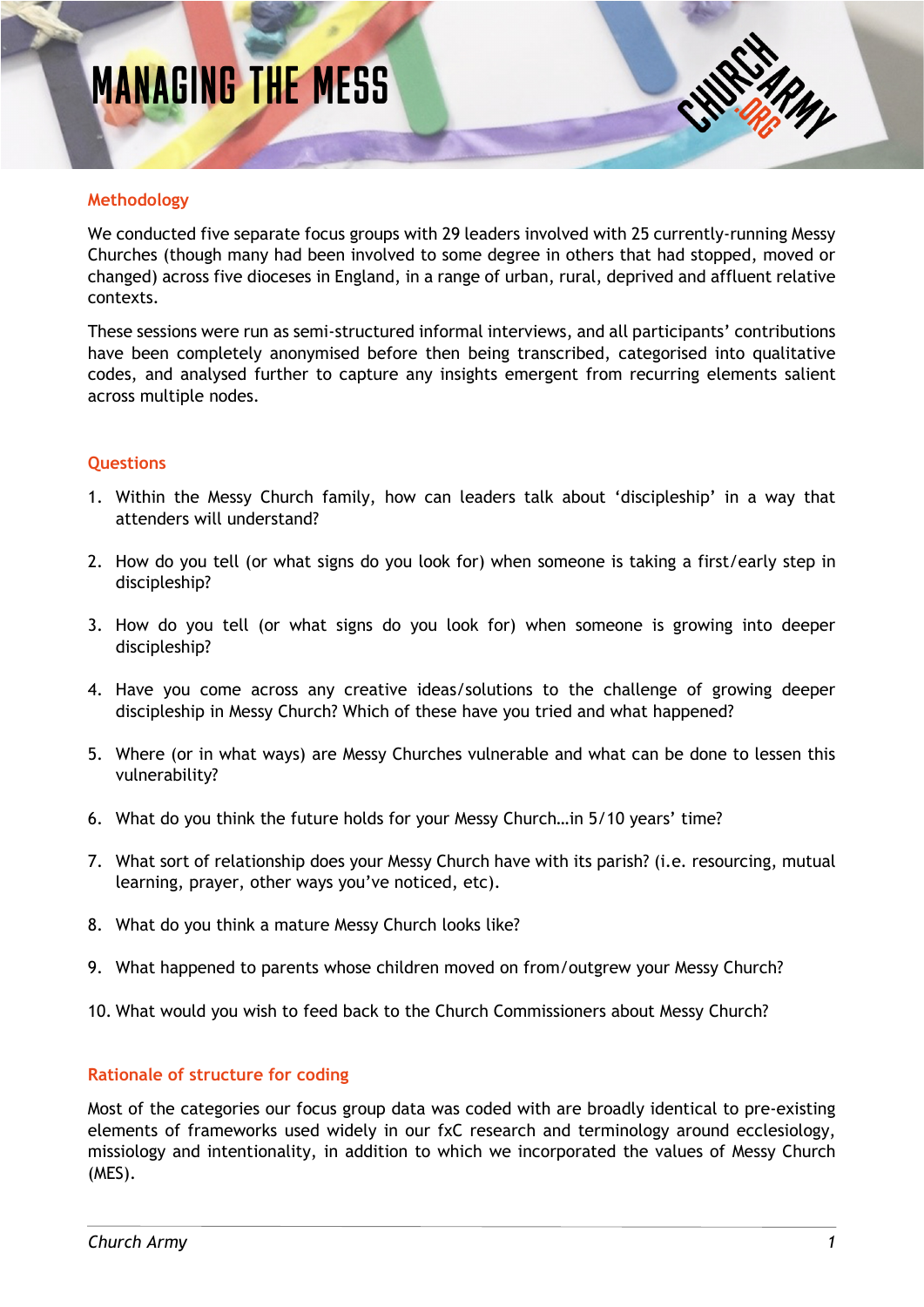# **MANAGING THE MESS**



#### **Methodology**

We conducted five separate focus groups with 29 leaders involved with 25 currently-running Messy Churches (though many had been involved to some degree in others that had stopped, moved or changed) across five dioceses in England, in a range of urban, rural, deprived and affluent relative contexts.

These sessions were run as semi-structured informal interviews, and all participants' contributions have been completely anonymised before then being transcribed, categorised into qualitative codes, and analysed further to capture any insights emergent from recurring elements salient across multiple nodes.

#### **Questions**

- 1. Within the Messy Church family, how can leaders talk about 'discipleship' in a way that attenders will understand?
- 2. How do you tell (or what signs do you look for) when someone is taking a first/early step in discipleship?
- 3. How do you tell (or what signs do you look for) when someone is growing into deeper discipleship?
- 4. Have you come across any creative ideas/solutions to the challenge of growing deeper discipleship in Messy Church? Which of these have you tried and what happened?
- 5. Where (or in what ways) are Messy Churches vulnerable and what can be done to lessen this vulnerability?
- 6. What do you think the future holds for your Messy Church…in 5/10 years' time?
- 7. What sort of relationship does your Messy Church have with its parish? (i.e. resourcing, mutual learning, prayer, other ways you've noticed, etc).
- 8. What do you think a mature Messy Church looks like?
- 9. What happened to parents whose children moved on from/outgrew your Messy Church?
- 10. What would you wish to feed back to the Church Commissioners about Messy Church?

#### **Rationale of structure for coding**

Most of the categories our focus group data was coded with are broadly identical to pre-existing elements of frameworks used widely in our fxC research and terminology around ecclesiology, missiology and intentionality, in addition to which we incorporated the values of Messy Church (MES).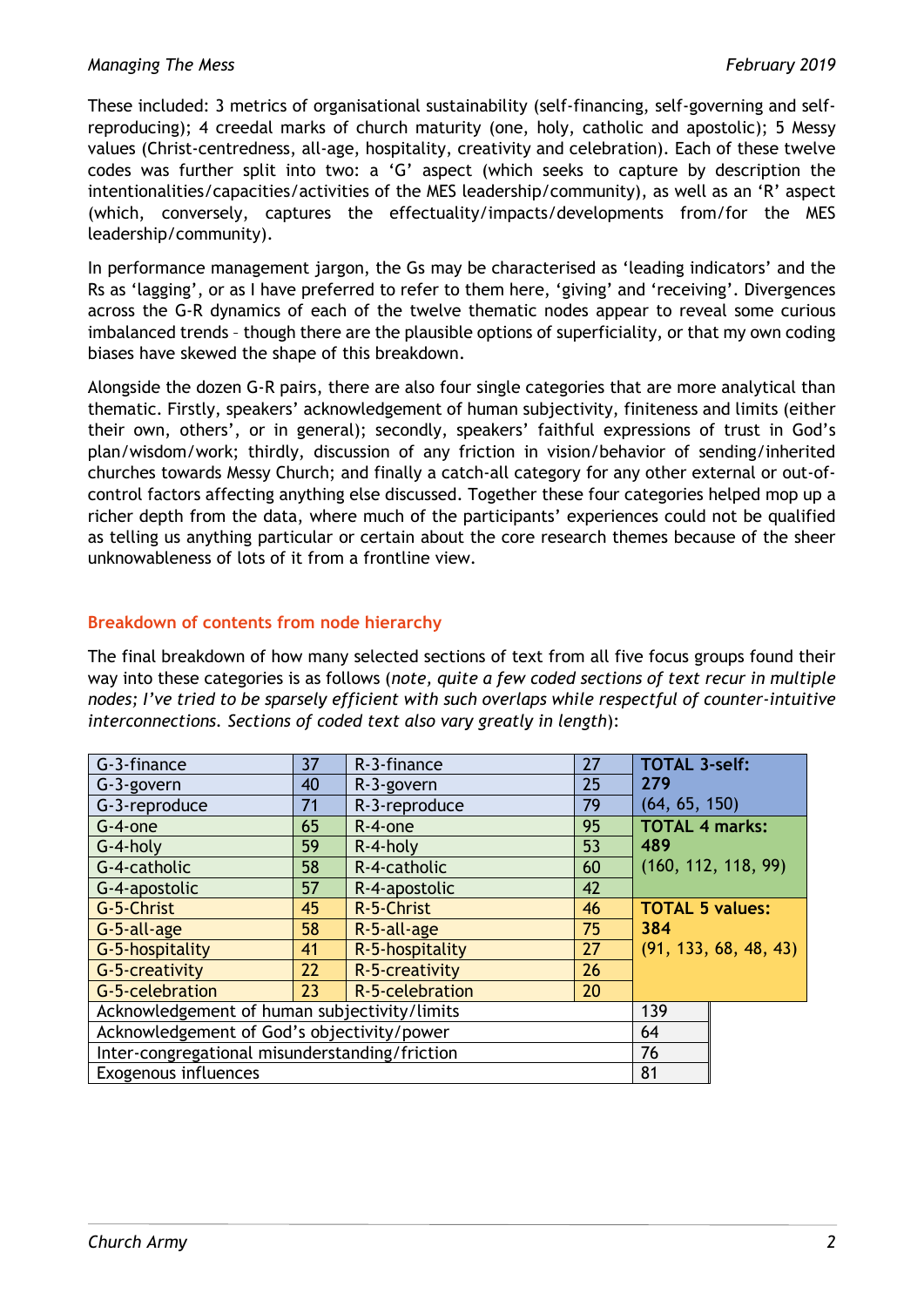These included: 3 metrics of organisational sustainability (self-financing, self-governing and selfreproducing); 4 creedal marks of church maturity (one, holy, catholic and apostolic); 5 Messy values (Christ-centredness, all-age, hospitality, creativity and celebration). Each of these twelve codes was further split into two: a 'G' aspect (which seeks to capture by description the intentionalities/capacities/activities of the MES leadership/community), as well as an 'R' aspect (which, conversely, captures the effectuality/impacts/developments from/for the MES leadership/community).

In performance management jargon, the Gs may be characterised as 'leading indicators' and the Rs as 'lagging', or as I have preferred to refer to them here, 'giving' and 'receiving'. Divergences across the G-R dynamics of each of the twelve thematic nodes appear to reveal some curious imbalanced trends – though there are the plausible options of superficiality, or that my own coding biases have skewed the shape of this breakdown.

Alongside the dozen G-R pairs, there are also four single categories that are more analytical than thematic. Firstly, speakers' acknowledgement of human subjectivity, finiteness and limits (either their own, others', or in general); secondly, speakers' faithful expressions of trust in God's plan/wisdom/work; thirdly, discussion of any friction in vision/behavior of sending/inherited churches towards Messy Church; and finally a catch-all category for any other external or out-ofcontrol factors affecting anything else discussed. Together these four categories helped mop up a richer depth from the data, where much of the participants' experiences could not be qualified as telling us anything particular or certain about the core research themes because of the sheer unknowableness of lots of it from a frontline view.

#### **Breakdown of contents from node hierarchy**

The final breakdown of how many selected sections of text from all five focus groups found their way into these categories is as follows (*note, quite a few coded sections of text recur in multiple nodes; I've tried to be sparsely efficient with such overlaps while respectful of counter-intuitive interconnections. Sections of coded text also vary greatly in length*):

| G-3-finance                                    | 37 | R-3-finance     | 27 | <b>TOTAL 3-self:</b>   |                       |
|------------------------------------------------|----|-----------------|----|------------------------|-----------------------|
| G-3-govern                                     | 40 | R-3-govern      | 25 | 279                    |                       |
| G-3-reproduce                                  | 71 | R-3-reproduce   | 79 | (64, 65, 150)          |                       |
| $G-4$ -one                                     | 65 | R-4-one         | 95 | <b>TOTAL 4 marks:</b>  |                       |
| $G-4-holy$                                     | 59 | $R-4-holy$      | 53 | 489                    |                       |
| G-4-catholic                                   | 58 | R-4-catholic    | 60 |                        | (160, 112, 118, 99)   |
| G-4-apostolic                                  | 57 | R-4-apostolic   | 42 |                        |                       |
| G-5-Christ                                     | 45 | R-5-Christ      | 46 | <b>TOTAL 5 values:</b> |                       |
| G-5-all-age                                    | 58 | R-5-all-age     | 75 | 384                    |                       |
| G-5-hospitality                                | 41 | R-5-hospitality | 27 |                        | (91, 133, 68, 48, 43) |
| G-5-creativity                                 | 22 | R-5-creativity  | 26 |                        |                       |
| G-5-celebration                                | 23 | R-5-celebration | 20 |                        |                       |
| Acknowledgement of human subjectivity/limits   |    |                 |    | 139                    |                       |
| Acknowledgement of God's objectivity/power     |    |                 |    | 64                     |                       |
| Inter-congregational misunderstanding/friction |    |                 |    | 76                     |                       |
| <b>Exogenous influences</b>                    |    |                 |    | 81                     |                       |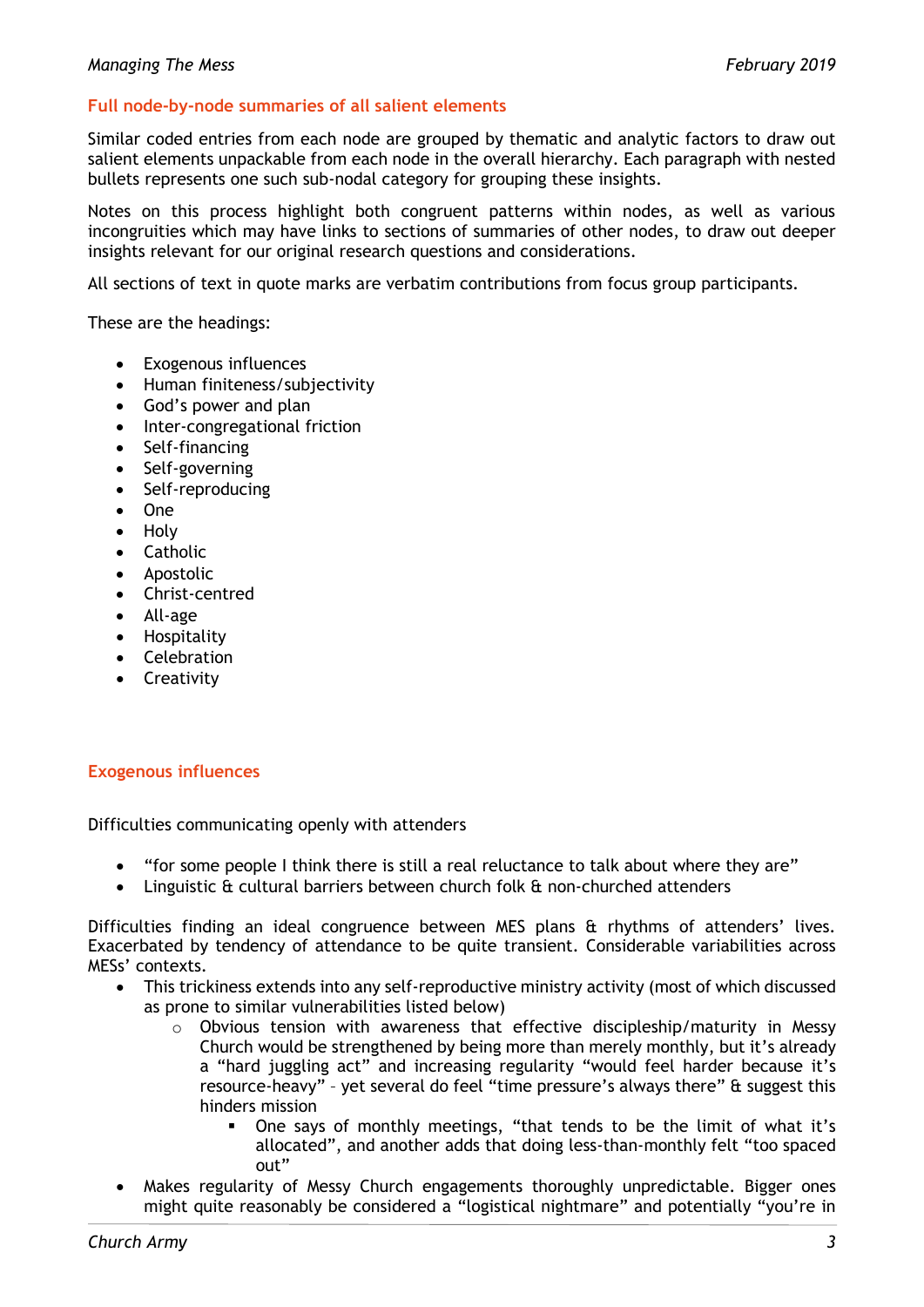#### **Full node-by-node summaries of all salient elements**

Similar coded entries from each node are grouped by thematic and analytic factors to draw out salient elements unpackable from each node in the overall hierarchy. Each paragraph with nested bullets represents one such sub-nodal category for grouping these insights.

Notes on this process highlight both congruent patterns within nodes, as well as various incongruities which may have links to sections of summaries of other nodes, to draw out deeper insights relevant for our original research questions and considerations.

All sections of text in quote marks are verbatim contributions from focus group participants.

These are the headings:

- Exogenous influences
- Human finiteness/subjectivity
- God's power and plan
- Inter-congregational friction
- Self-financing
- Self-governing
- Self-reproducing
- One
- Holy
- Catholic
- Apostolic
- Christ-centred
- All-age
- Hospitality
- Celebration
- Creativity

#### **Exogenous influences**

Difficulties communicating openly with attenders

- "for some people I think there is still a real reluctance to talk about where they are"
- Linguistic & cultural barriers between church folk & non-churched attenders

Difficulties finding an ideal congruence between MES plans & rhythms of attenders' lives. Exacerbated by tendency of attendance to be quite transient. Considerable variabilities across MESs' contexts.

- This trickiness extends into any self-reproductive ministry activity (most of which discussed as prone to similar vulnerabilities listed below)
	- o Obvious tension with awareness that effective discipleship/maturity in Messy Church would be strengthened by being more than merely monthly, but it's already a "hard juggling act" and increasing regularity "would feel harder because it's resource-heavy" – yet several do feel "time pressure's always there" & suggest this hinders mission
		- One says of monthly meetings, "that tends to be the limit of what it's allocated", and another adds that doing less-than-monthly felt "too spaced out"
- Makes regularity of Messy Church engagements thoroughly unpredictable. Bigger ones might quite reasonably be considered a "logistical nightmare" and potentially "you're in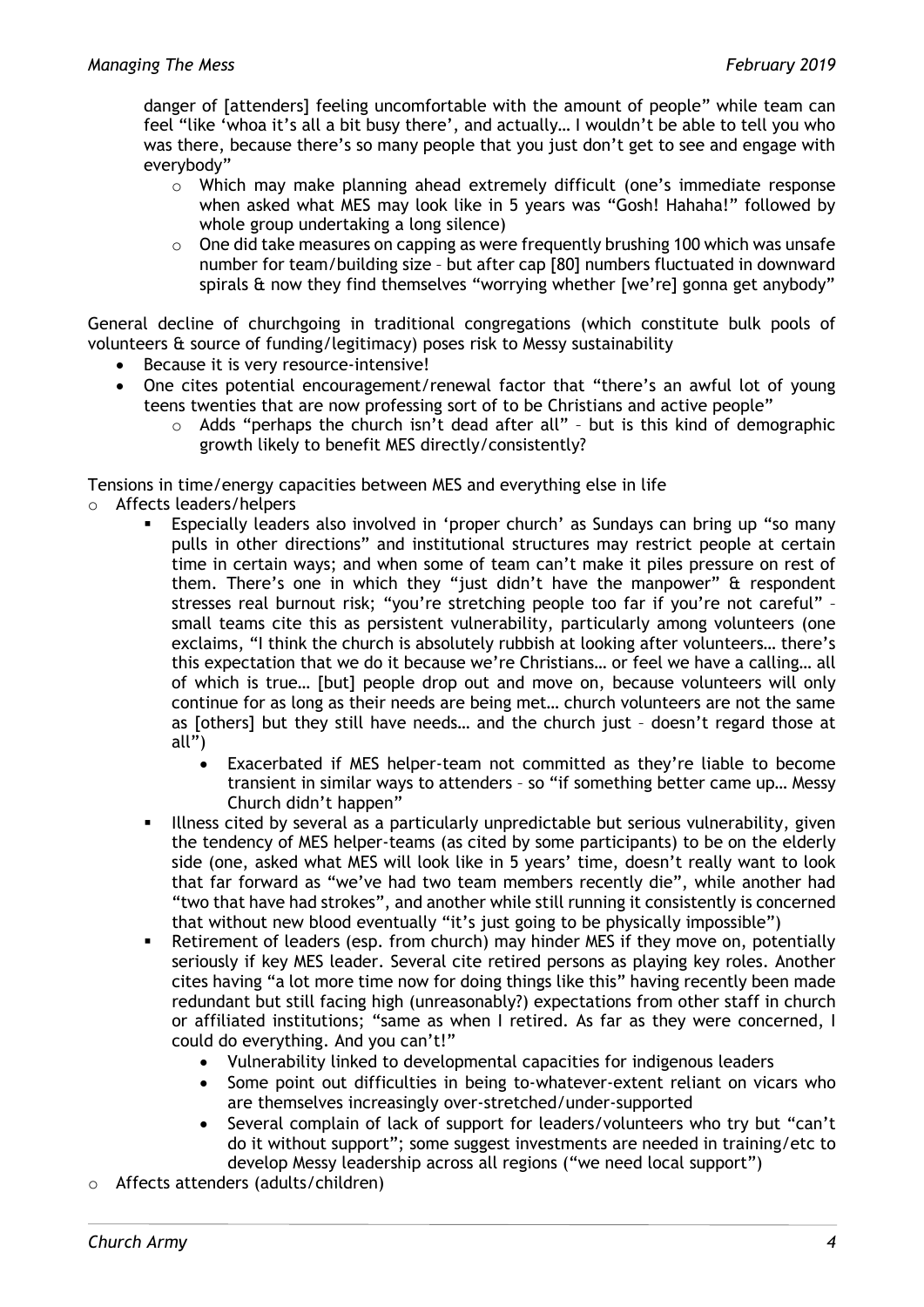danger of [attenders] feeling uncomfortable with the amount of people" while team can feel "like 'whoa it's all a bit busy there', and actually… I wouldn't be able to tell you who was there, because there's so many people that you just don't get to see and engage with everybody"

- $\circ$  Which may make planning ahead extremely difficult (one's immediate response when asked what MES may look like in 5 years was "Gosh! Hahaha!" followed by whole group undertaking a long silence)
- $\circ$  One did take measures on capping as were frequently brushing 100 which was unsafe number for team/building size – but after cap [80] numbers fluctuated in downward spirals & now they find themselves "worrying whether [we're] gonna get anybody"

General decline of churchgoing in traditional congregations (which constitute bulk pools of volunteers & source of funding/legitimacy) poses risk to Messy sustainability

- Because it is very resource-intensive!
- One cites potential encouragement/renewal factor that "there's an awful lot of young teens twenties that are now professing sort of to be Christians and active people"
	- o Adds "perhaps the church isn't dead after all" but is this kind of demographic growth likely to benefit MES directly/consistently?

Tensions in time/energy capacities between MES and everything else in life

- o Affects leaders/helpers
	- Especially leaders also involved in 'proper church' as Sundays can bring up "so many pulls in other directions" and institutional structures may restrict people at certain time in certain ways; and when some of team can't make it piles pressure on rest of them. There's one in which they "just didn't have the manpower" & respondent stresses real burnout risk; "you're stretching people too far if you're not careful" – small teams cite this as persistent vulnerability, particularly among volunteers (one exclaims, "I think the church is absolutely rubbish at looking after volunteers… there's this expectation that we do it because we're Christians… or feel we have a calling… all of which is true… [but] people drop out and move on, because volunteers will only continue for as long as their needs are being met… church volunteers are not the same as [others] but they still have needs… and the church just – doesn't regard those at all $\overline{v}$ )
		- Exacerbated if MES helper-team not committed as they're liable to become transient in similar ways to attenders – so "if something better came up… Messy Church didn't happen"
	- Illness cited by several as a particularly unpredictable but serious vulnerability, given the tendency of MES helper-teams (as cited by some participants) to be on the elderly side (one, asked what MES will look like in 5 years' time, doesn't really want to look that far forward as "we've had two team members recently die", while another had "two that have had strokes", and another while still running it consistently is concerned that without new blood eventually "it's just going to be physically impossible")
	- Retirement of leaders (esp. from church) may hinder MES if they move on, potentially seriously if key MES leader. Several cite retired persons as playing key roles. Another cites having "a lot more time now for doing things like this" having recently been made redundant but still facing high (unreasonably?) expectations from other staff in church or affiliated institutions; "same as when I retired. As far as they were concerned, I could do everything. And you can't!"
		- Vulnerability linked to developmental capacities for indigenous leaders
		- Some point out difficulties in being to-whatever-extent reliant on vicars who are themselves increasingly over-stretched/under-supported
		- Several complain of lack of support for leaders/volunteers who try but "can't do it without support"; some suggest investments are needed in training/etc to develop Messy leadership across all regions ("we need local support")
- o Affects attenders (adults/children)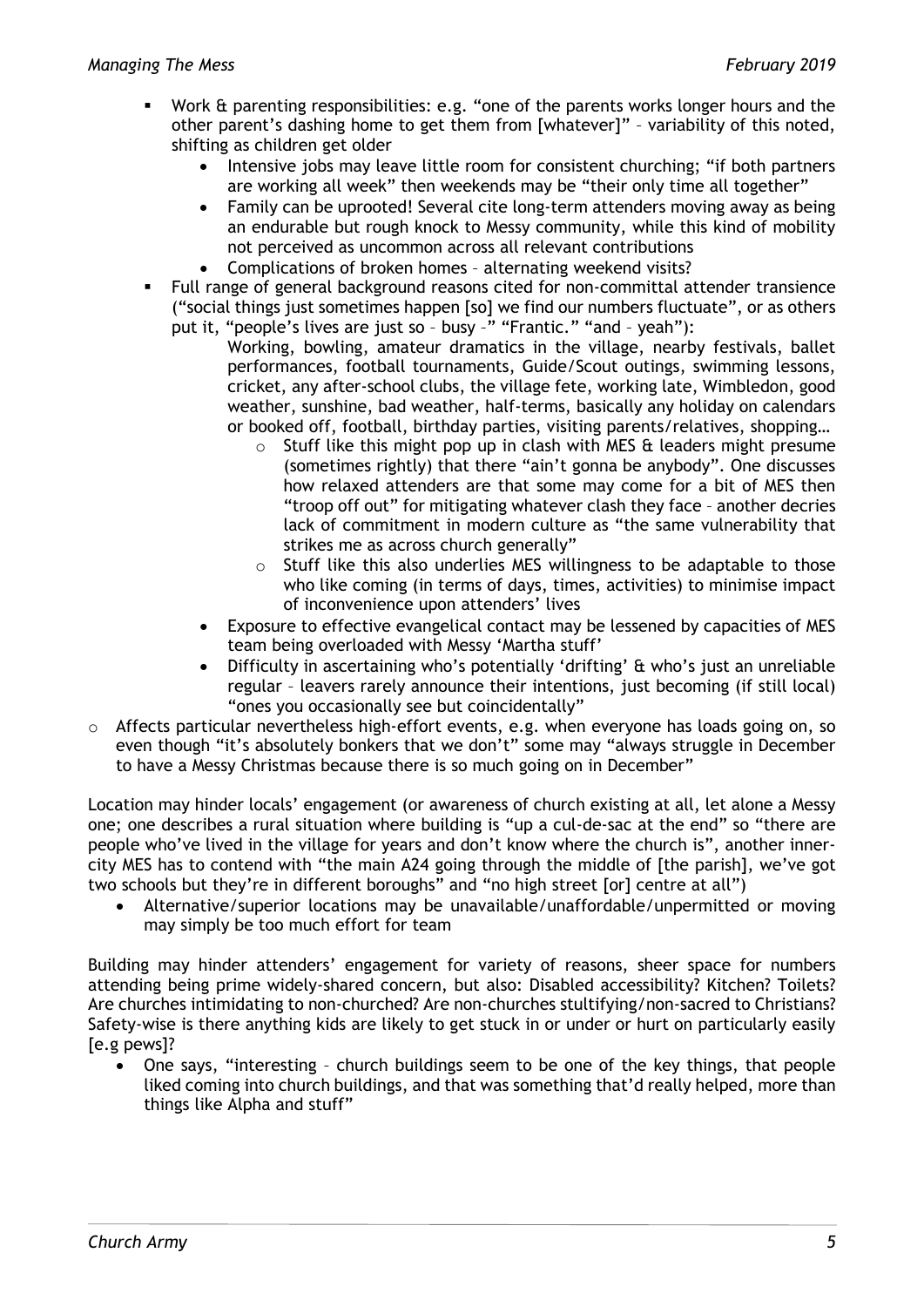- Work & parenting responsibilities: e.g. "one of the parents works longer hours and the other parent's dashing home to get them from [whatever]" – variability of this noted, shifting as children get older
	- Intensive jobs may leave little room for consistent churching; "if both partners are working all week" then weekends may be "their only time all together"
	- Family can be uprooted! Several cite long-term attenders moving away as being an endurable but rough knock to Messy community, while this kind of mobility not perceived as uncommon across all relevant contributions
	- Complications of broken homes alternating weekend visits?
- Full range of general background reasons cited for non-committal attender transience ("social things just sometimes happen [so] we find our numbers fluctuate", or as others put it, "people's lives are just so – busy –" "Frantic." "and – yeah"):
	- Working, bowling, amateur dramatics in the village, nearby festivals, ballet performances, football tournaments, Guide/Scout outings, swimming lessons, cricket, any after-school clubs, the village fete, working late, Wimbledon, good weather, sunshine, bad weather, half-terms, basically any holiday on calendars or booked off, football, birthday parties, visiting parents/relatives, shopping…
		- $\circ$  Stuff like this might pop up in clash with MES  $\hat{\alpha}$  leaders might presume (sometimes rightly) that there "ain't gonna be anybody". One discusses how relaxed attenders are that some may come for a bit of MES then "troop off out" for mitigating whatever clash they face – another decries lack of commitment in modern culture as "the same vulnerability that strikes me as across church generally"
		- $\circ$  Stuff like this also underlies MES willingness to be adaptable to those who like coming (in terms of days, times, activities) to minimise impact of inconvenience upon attenders' lives
	- Exposure to effective evangelical contact may be lessened by capacities of MES team being overloaded with Messy 'Martha stuff'
	- Difficulty in ascertaining who's potentially 'drifting' & who's just an unreliable regular – leavers rarely announce their intentions, just becoming (if still local) "ones you occasionally see but coincidentally"
- o Affects particular nevertheless high-effort events, e.g. when everyone has loads going on, so even though "it's absolutely bonkers that we don't" some may "always struggle in December to have a Messy Christmas because there is so much going on in December"

Location may hinder locals' engagement (or awareness of church existing at all, let alone a Messy one; one describes a rural situation where building is "up a cul-de-sac at the end" so "there are people who've lived in the village for years and don't know where the church is", another innercity MES has to contend with "the main A24 going through the middle of [the parish], we've got two schools but they're in different boroughs" and "no high street [or] centre at all")

• Alternative/superior locations may be unavailable/unaffordable/unpermitted or moving may simply be too much effort for team

Building may hinder attenders' engagement for variety of reasons, sheer space for numbers attending being prime widely-shared concern, but also: Disabled accessibility? Kitchen? Toilets? Are churches intimidating to non-churched? Are non-churches stultifying/non-sacred to Christians? Safety-wise is there anything kids are likely to get stuck in or under or hurt on particularly easily [e.g pews]?

• One says, "interesting – church buildings seem to be one of the key things, that people liked coming into church buildings, and that was something that'd really helped, more than things like Alpha and stuff"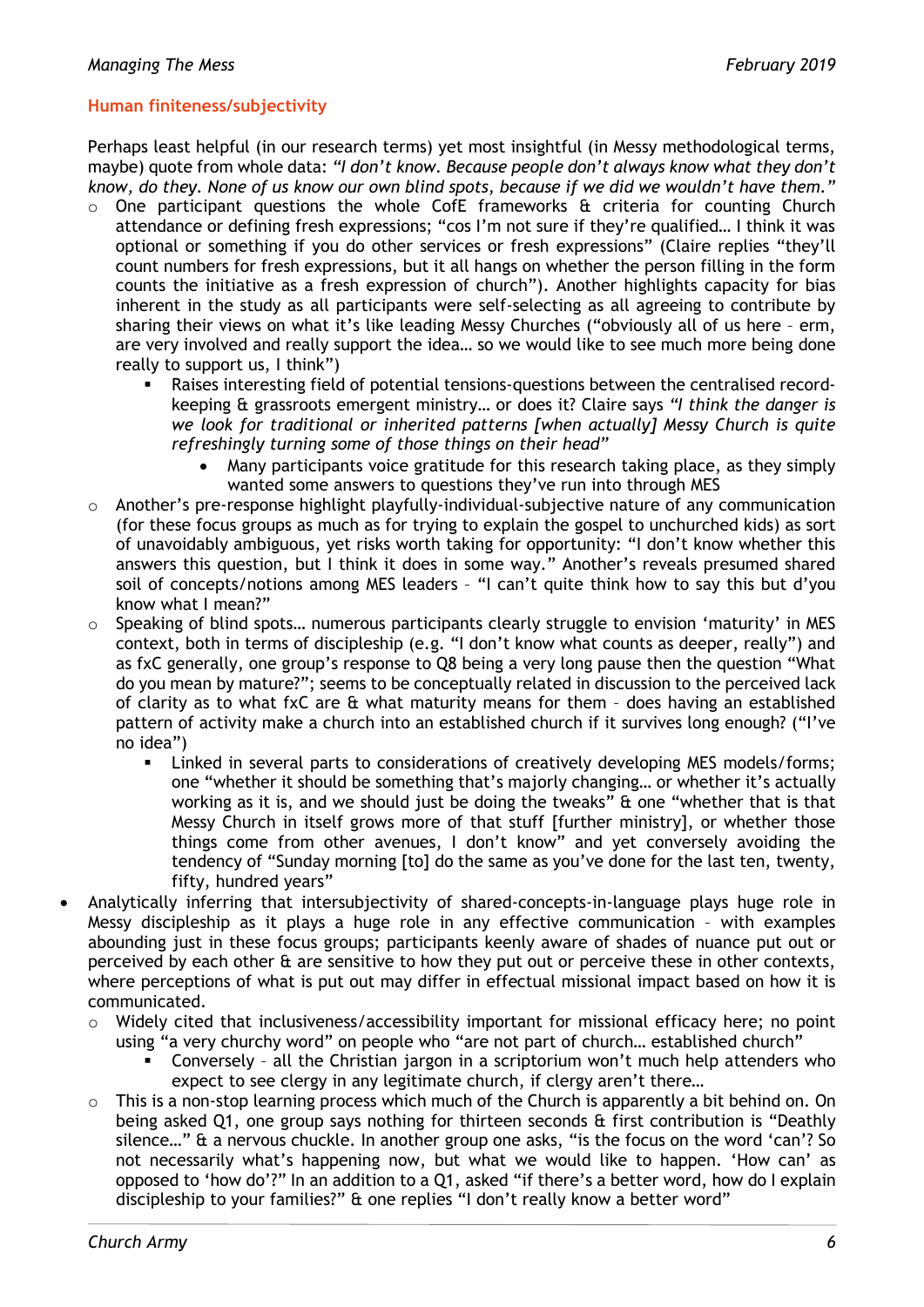#### **Human finiteness/subjectivity**

Perhaps least helpful (in our research terms) yet most insightful (in Messy methodological terms, maybe) quote from whole data: *"I don't know. Because people don't always know what they don't know, do they. None of us know our own blind spots, because if we did we wouldn't have them."*

- o One participant questions the whole CofE frameworks & criteria for counting Church attendance or defining fresh expressions; "cos I'm not sure if they're qualified… I think it was optional or something if you do other services or fresh expressions" (Claire replies "they'll count numbers for fresh expressions, but it all hangs on whether the person filling in the form counts the initiative as a fresh expression of church"). Another highlights capacity for bias inherent in the study as all participants were self-selecting as all agreeing to contribute by sharing their views on what it's like leading Messy Churches ("obviously all of us here – erm, are very involved and really support the idea… so we would like to see much more being done really to support us, I think")
	- Raises interesting field of potential tensions-questions between the centralised recordkeeping & grassroots emergent ministry… or does it? Claire says *"I think the danger is we look for traditional or inherited patterns [when actually] Messy Church is quite refreshingly turning some of those things on their head"*
		- Many participants voice gratitude for this research taking place, as they simply wanted some answers to questions they've run into through MES
- Another's pre-response highlight playfully-individual-subjective nature of any communication (for these focus groups as much as for trying to explain the gospel to unchurched kids) as sort of unavoidably ambiguous, yet risks worth taking for opportunity: "I don't know whether this answers this question, but I think it does in some way." Another's reveals presumed shared soil of concepts/notions among MES leaders – "I can't quite think how to say this but d'you know what I mean?"
- Speaking of blind spots... numerous participants clearly struggle to envision 'maturity' in MES context, both in terms of discipleship (e.g. "I don't know what counts as deeper, really") and as fxC generally, one group's response to Q8 being a very long pause then the question "What do you mean by mature?"; seems to be conceptually related in discussion to the perceived lack of clarity as to what fxC are & what maturity means for them – does having an established pattern of activity make a church into an established church if it survives long enough? ("I've no idea")
	- Linked in several parts to considerations of creatively developing MES models/forms; one "whether it should be something that's majorly changing… or whether it's actually working as it is, and we should just be doing the tweaks" & one "whether that is that Messy Church in itself grows more of that stuff [further ministry], or whether those things come from other avenues, I don't know" and yet conversely avoiding the tendency of "Sunday morning [to] do the same as you've done for the last ten, twenty, fifty, hundred years"
- Analytically inferring that intersubjectivity of shared-concepts-in-language plays huge role in Messy discipleship as it plays a huge role in any effective communication – with examples abounding just in these focus groups; participants keenly aware of shades of nuance put out or perceived by each other & are sensitive to how they put out or perceive these in other contexts, where perceptions of what is put out may differ in effectual missional impact based on how it is communicated.
	- o Widely cited that inclusiveness/accessibility important for missional efficacy here; no point using "a very churchy word" on people who "are not part of church… established church"
		- Conversely all the Christian jargon in a scriptorium won't much help attenders who expect to see clergy in any legitimate church, if clergy aren't there…
	- This is a non-stop learning process which much of the Church is apparently a bit behind on. On being asked Q1, one group says nothing for thirteen seconds & first contribution is "Deathly silence..." & a nervous chuckle. In another group one asks, "is the focus on the word 'can'? So not necessarily what's happening now, but what we would like to happen. 'How can' as opposed to 'how do'?" In an addition to a Q1, asked "if there's a better word, how do I explain discipleship to your families?" & one replies "I don't really know a better word"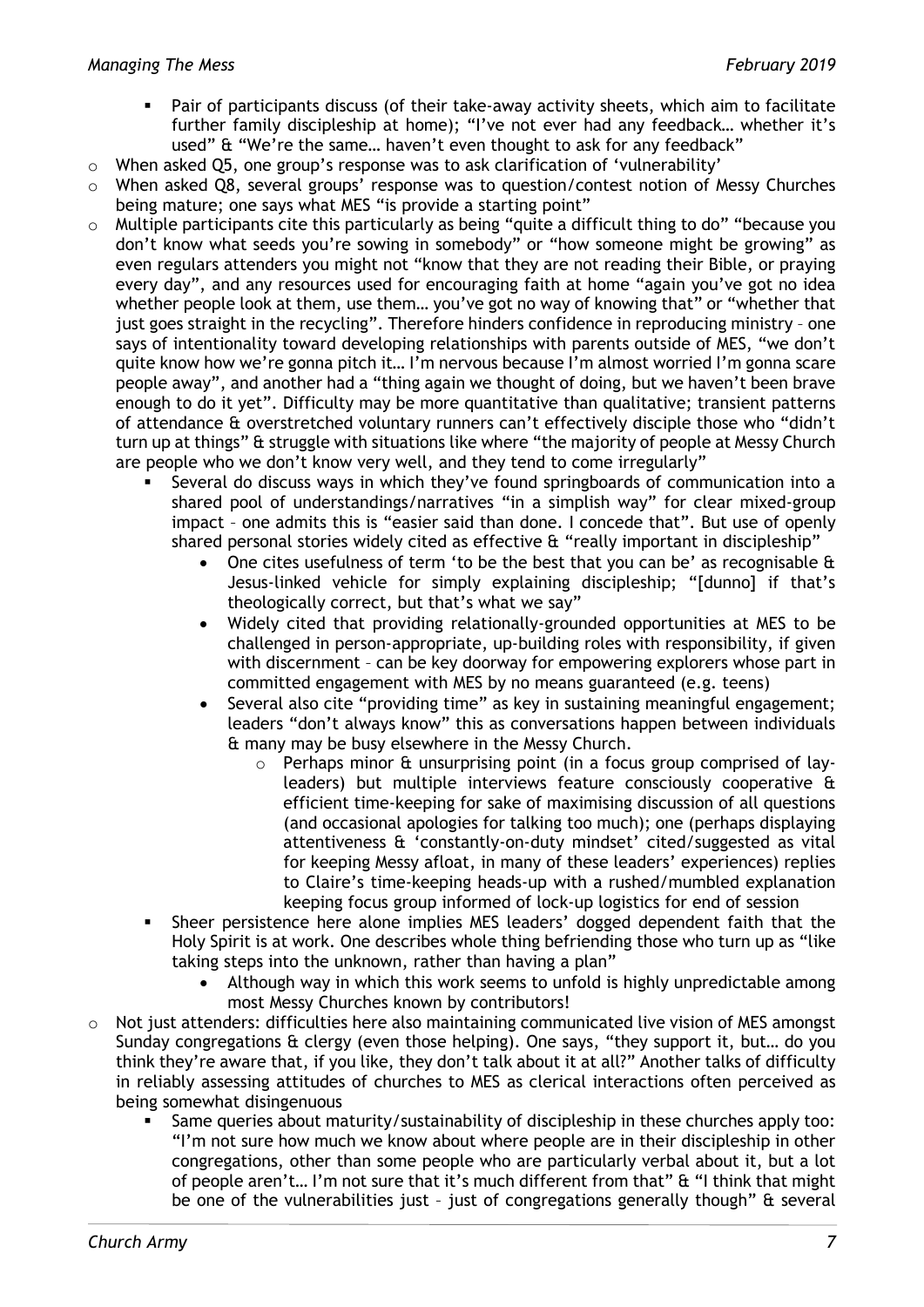- Pair of participants discuss (of their take-away activity sheets, which aim to facilitate further family discipleship at home); "I've not ever had any feedback… whether it's used" & "We're the same… haven't even thought to ask for any feedback"
- $\circ$  When asked O5, one group's response was to ask clarification of 'vulnerability'
- $\circ$  When asked Q8, several groups' response was to question/contest notion of Messy Churches being mature; one says what MES "is provide a starting point"
- o Multiple participants cite this particularly as being "quite a difficult thing to do" "because you don't know what seeds you're sowing in somebody" or "how someone might be growing" as even regulars attenders you might not "know that they are not reading their Bible, or praying every day", and any resources used for encouraging faith at home "again you've got no idea whether people look at them, use them… you've got no way of knowing that" or "whether that just goes straight in the recycling". Therefore hinders confidence in reproducing ministry – one says of intentionality toward developing relationships with parents outside of MES, "we don't quite know how we're gonna pitch it… I'm nervous because I'm almost worried I'm gonna scare people away", and another had a "thing again we thought of doing, but we haven't been brave enough to do it yet". Difficulty may be more quantitative than qualitative; transient patterns of attendance & overstretched voluntary runners can't effectively disciple those who "didn't turn up at things" & struggle with situations like where "the majority of people at Messy Church are people who we don't know very well, and they tend to come irregularly"
	- Several do discuss ways in which they've found springboards of communication into a shared pool of understandings/narratives "in a simplish way" for clear mixed-group impact – one admits this is "easier said than done. I concede that". But use of openly shared personal stories widely cited as effective & "really important in discipleship"
		- One cites usefulness of term 'to be the best that you can be' as recognisable & Jesus-linked vehicle for simply explaining discipleship; "[dunno] if that's theologically correct, but that's what we say"
		- Widely cited that providing relationally-grounded opportunities at MES to be challenged in person-appropriate, up-building roles with responsibility, if given with discernment – can be key doorway for empowering explorers whose part in committed engagement with MES by no means guaranteed (e.g. teens)
		- Several also cite "providing time" as key in sustaining meaningful engagement; leaders "don't always know" this as conversations happen between individuals & many may be busy elsewhere in the Messy Church.
			- Perhaps minor & unsurprising point (in a focus group comprised of layleaders) but multiple interviews feature consciously cooperative & efficient time-keeping for sake of maximising discussion of all questions (and occasional apologies for talking too much); one (perhaps displaying attentiveness & 'constantly-on-duty mindset' cited/suggested as vital for keeping Messy afloat, in many of these leaders' experiences) replies to Claire's time-keeping heads-up with a rushed/mumbled explanation keeping focus group informed of lock-up logistics for end of session
	- Sheer persistence here alone implies MES leaders' dogged dependent faith that the Holy Spirit is at work. One describes whole thing befriending those who turn up as "like taking steps into the unknown, rather than having a plan"
		- Although way in which this work seems to unfold is highly unpredictable among most Messy Churches known by contributors!
- $\circ$  Not just attenders: difficulties here also maintaining communicated live vision of MES amongst Sunday congregations & clergy (even those helping). One says, "they support it, but… do you think they're aware that, if you like, they don't talk about it at all?" Another talks of difficulty in reliably assessing attitudes of churches to MES as clerical interactions often perceived as being somewhat disingenuous
	- Same queries about maturity/sustainability of discipleship in these churches apply too: "I'm not sure how much we know about where people are in their discipleship in other congregations, other than some people who are particularly verbal about it, but a lot of people aren't… I'm not sure that it's much different from that" & "I think that might be one of the vulnerabilities just – just of congregations generally though" & several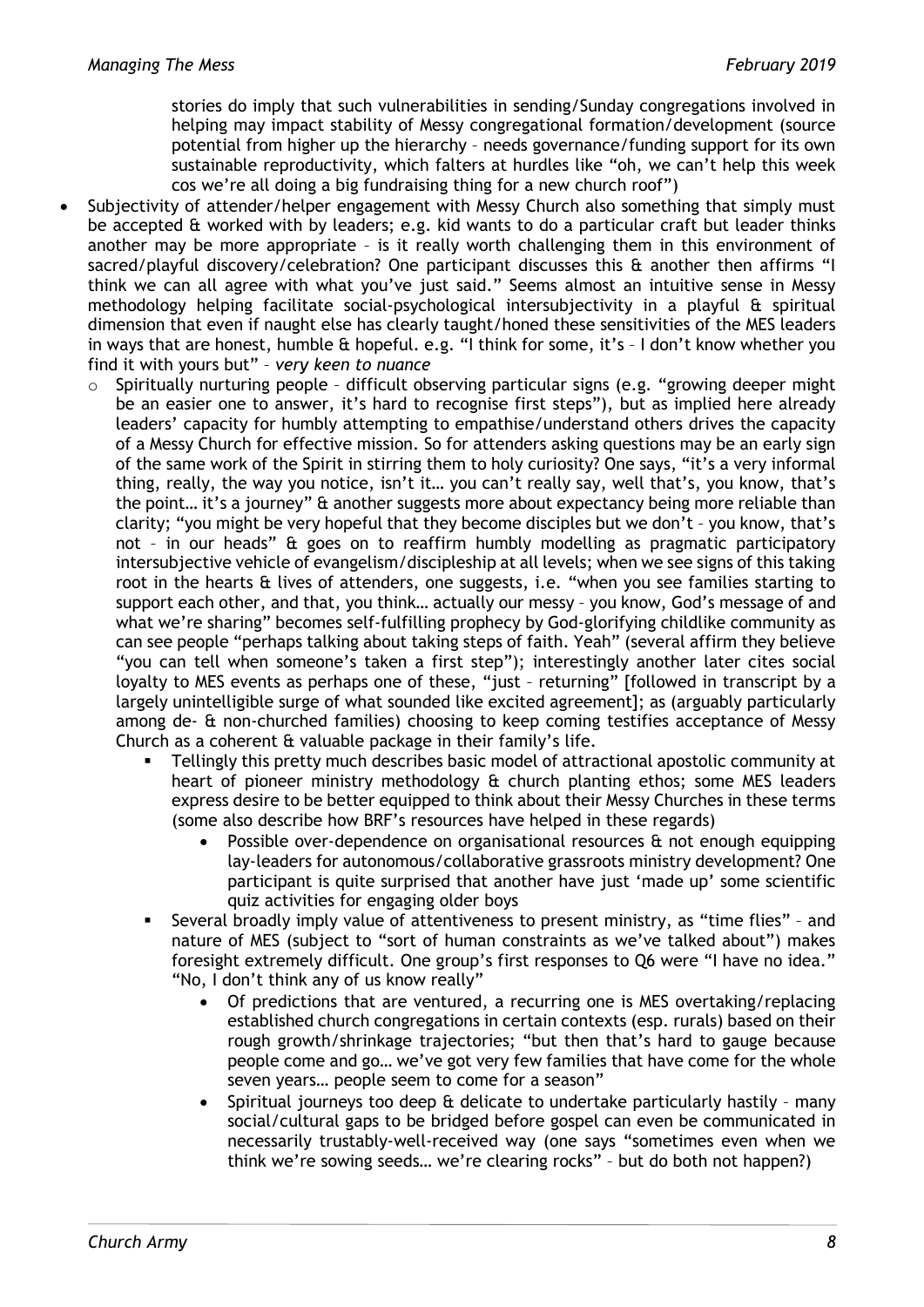stories do imply that such vulnerabilities in sending/Sunday congregations involved in helping may impact stability of Messy congregational formation/development (source potential from higher up the hierarchy – needs governance/funding support for its own sustainable reproductivity, which falters at hurdles like "oh, we can't help this week cos we're all doing a big fundraising thing for a new church roof")

- Subjectivity of attender/helper engagement with Messy Church also something that simply must be accepted & worked with by leaders; e.g. kid wants to do a particular craft but leader thinks another may be more appropriate – is it really worth challenging them in this environment of sacred/playful discovery/celebration? One participant discusses this & another then affirms "I think we can all agree with what you've just said." Seems almost an intuitive sense in Messy methodology helping facilitate social-psychological intersubjectivity in a playful & spiritual dimension that even if naught else has clearly taught/honed these sensitivities of the MES leaders in ways that are honest, humble & hopeful. e.g. "I think for some, it's – I don't know whether you find it with yours but" – *very keen to nuance*
	- o Spiritually nurturing people difficult observing particular signs (e.g. "growing deeper might be an easier one to answer, it's hard to recognise first steps"), but as implied here already leaders' capacity for humbly attempting to empathise/understand others drives the capacity of a Messy Church for effective mission. So for attenders asking questions may be an early sign of the same work of the Spirit in stirring them to holy curiosity? One says, "it's a very informal thing, really, the way you notice, isn't it… you can't really say, well that's, you know, that's the point… it's a journey" & another suggests more about expectancy being more reliable than clarity; "you might be very hopeful that they become disciples but we don't – you know, that's not – in our heads" & goes on to reaffirm humbly modelling as pragmatic participatory intersubjective vehicle of evangelism/discipleship at all levels; when we see signs of this taking root in the hearts & lives of attenders, one suggests, i.e. "when you see families starting to support each other, and that, you think… actually our messy – you know, God's message of and what we're sharing" becomes self-fulfilling prophecy by God-glorifying childlike community as can see people "perhaps talking about taking steps of faith. Yeah" (several affirm they believe "you can tell when someone's taken a first step"); interestingly another later cites social loyalty to MES events as perhaps one of these, "just – returning" [followed in transcript by a largely unintelligible surge of what sounded like excited agreement]; as (arguably particularly among de- & non-churched families) choosing to keep coming testifies acceptance of Messy Church as a coherent & valuable package in their family's life.
		- Tellingly this pretty much describes basic model of attractional apostolic community at heart of pioneer ministry methodology & church planting ethos; some MES leaders express desire to be better equipped to think about their Messy Churches in these terms (some also describe how BRF's resources have helped in these regards)
			- Possible over-dependence on organisational resources & not enough equipping lay-leaders for autonomous/collaborative grassroots ministry development? One participant is quite surprised that another have just 'made up' some scientific quiz activities for engaging older boys
		- Several broadly imply value of attentiveness to present ministry, as "time flies" and nature of MES (subject to "sort of human constraints as we've talked about") makes foresight extremely difficult. One group's first responses to Q6 were "I have no idea." "No, I don't think any of us know really"
			- Of predictions that are ventured, a recurring one is MES overtaking/replacing established church congregations in certain contexts (esp. rurals) based on their rough growth/shrinkage trajectories; "but then that's hard to gauge because people come and go… we've got very few families that have come for the whole seven years… people seem to come for a season"
			- Spiritual journeys too deep & delicate to undertake particularly hastily many social/cultural gaps to be bridged before gospel can even be communicated in necessarily trustably-well-received way (one says "sometimes even when we think we're sowing seeds… we're clearing rocks" – but do both not happen?)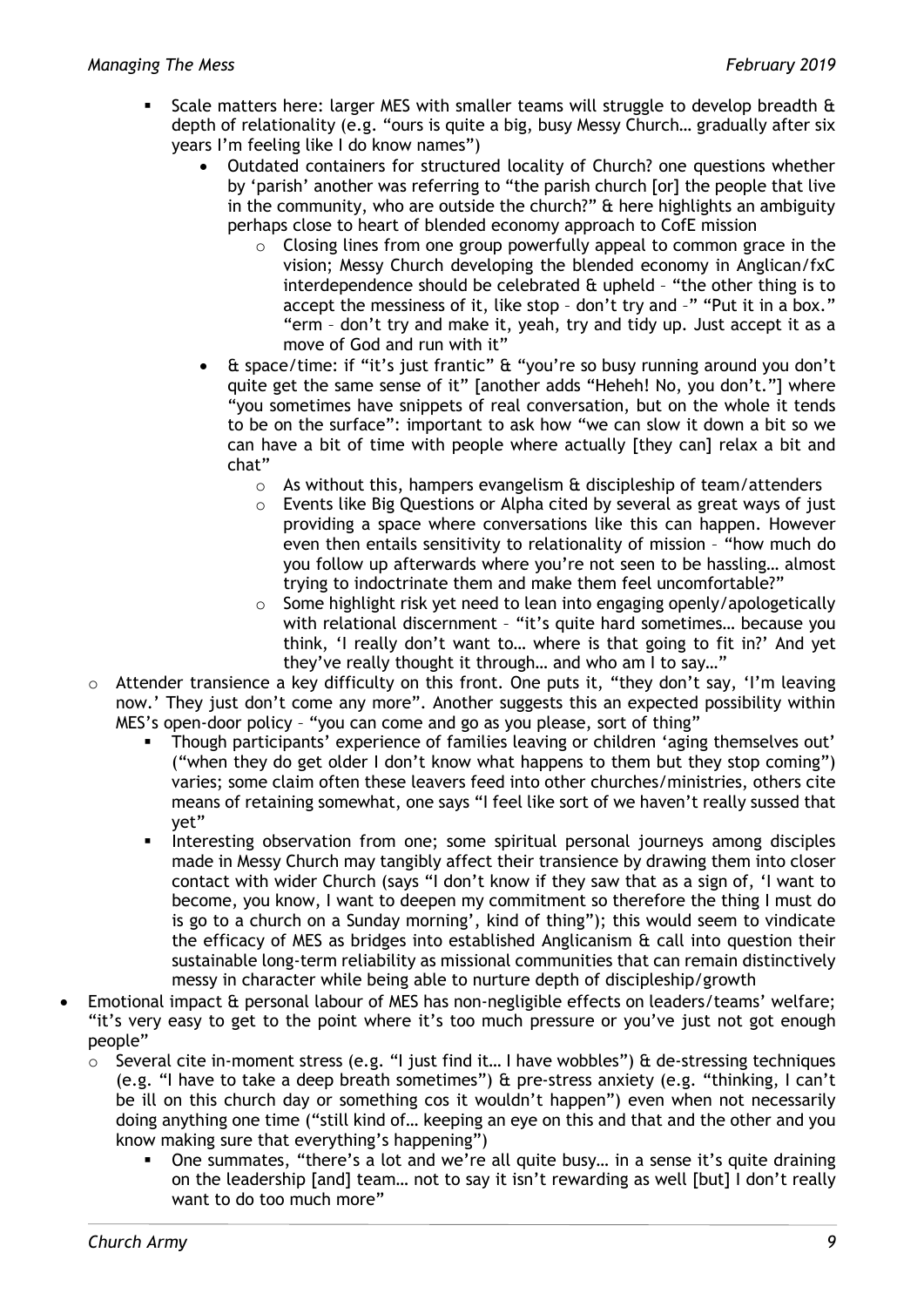- Scale matters here: larger MES with smaller teams will struggle to develop breadth & depth of relationality (e.g. "ours is quite a big, busy Messy Church… gradually after six years I'm feeling like I do know names")
	- Outdated containers for structured locality of Church? one questions whether by 'parish' another was referring to "the parish church [or] the people that live in the community, who are outside the church?" & here highlights an ambiguity perhaps close to heart of blended economy approach to CofE mission
		- $\circ$  Closing lines from one group powerfully appeal to common grace in the vision; Messy Church developing the blended economy in Anglican/fxC interdependence should be celebrated & upheld – "the other thing is to accept the messiness of it, like stop – don't try and –" "Put it in a box." "erm – don't try and make it, yeah, try and tidy up. Just accept it as a move of God and run with it"
	- & space/time: if "it's just frantic" & "you're so busy running around you don't quite get the same sense of it" [another adds "Heheh! No, you don't."] where "you sometimes have snippets of real conversation, but on the whole it tends to be on the surface": important to ask how "we can slow it down a bit so we can have a bit of time with people where actually [they can] relax a bit and chat"
		- $\circ$  As without this, hampers evangelism  $\hat{a}$  discipleship of team/attenders
		- o Events like Big Questions or Alpha cited by several as great ways of just providing a space where conversations like this can happen. However even then entails sensitivity to relationality of mission – "how much do you follow up afterwards where you're not seen to be hassling… almost trying to indoctrinate them and make them feel uncomfortable?"
		- $\circ$  Some highlight risk yet need to lean into engaging openly/apologetically with relational discernment - "it's quite hard sometimes... because you think, 'I really don't want to… where is that going to fit in?' And yet they've really thought it through… and who am I to say…"
- o Attender transience a key difficulty on this front. One puts it, "they don't say, 'I'm leaving now.' They just don't come any more". Another suggests this an expected possibility within MES's open-door policy – "you can come and go as you please, sort of thing"
	- Though participants' experience of families leaving or children 'aging themselves out' ("when they do get older I don't know what happens to them but they stop coming") varies; some claim often these leavers feed into other churches/ministries, others cite means of retaining somewhat, one says "I feel like sort of we haven't really sussed that yet"
	- Interesting observation from one; some spiritual personal journeys among disciples made in Messy Church may tangibly affect their transience by drawing them into closer contact with wider Church (says "I don't know if they saw that as a sign of, 'I want to become, you know, I want to deepen my commitment so therefore the thing I must do is go to a church on a Sunday morning', kind of thing"); this would seem to vindicate the efficacy of MES as bridges into established Anglicanism & call into question their sustainable long-term reliability as missional communities that can remain distinctively messy in character while being able to nurture depth of discipleship/growth
- Emotional impact & personal labour of MES has non-negligible effects on leaders/teams' welfare; "it's very easy to get to the point where it's too much pressure or you've just not got enough people"
	- o Several cite in-moment stress (e.g. "I just find it… I have wobbles") & de-stressing techniques (e.g. "I have to take a deep breath sometimes") & pre-stress anxiety (e.g. "thinking, I can't be ill on this church day or something cos it wouldn't happen") even when not necessarily doing anything one time ("still kind of… keeping an eye on this and that and the other and you know making sure that everything's happening")
		- One summates, "there's a lot and we're all quite busy… in a sense it's quite draining on the leadership [and] team… not to say it isn't rewarding as well [but] I don't really want to do too much more"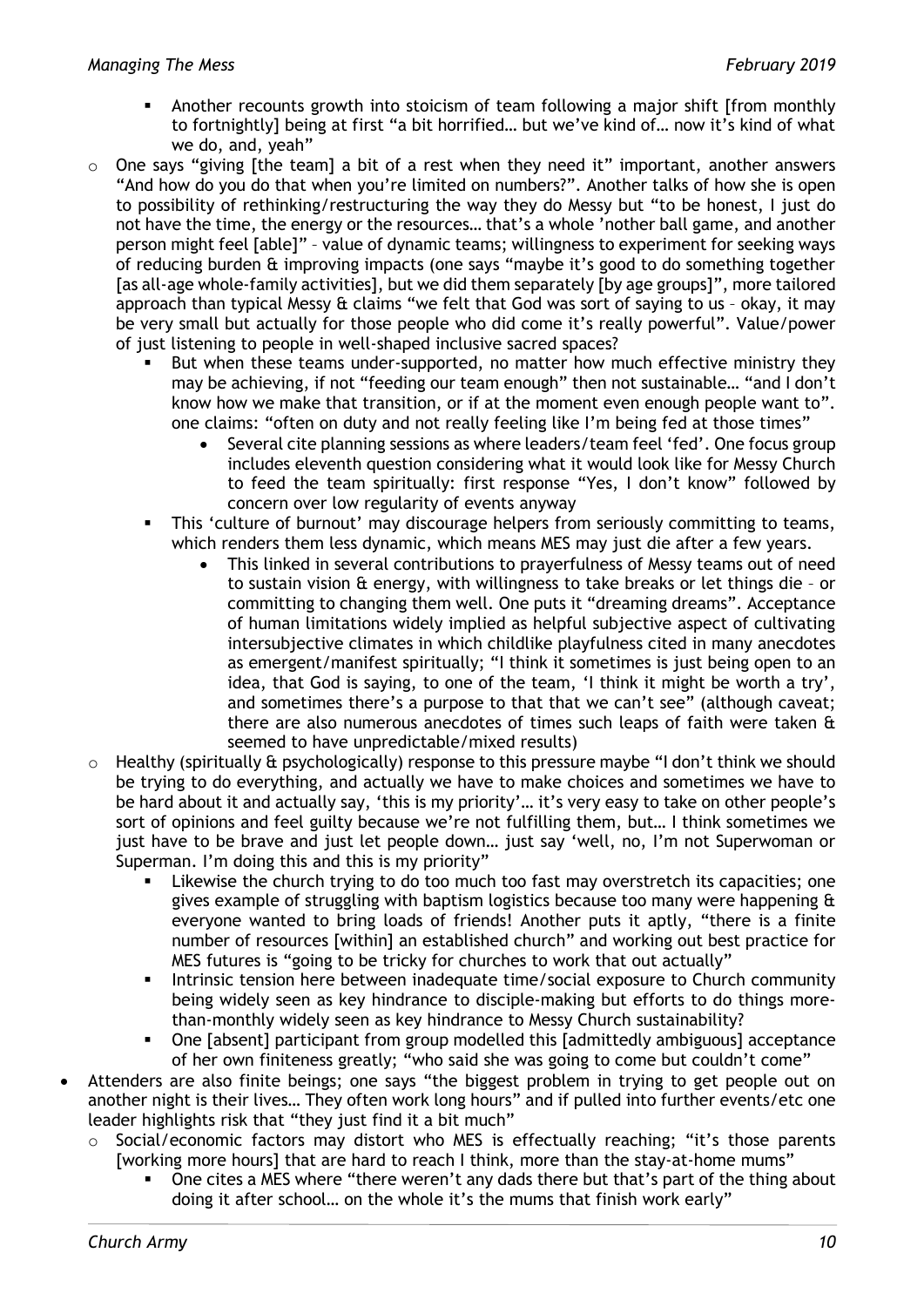- Another recounts growth into stoicism of team following a major shift [from monthly to fortnightly] being at first "a bit horrified… but we've kind of… now it's kind of what we do, and, yeah"
- $\circ$  One says "giving [the team] a bit of a rest when they need it" important, another answers "And how do you do that when you're limited on numbers?". Another talks of how she is open to possibility of rethinking/restructuring the way they do Messy but "to be honest, I just do not have the time, the energy or the resources… that's a whole 'nother ball game, and another person might feel [able]" – value of dynamic teams; willingness to experiment for seeking ways of reducing burden & improving impacts (one says "maybe it's good to do something together [as all-age whole-family activities], but we did them separately [by age groups]", more tailored approach than typical Messy & claims "we felt that God was sort of saying to us – okay, it may be very small but actually for those people who did come it's really powerful". Value/power of just listening to people in well-shaped inclusive sacred spaces?
	- But when these teams under-supported, no matter how much effective ministry they may be achieving, if not "feeding our team enough" then not sustainable… "and I don't know how we make that transition, or if at the moment even enough people want to". one claims: "often on duty and not really feeling like I'm being fed at those times"
		- Several cite planning sessions as where leaders/team feel 'fed'. One focus group includes eleventh question considering what it would look like for Messy Church to feed the team spiritually: first response "Yes, I don't know" followed by concern over low regularity of events anyway
	- This 'culture of burnout' may discourage helpers from seriously committing to teams, which renders them less dynamic, which means MES may just die after a few years.
		- This linked in several contributions to prayerfulness of Messy teams out of need to sustain vision & energy, with willingness to take breaks or let things die – or committing to changing them well. One puts it "dreaming dreams". Acceptance of human limitations widely implied as helpful subjective aspect of cultivating intersubjective climates in which childlike playfulness cited in many anecdotes as emergent/manifest spiritually; "I think it sometimes is just being open to an idea, that God is saying, to one of the team, 'I think it might be worth a try', and sometimes there's a purpose to that that we can't see" (although caveat; there are also numerous anecdotes of times such leaps of faith were taken & seemed to have unpredictable/mixed results)
- $\circ$  Healthy (spiritually & psychologically) response to this pressure maybe "I don't think we should be trying to do everything, and actually we have to make choices and sometimes we have to be hard about it and actually say, 'this is my priority'… it's very easy to take on other people's sort of opinions and feel guilty because we're not fulfilling them, but… I think sometimes we just have to be brave and just let people down… just say 'well, no, I'm not Superwoman or Superman. I'm doing this and this is my priority"
	- Likewise the church trying to do too much too fast may overstretch its capacities; one gives example of struggling with baptism logistics because too many were happening & everyone wanted to bring loads of friends! Another puts it aptly, "there is a finite number of resources [within] an established church" and working out best practice for MES futures is "going to be tricky for churches to work that out actually"
	- **Intrinsic tension here between inadequate time/social exposure to Church community** being widely seen as key hindrance to disciple-making but efforts to do things morethan-monthly widely seen as key hindrance to Messy Church sustainability?
	- One [absent] participant from group modelled this [admittedly ambiguous] acceptance of her own finiteness greatly; "who said she was going to come but couldn't come"
- Attenders are also finite beings; one says "the biggest problem in trying to get people out on another night is their lives… They often work long hours" and if pulled into further events/etc one leader highlights risk that "they just find it a bit much"
	- o Social/economic factors may distort who MES is effectually reaching; "it's those parents [working more hours] that are hard to reach I think, more than the stay-at-home mums"
		- One cites a MES where "there weren't any dads there but that's part of the thing about doing it after school… on the whole it's the mums that finish work early"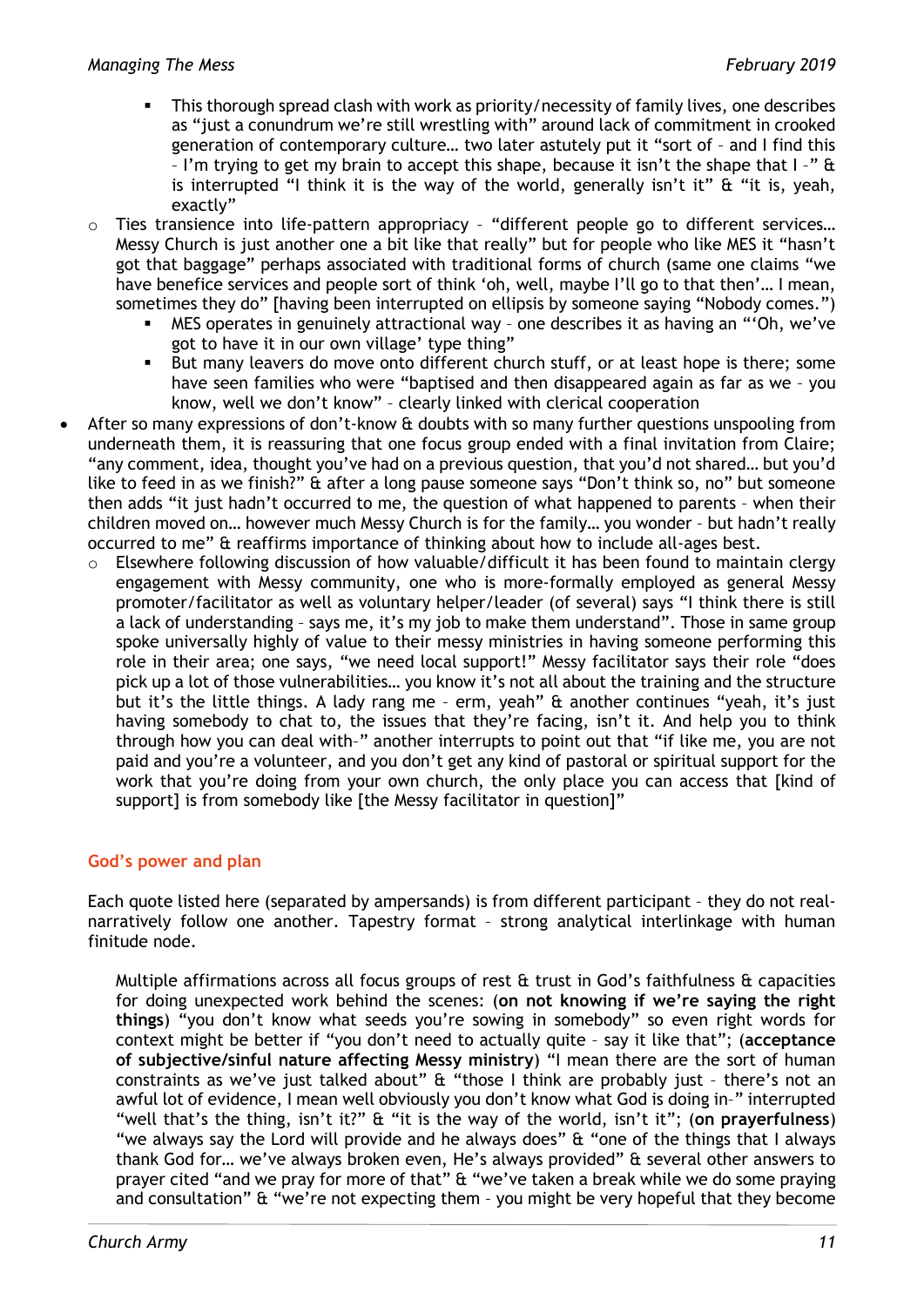- This thorough spread clash with work as priority/necessity of family lives, one describes as "just a conundrum we're still wrestling with" around lack of commitment in crooked generation of contemporary culture… two later astutely put it "sort of – and I find this – I'm trying to get my brain to accept this shape, because it isn't the shape that I –" & is interrupted "I think it is the way of the world, generally isn't it"  $\&$  "it is, yeah, exactly"
- $\circ$  Ties transience into life-pattern appropriacy "different people go to different services... Messy Church is just another one a bit like that really" but for people who like MES it "hasn't got that baggage" perhaps associated with traditional forms of church (same one claims "we have benefice services and people sort of think 'oh, well, maybe I'll go to that then'… I mean, sometimes they do" [having been interrupted on ellipsis by someone saying "Nobody comes.")
	- MES operates in genuinely attractional way one describes it as having an "'Oh, we've got to have it in our own village' type thing"
	- But many leavers do move onto different church stuff, or at least hope is there; some have seen families who were "baptised and then disappeared again as far as we – you know, well we don't know" – clearly linked with clerical cooperation
- After so many expressions of don't-know & doubts with so many further questions unspooling from underneath them, it is reassuring that one focus group ended with a final invitation from Claire; "any comment, idea, thought you've had on a previous question, that you'd not shared… but you'd like to feed in as we finish?" & after a long pause someone says "Don't think so, no" but someone then adds "it just hadn't occurred to me, the question of what happened to parents – when their children moved on… however much Messy Church is for the family… you wonder – but hadn't really occurred to me" & reaffirms importance of thinking about how to include all-ages best.
	- o Elsewhere following discussion of how valuable/difficult it has been found to maintain clergy engagement with Messy community, one who is more-formally employed as general Messy promoter/facilitator as well as voluntary helper/leader (of several) says "I think there is still a lack of understanding - says me, it's my job to make them understand". Those in same group spoke universally highly of value to their messy ministries in having someone performing this role in their area; one says, "we need local support!" Messy facilitator says their role "does pick up a lot of those vulnerabilities… you know it's not all about the training and the structure but it's the little things. A lady rang me – erm, yeah" & another continues "yeah, it's just having somebody to chat to, the issues that they're facing, isn't it. And help you to think through how you can deal with–" another interrupts to point out that "if like me, you are not paid and you're a volunteer, and you don't get any kind of pastoral or spiritual support for the work that you're doing from your own church, the only place you can access that [kind of support] is from somebody like [the Messy facilitator in question]"

# **God's power and plan**

Each quote listed here (separated by ampersands) is from different participant – they do not realnarratively follow one another. Tapestry format – strong analytical interlinkage with human finitude node.

Multiple affirmations across all focus groups of rest  $\alpha$  trust in God's faithfulness  $\alpha$  capacities for doing unexpected work behind the scenes: (**on not knowing if we're saying the right things**) "you don't know what seeds you're sowing in somebody" so even right words for context might be better if "you don't need to actually quite – say it like that"; (**acceptance of subjective/sinful nature affecting Messy ministry**) "I mean there are the sort of human constraints as we've just talked about" & "those I think are probably just – there's not an awful lot of evidence, I mean well obviously you don't know what God is doing in–" interrupted "well that's the thing, isn't it?" & "it is the way of the world, isn't it"; (**on prayerfulness**) "we always say the Lord will provide and he always does" & "one of the things that I always thank God for… we've always broken even, He's always provided" & several other answers to prayer cited "and we pray for more of that" & "we've taken a break while we do some praying and consultation" & "we're not expecting them – you might be very hopeful that they become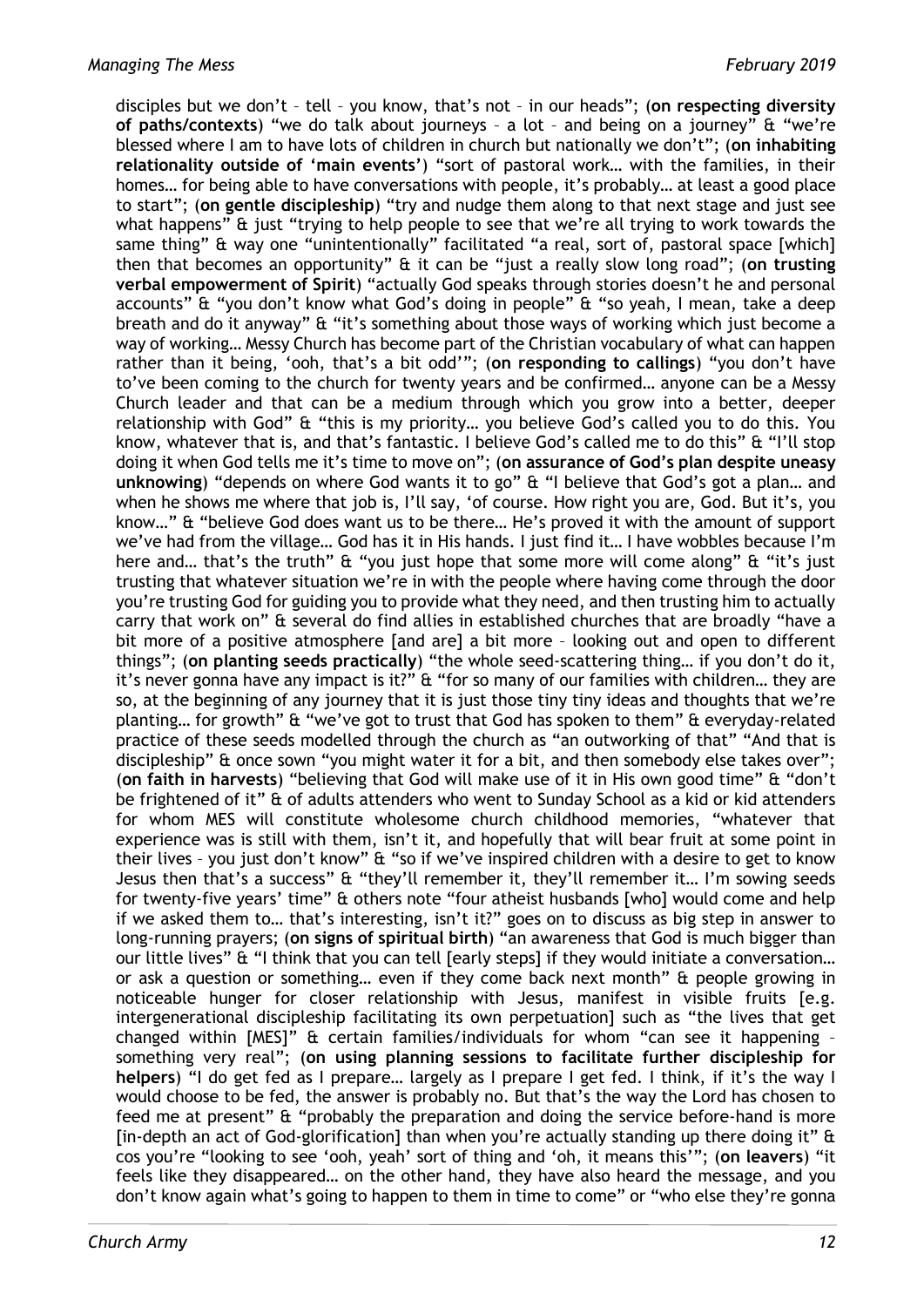disciples but we don't – tell – you know, that's not – in our heads"; (**on respecting diversity of paths/contexts**) "we do talk about journeys – a lot – and being on a journey" & "we're blessed where I am to have lots of children in church but nationally we don't"; (**on inhabiting relationality outside of 'main events'**) "sort of pastoral work… with the families, in their homes… for being able to have conversations with people, it's probably… at least a good place to start"; (**on gentle discipleship**) "try and nudge them along to that next stage and just see what happens" & just "trying to help people to see that we're all trying to work towards the same thing" & way one "unintentionally" facilitated "a real, sort of, pastoral space [which] then that becomes an opportunity" & it can be "just a really slow long road"; (**on trusting verbal empowerment of Spirit**) "actually God speaks through stories doesn't he and personal accounts" & "you don't know what God's doing in people" & "so yeah, I mean, take a deep breath and do it anyway" & "it's something about those ways of working which just become a way of working… Messy Church has become part of the Christian vocabulary of what can happen rather than it being, 'ooh, that's a bit odd'"; (**on responding to callings**) "you don't have to've been coming to the church for twenty years and be confirmed… anyone can be a Messy Church leader and that can be a medium through which you grow into a better, deeper relationship with God" & "this is my priority… you believe God's called you to do this. You know, whatever that is, and that's fantastic. I believe God's called me to do this" & "I'll stop doing it when God tells me it's time to move on"; (**on assurance of God's plan despite uneasy unknowing**) "depends on where God wants it to go" & "I believe that God's got a plan… and when he shows me where that job is, I'll say, 'of course. How right you are, God. But it's, you know…" & "believe God does want us to be there… He's proved it with the amount of support we've had from the village… God has it in His hands. I just find it… I have wobbles because I'm here and… that's the truth" & "you just hope that some more will come along" & "it's just trusting that whatever situation we're in with the people where having come through the door you're trusting God for guiding you to provide what they need, and then trusting him to actually carry that work on" & several do find allies in established churches that are broadly "have a bit more of a positive atmosphere [and are] a bit more – looking out and open to different things"; (**on planting seeds practically**) "the whole seed-scattering thing… if you don't do it, it's never gonna have any impact is it?" & "for so many of our families with children… they are so, at the beginning of any journey that it is just those tiny tiny ideas and thoughts that we're planting… for growth" & "we've got to trust that God has spoken to them" & everyday-related practice of these seeds modelled through the church as "an outworking of that" "And that is discipleship" & once sown "you might water it for a bit, and then somebody else takes over"; (**on faith in harvests**) "believing that God will make use of it in His own good time" & "don't be frightened of it" & of adults attenders who went to Sunday School as a kid or kid attenders for whom MES will constitute wholesome church childhood memories, "whatever that experience was is still with them, isn't it, and hopefully that will bear fruit at some point in their lives – you just don't know" & "so if we've inspired children with a desire to get to know Jesus then that's a success" & "they'll remember it, they'll remember it… I'm sowing seeds for twenty-five years' time" & others note "four atheist husbands [who] would come and help if we asked them to… that's interesting, isn't it?" goes on to discuss as big step in answer to long-running prayers; (**on signs of spiritual birth**) "an awareness that God is much bigger than our little lives" & "I think that you can tell [early steps] if they would initiate a conversation... or ask a question or something… even if they come back next month" & people growing in noticeable hunger for closer relationship with Jesus, manifest in visible fruits [e.g. intergenerational discipleship facilitating its own perpetuation] such as "the lives that get changed within [MES]" & certain families/individuals for whom "can see it happening – something very real"; (**on using planning sessions to facilitate further discipleship for helpers**) "I do get fed as I prepare… largely as I prepare I get fed. I think, if it's the way I would choose to be fed, the answer is probably no. But that's the way the Lord has chosen to feed me at present" & "probably the preparation and doing the service before-hand is more [in-depth an act of God-glorification] than when you're actually standing up there doing it" & cos you're "looking to see 'ooh, yeah' sort of thing and 'oh, it means this'"; (**on leavers**) "it feels like they disappeared… on the other hand, they have also heard the message, and you don't know again what's going to happen to them in time to come" or "who else they're gonna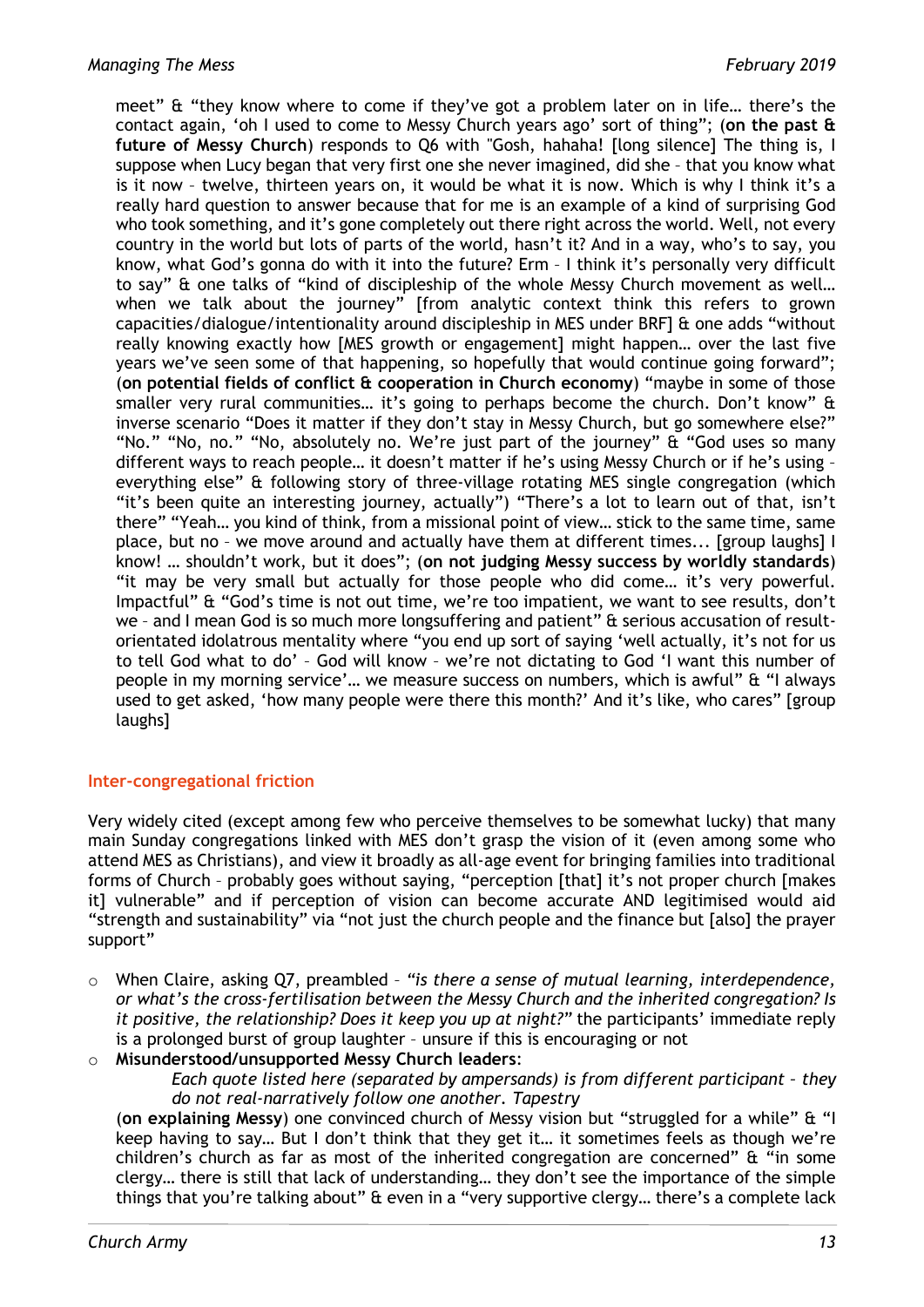meet" & "they know where to come if they've got a problem later on in life… there's the contact again, 'oh I used to come to Messy Church years ago' sort of thing"; (**on the past & future of Messy Church**) responds to Q6 with "Gosh, hahaha! [long silence] The thing is, I suppose when Lucy began that very first one she never imagined, did she – that you know what is it now – twelve, thirteen years on, it would be what it is now. Which is why I think it's a really hard question to answer because that for me is an example of a kind of surprising God who took something, and it's gone completely out there right across the world. Well, not every country in the world but lots of parts of the world, hasn't it? And in a way, who's to say, you know, what God's gonna do with it into the future? Erm – I think it's personally very difficult to say" & one talks of "kind of discipleship of the whole Messy Church movement as well… when we talk about the journey" [from analytic context think this refers to grown capacities/dialogue/intentionality around discipleship in MES under BRF] & one adds "without really knowing exactly how [MES growth or engagement] might happen… over the last five years we've seen some of that happening, so hopefully that would continue going forward"; (**on potential fields of conflict & cooperation in Church economy**) "maybe in some of those smaller very rural communities... it's going to perhaps become the church. Don't know" & inverse scenario "Does it matter if they don't stay in Messy Church, but go somewhere else?" "No." "No, no." "No, absolutely no. We're just part of the journey" & "God uses so many different ways to reach people… it doesn't matter if he's using Messy Church or if he's using – everything else" & following story of three-village rotating MES single congregation (which "it's been quite an interesting journey, actually") "There's a lot to learn out of that, isn't there" "Yeah… you kind of think, from a missional point of view… stick to the same time, same place, but no – we move around and actually have them at different times... [group laughs] I know! … shouldn't work, but it does"; (**on not judging Messy success by worldly standards**) "it may be very small but actually for those people who did come… it's very powerful. Impactful" & "God's time is not out time, we're too impatient, we want to see results, don't we – and I mean God is so much more longsuffering and patient" & serious accusation of resultorientated idolatrous mentality where "you end up sort of saying 'well actually, it's not for us to tell God what to do' – God will know – we're not dictating to God 'I want this number of people in my morning service'… we measure success on numbers, which is awful" & "I always used to get asked, 'how many people were there this month?' And it's like, who cares" [group laughs]

# **Inter-congregational friction**

Very widely cited (except among few who perceive themselves to be somewhat lucky) that many main Sunday congregations linked with MES don't grasp the vision of it (even among some who attend MES as Christians), and view it broadly as all-age event for bringing families into traditional forms of Church – probably goes without saying, "perception [that] it's not proper church [makes it] vulnerable" and if perception of vision can become accurate AND legitimised would aid "strength and sustainability" via "not just the church people and the finance but [also] the prayer support"

- o When Claire, asking Q7, preambled *"is there a sense of mutual learning, interdependence, or what's the cross-fertilisation between the Messy Church and the inherited congregation? Is it positive, the relationship? Does it keep you up at night?"* the participants' immediate reply is a prolonged burst of group laughter – unsure if this is encouraging or not
- o **Misunderstood/unsupported Messy Church leaders**:

*Each quote listed here (separated by ampersands) is from different participant – they do not real-narratively follow one another. Tapestry*

(**on explaining Messy**) one convinced church of Messy vision but "struggled for a while" & "I keep having to say… But I don't think that they get it… it sometimes feels as though we're children's church as far as most of the inherited congregation are concerned" & "in some clergy… there is still that lack of understanding… they don't see the importance of the simple things that you're talking about" & even in a "very supportive clergy… there's a complete lack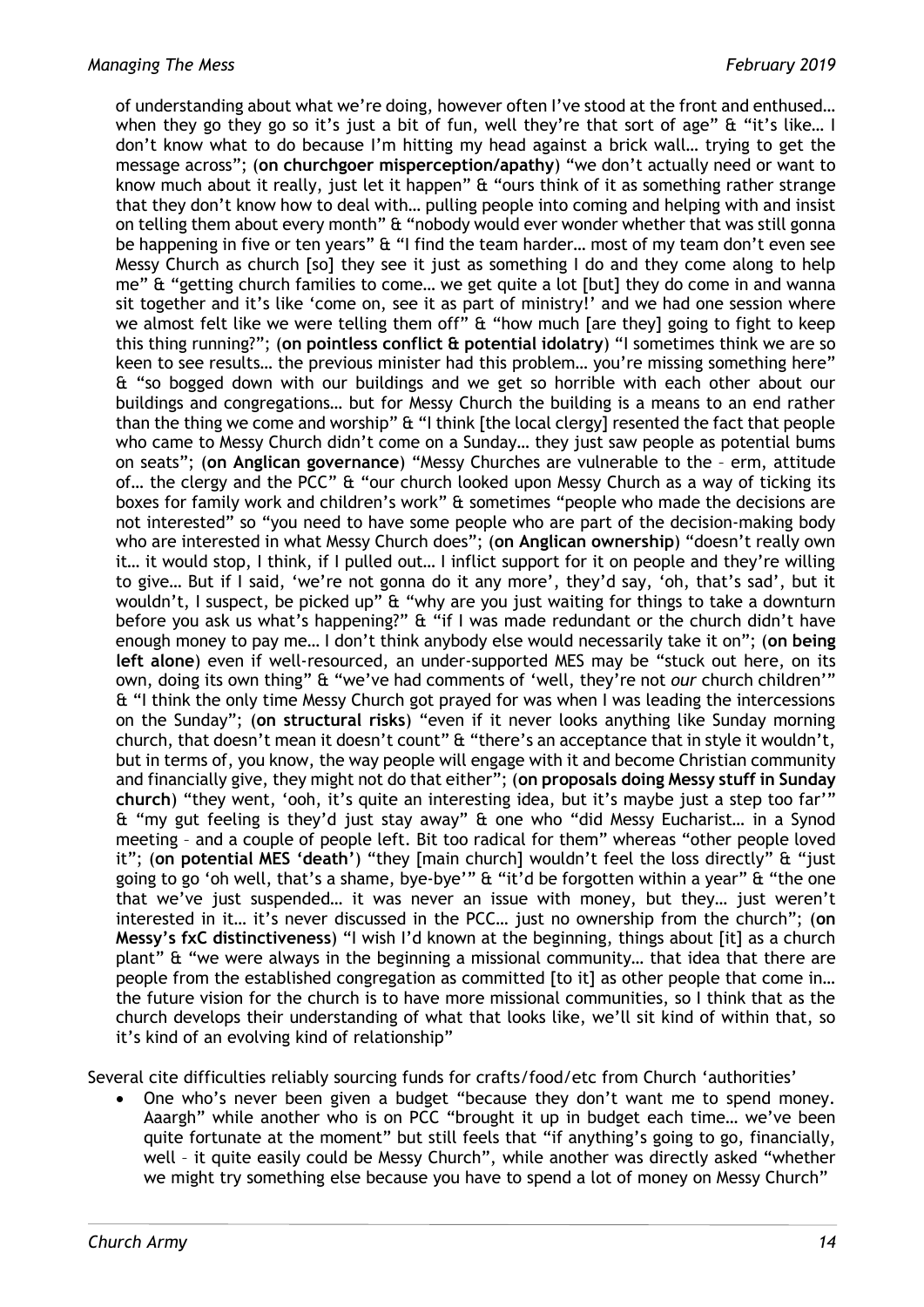of understanding about what we're doing, however often I've stood at the front and enthused… when they go they go so it's just a bit of fun, well they're that sort of age" & "it's like... I don't know what to do because I'm hitting my head against a brick wall… trying to get the message across"; (**on churchgoer misperception/apathy**) "we don't actually need or want to know much about it really, just let it happen" & "ours think of it as something rather strange that they don't know how to deal with… pulling people into coming and helping with and insist on telling them about every month" & "nobody would ever wonder whether that was still gonna be happening in five or ten years" & "I find the team harder... most of my team don't even see Messy Church as church [so] they see it just as something I do and they come along to help me" & "getting church families to come… we get quite a lot [but] they do come in and wanna sit together and it's like 'come on, see it as part of ministry!' and we had one session where we almost felt like we were telling them off" & "how much [are they] going to fight to keep this thing running?"; (**on pointless conflict & potential idolatry**) "I sometimes think we are so keen to see results… the previous minister had this problem… you're missing something here" & "so bogged down with our buildings and we get so horrible with each other about our buildings and congregations… but for Messy Church the building is a means to an end rather than the thing we come and worship" & "I think [the local clergy] resented the fact that people who came to Messy Church didn't come on a Sunday… they just saw people as potential bums on seats"; (**on Anglican governance**) "Messy Churches are vulnerable to the – erm, attitude of… the clergy and the PCC" & "our church looked upon Messy Church as a way of ticking its boxes for family work and children's work" & sometimes "people who made the decisions are not interested" so "you need to have some people who are part of the decision-making body who are interested in what Messy Church does"; (**on Anglican ownership**) "doesn't really own it… it would stop, I think, if I pulled out… I inflict support for it on people and they're willing to give… But if I said, 'we're not gonna do it any more', they'd say, 'oh, that's sad', but it wouldn't, I suspect, be picked up" & "why are you just waiting for things to take a downturn before you ask us what's happening?" & "if I was made redundant or the church didn't have enough money to pay me… I don't think anybody else would necessarily take it on"; (**on being left alone**) even if well-resourced, an under-supported MES may be "stuck out here, on its own, doing its own thing" & "we've had comments of 'well, they're not *our* church children'" & "I think the only time Messy Church got prayed for was when I was leading the intercessions on the Sunday"; (**on structural risks**) "even if it never looks anything like Sunday morning church, that doesn't mean it doesn't count" & "there's an acceptance that in style it wouldn't, but in terms of, you know, the way people will engage with it and become Christian community and financially give, they might not do that either"; (**on proposals doing Messy stuff in Sunday church**) "they went, 'ooh, it's quite an interesting idea, but it's maybe just a step too far'" & "my gut feeling is they'd just stay away" & one who "did Messy Eucharist… in a Synod meeting – and a couple of people left. Bit too radical for them" whereas "other people loved it"; (**on potential MES 'death'**) "they [main church] wouldn't feel the loss directly" & "just going to go 'oh well, that's a shame, bye-bye'" & "it'd be forgotten within a year" & "the one that we've just suspended… it was never an issue with money, but they… just weren't interested in it… it's never discussed in the PCC… just no ownership from the church"; (**on Messy's fxC distinctiveness**) "I wish I'd known at the beginning, things about [it] as a church plant" & "we were always in the beginning a missional community… that idea that there are people from the established congregation as committed [to it] as other people that come in... the future vision for the church is to have more missional communities, so I think that as the church develops their understanding of what that looks like, we'll sit kind of within that, so it's kind of an evolving kind of relationship"

Several cite difficulties reliably sourcing funds for crafts/food/etc from Church 'authorities'

One who's never been given a budget "because they don't want me to spend money. Aaargh" while another who is on PCC "brought it up in budget each time… we've been quite fortunate at the moment" but still feels that "if anything's going to go, financially, well – it quite easily could be Messy Church", while another was directly asked "whether we might try something else because you have to spend a lot of money on Messy Church"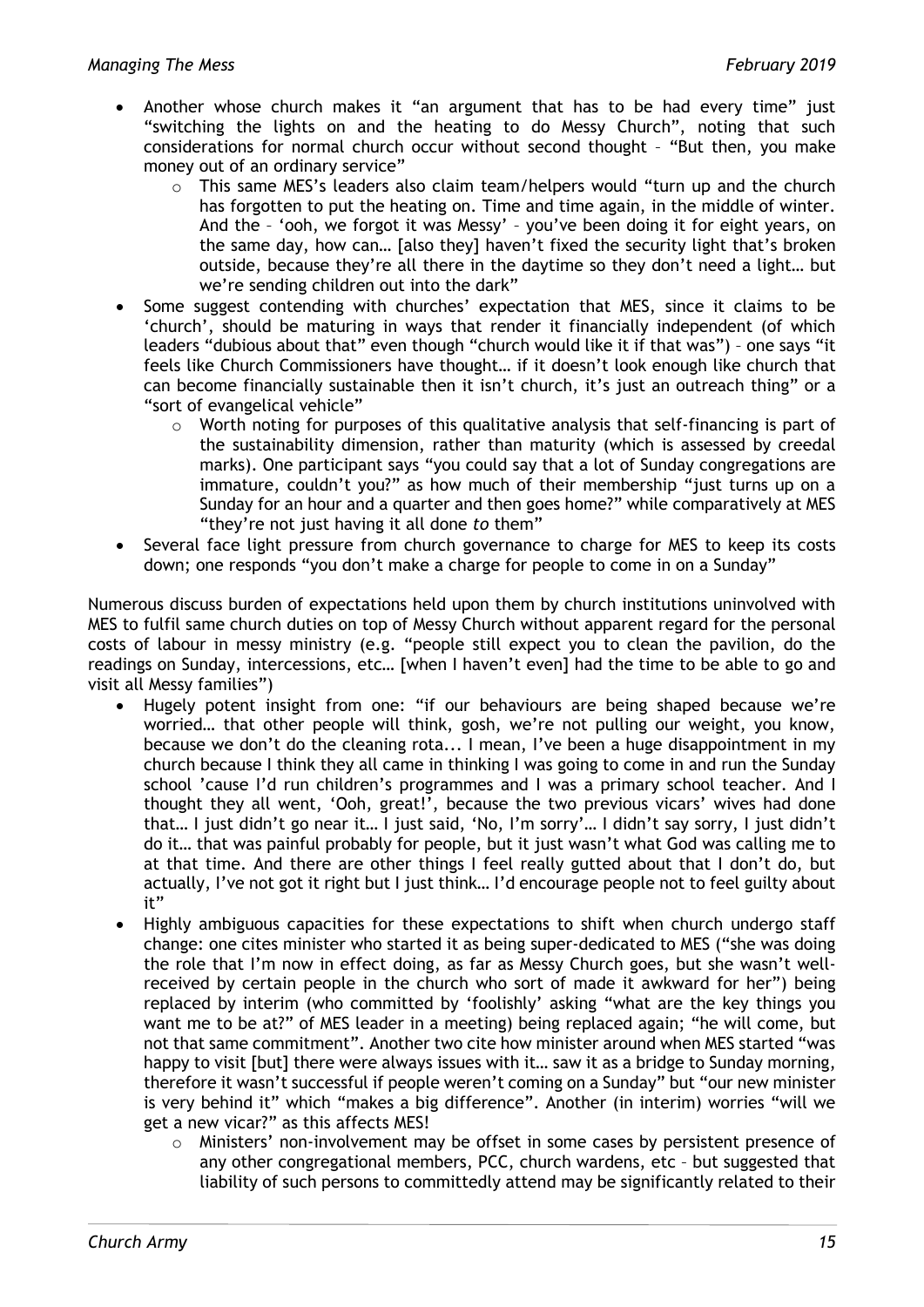- Another whose church makes it "an argument that has to be had every time" just "switching the lights on and the heating to do Messy Church", noting that such considerations for normal church occur without second thought – "But then, you make money out of an ordinary service"
	- $\circ$  This same MES's leaders also claim team/helpers would "turn up and the church has forgotten to put the heating on. Time and time again, in the middle of winter. And the – 'ooh, we forgot it was Messy' – you've been doing it for eight years, on the same day, how can… [also they] haven't fixed the security light that's broken outside, because they're all there in the daytime so they don't need a light… but we're sending children out into the dark"
- Some suggest contending with churches' expectation that MES, since it claims to be 'church', should be maturing in ways that render it financially independent (of which leaders "dubious about that" even though "church would like it if that was") – one says "it feels like Church Commissioners have thought… if it doesn't look enough like church that can become financially sustainable then it isn't church, it's just an outreach thing" or a "sort of evangelical vehicle"
	- $\circ$  Worth noting for purposes of this qualitative analysis that self-financing is part of the sustainability dimension, rather than maturity (which is assessed by creedal marks). One participant says "you could say that a lot of Sunday congregations are immature, couldn't you?" as how much of their membership "just turns up on a Sunday for an hour and a quarter and then goes home?" while comparatively at MES "they're not just having it all done *to* them"
- Several face light pressure from church governance to charge for MES to keep its costs down; one responds "you don't make a charge for people to come in on a Sunday"

Numerous discuss burden of expectations held upon them by church institutions uninvolved with MES to fulfil same church duties on top of Messy Church without apparent regard for the personal costs of labour in messy ministry (e.g. "people still expect you to clean the pavilion, do the readings on Sunday, intercessions, etc… [when I haven't even] had the time to be able to go and visit all Messy families")

- Hugely potent insight from one: "if our behaviours are being shaped because we're worried… that other people will think, gosh, we're not pulling our weight, you know, because we don't do the cleaning rota... I mean, I've been a huge disappointment in my church because I think they all came in thinking I was going to come in and run the Sunday school 'cause I'd run children's programmes and I was a primary school teacher. And I thought they all went, 'Ooh, great!', because the two previous vicars' wives had done that… I just didn't go near it… I just said, 'No, I'm sorry'… I didn't say sorry, I just didn't do it… that was painful probably for people, but it just wasn't what God was calling me to at that time. And there are other things I feel really gutted about that I don't do, but actually, I've not got it right but I just think… I'd encourage people not to feel guilty about it"
- Highly ambiguous capacities for these expectations to shift when church undergo staff change: one cites minister who started it as being super-dedicated to MES ("she was doing the role that I'm now in effect doing, as far as Messy Church goes, but she wasn't wellreceived by certain people in the church who sort of made it awkward for her") being replaced by interim (who committed by 'foolishly' asking "what are the key things you want me to be at?" of MES leader in a meeting) being replaced again; "he will come, but not that same commitment". Another two cite how minister around when MES started "was happy to visit [but] there were always issues with it… saw it as a bridge to Sunday morning, therefore it wasn't successful if people weren't coming on a Sunday" but "our new minister is very behind it" which "makes a big difference". Another (in interim) worries "will we get a new vicar?" as this affects MES!
	- o Ministers' non-involvement may be offset in some cases by persistent presence of any other congregational members, PCC, church wardens, etc – but suggested that liability of such persons to committedly attend may be significantly related to their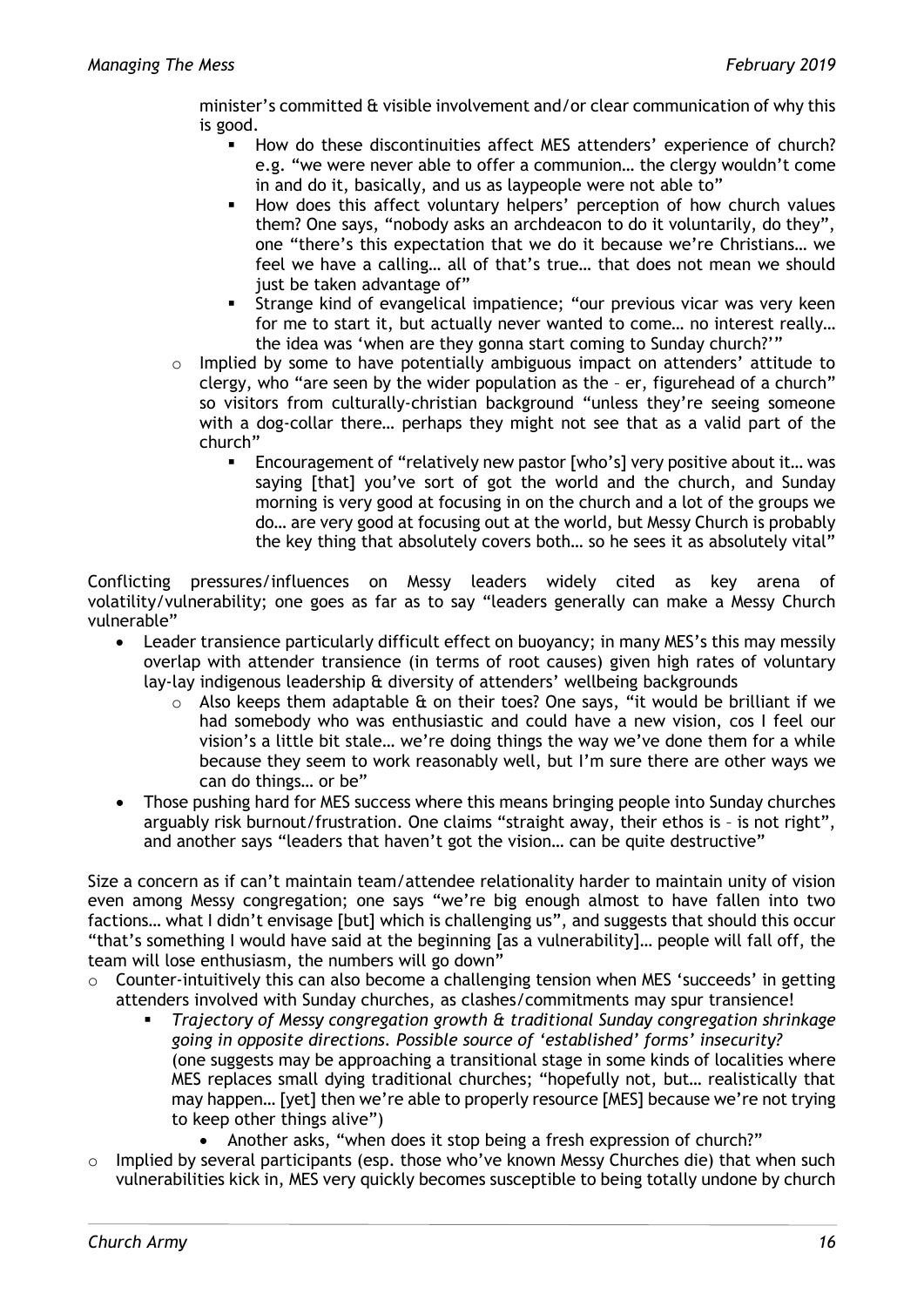minister's committed & visible involvement and/or clear communication of why this is good.

- How do these discontinuities affect MES attenders' experience of church? e.g. "we were never able to offer a communion… the clergy wouldn't come in and do it, basically, and us as laypeople were not able to"
- How does this affect voluntary helpers' perception of how church values them? One says, "nobody asks an archdeacon to do it voluntarily, do they", one "there's this expectation that we do it because we're Christians… we feel we have a calling… all of that's true… that does not mean we should just be taken advantage of"
- Strange kind of evangelical impatience; "our previous vicar was very keen for me to start it, but actually never wanted to come… no interest really… the idea was 'when are they gonna start coming to Sunday church?'"
- o Implied by some to have potentially ambiguous impact on attenders' attitude to clergy, who "are seen by the wider population as the – er, figurehead of a church" so visitors from culturally-christian background "unless they're seeing someone with a dog-collar there… perhaps they might not see that as a valid part of the church"
	- Encouragement of "relatively new pastor [who's] very positive about it… was saying [that] you've sort of got the world and the church, and Sunday morning is very good at focusing in on the church and a lot of the groups we do… are very good at focusing out at the world, but Messy Church is probably the key thing that absolutely covers both… so he sees it as absolutely vital"

Conflicting pressures/influences on Messy leaders widely cited as key arena of volatility/vulnerability; one goes as far as to say "leaders generally can make a Messy Church vulnerable"

- Leader transience particularly difficult effect on buoyancy; in many MES's this may messily overlap with attender transience (in terms of root causes) given high rates of voluntary lay-lay indigenous leadership & diversity of attenders' wellbeing backgrounds
	- $\circ$  Also keeps them adaptable & on their toes? One says, "it would be brilliant if we had somebody who was enthusiastic and could have a new vision, cos I feel our vision's a little bit stale… we're doing things the way we've done them for a while because they seem to work reasonably well, but I'm sure there are other ways we can do things… or be"
- Those pushing hard for MES success where this means bringing people into Sunday churches arguably risk burnout/frustration. One claims "straight away, their ethos is – is not right", and another says "leaders that haven't got the vision… can be quite destructive"

Size a concern as if can't maintain team/attendee relationality harder to maintain unity of vision even among Messy congregation; one says "we're big enough almost to have fallen into two factions… what I didn't envisage [but] which is challenging us", and suggests that should this occur "that's something I would have said at the beginning [as a vulnerability]… people will fall off, the team will lose enthusiasm, the numbers will go down"

- $\circ$  Counter-intuitively this can also become a challenging tension when MES 'succeeds' in getting attenders involved with Sunday churches, as clashes/commitments may spur transience!
	- *Trajectory of Messy congregation growth & traditional Sunday congregation shrinkage going in opposite directions. Possible source of 'established' forms' insecurity?* (one suggests may be approaching a transitional stage in some kinds of localities where MES replaces small dying traditional churches; "hopefully not, but… realistically that may happen… [yet] then we're able to properly resource [MES] because we're not trying to keep other things alive")
		- Another asks, "when does it stop being a fresh expression of church?"
- o Implied by several participants (esp. those who've known Messy Churches die) that when such vulnerabilities kick in, MES very quickly becomes susceptible to being totally undone by church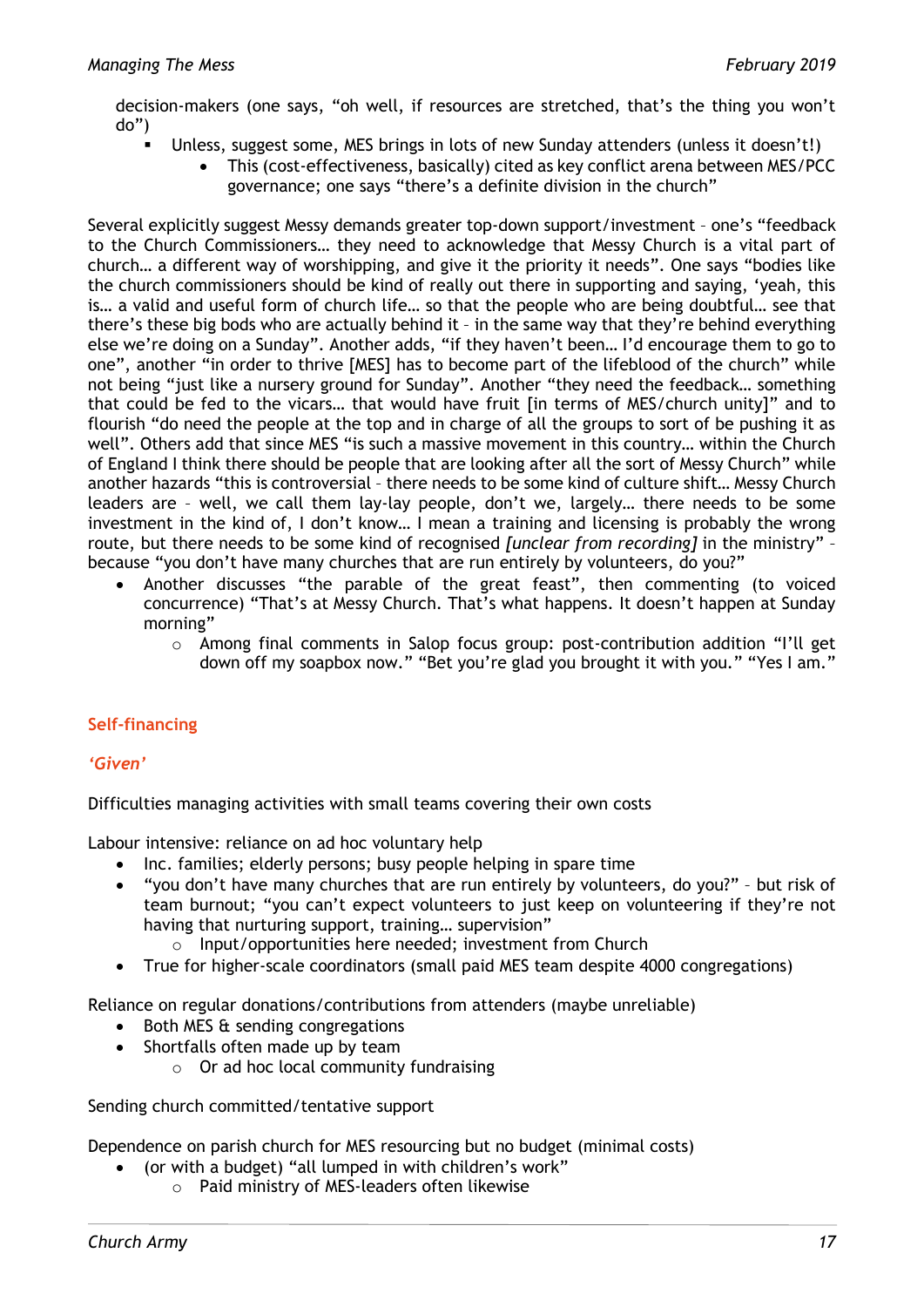decision-makers (one says, "oh well, if resources are stretched, that's the thing you won't do")

- Unless, suggest some, MES brings in lots of new Sunday attenders (unless it doesn't!)
	- This (cost-effectiveness, basically) cited as key conflict arena between MES/PCC governance; one says "there's a definite division in the church"

Several explicitly suggest Messy demands greater top-down support/investment – one's "feedback to the Church Commissioners… they need to acknowledge that Messy Church is a vital part of church… a different way of worshipping, and give it the priority it needs". One says "bodies like the church commissioners should be kind of really out there in supporting and saying, 'yeah, this is… a valid and useful form of church life… so that the people who are being doubtful… see that there's these big bods who are actually behind it – in the same way that they're behind everything else we're doing on a Sunday". Another adds, "if they haven't been… I'd encourage them to go to one", another "in order to thrive [MES] has to become part of the lifeblood of the church" while not being "just like a nursery ground for Sunday". Another "they need the feedback… something that could be fed to the vicars… that would have fruit [in terms of MES/church unity]" and to flourish "do need the people at the top and in charge of all the groups to sort of be pushing it as well". Others add that since MES "is such a massive movement in this country… within the Church of England I think there should be people that are looking after all the sort of Messy Church" while another hazards "this is controversial – there needs to be some kind of culture shift… Messy Church leaders are – well, we call them lay-lay people, don't we, largely… there needs to be some investment in the kind of, I don't know… I mean a training and licensing is probably the wrong route, but there needs to be some kind of recognised *[unclear from recording]* in the ministry" – because "you don't have many churches that are run entirely by volunteers, do you?"

- Another discusses "the parable of the great feast", then commenting (to voiced concurrence) "That's at Messy Church. That's what happens. It doesn't happen at Sunday morning"
	- o Among final comments in Salop focus group: post-contribution addition "I'll get down off my soapbox now." "Bet you're glad you brought it with you." "Yes I am."

# **Self-financing**

#### *'Given'*

Difficulties managing activities with small teams covering their own costs

Labour intensive: reliance on ad hoc voluntary help

- Inc. families; elderly persons; busy people helping in spare time
- "you don't have many churches that are run entirely by volunteers, do you?" but risk of team burnout; "you can't expect volunteers to just keep on volunteering if they're not having that nurturing support, training… supervision"
	- o Input/opportunities here needed; investment from Church
- True for higher-scale coordinators (small paid MES team despite 4000 congregations)

Reliance on regular donations/contributions from attenders (maybe unreliable)

- Both MES & sending congregations
- Shortfalls often made up by team
	- $\circ$  Or ad hoc local community fundraising

Sending church committed/tentative support

Dependence on parish church for MES resourcing but no budget (minimal costs)

- (or with a budget) "all lumped in with children's work"
	- o Paid ministry of MES-leaders often likewise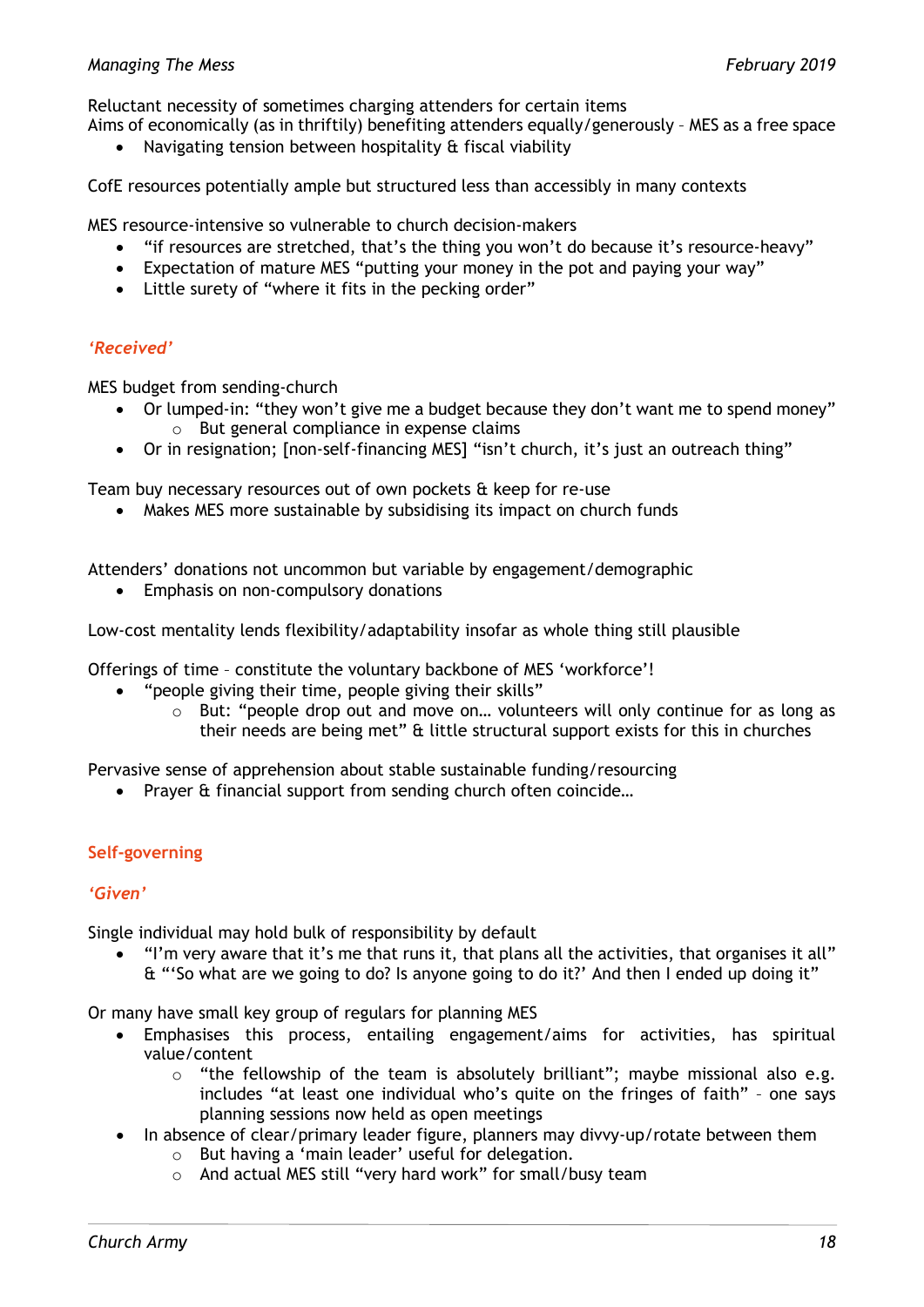Reluctant necessity of sometimes charging attenders for certain items

Aims of economically (as in thriftily) benefiting attenders equally/generously – MES as a free space

• Navigating tension between hospitality & fiscal viability

CofE resources potentially ample but structured less than accessibly in many contexts

MES resource-intensive so vulnerable to church decision-makers

- "if resources are stretched, that's the thing you won't do because it's resource-heavy"
- Expectation of mature MES "putting your money in the pot and paying your way"
- Little surety of "where it fits in the pecking order"

# *'Received'*

MES budget from sending-church

- Or lumped-in: "they won't give me a budget because they don't want me to spend money" o But general compliance in expense claims
- Or in resignation; [non-self-financing MES] "isn't church, it's just an outreach thing"

Team buy necessary resources out of own pockets & keep for re-use

• Makes MES more sustainable by subsidising its impact on church funds

Attenders' donations not uncommon but variable by engagement/demographic

• Emphasis on non-compulsory donations

Low-cost mentality lends flexibility/adaptability insofar as whole thing still plausible

Offerings of time – constitute the voluntary backbone of MES 'workforce'!

- "people giving their time, people giving their skills"
	- $\circ$  But: "people drop out and move on... volunteers will only continue for as long as their needs are being met" & little structural support exists for this in churches

Pervasive sense of apprehension about stable sustainable funding/resourcing

• Prayer & financial support from sending church often coincide…

# **Self-governing**

#### *'Given'*

Single individual may hold bulk of responsibility by default

• "I'm very aware that it's me that runs it, that plans all the activities, that organises it all" & "'So what are we going to do? Is anyone going to do it?' And then I ended up doing it"

Or many have small key group of regulars for planning MES

- Emphasises this process, entailing engagement/aims for activities, has spiritual value/content
	- o "the fellowship of the team is absolutely brilliant"; maybe missional also e.g. includes "at least one individual who's quite on the fringes of faith" – one says planning sessions now held as open meetings
- In absence of clear/primary leader figure, planners may divvy-up/rotate between them
	- o But having a 'main leader' useful for delegation.
	- o And actual MES still "very hard work" for small/busy team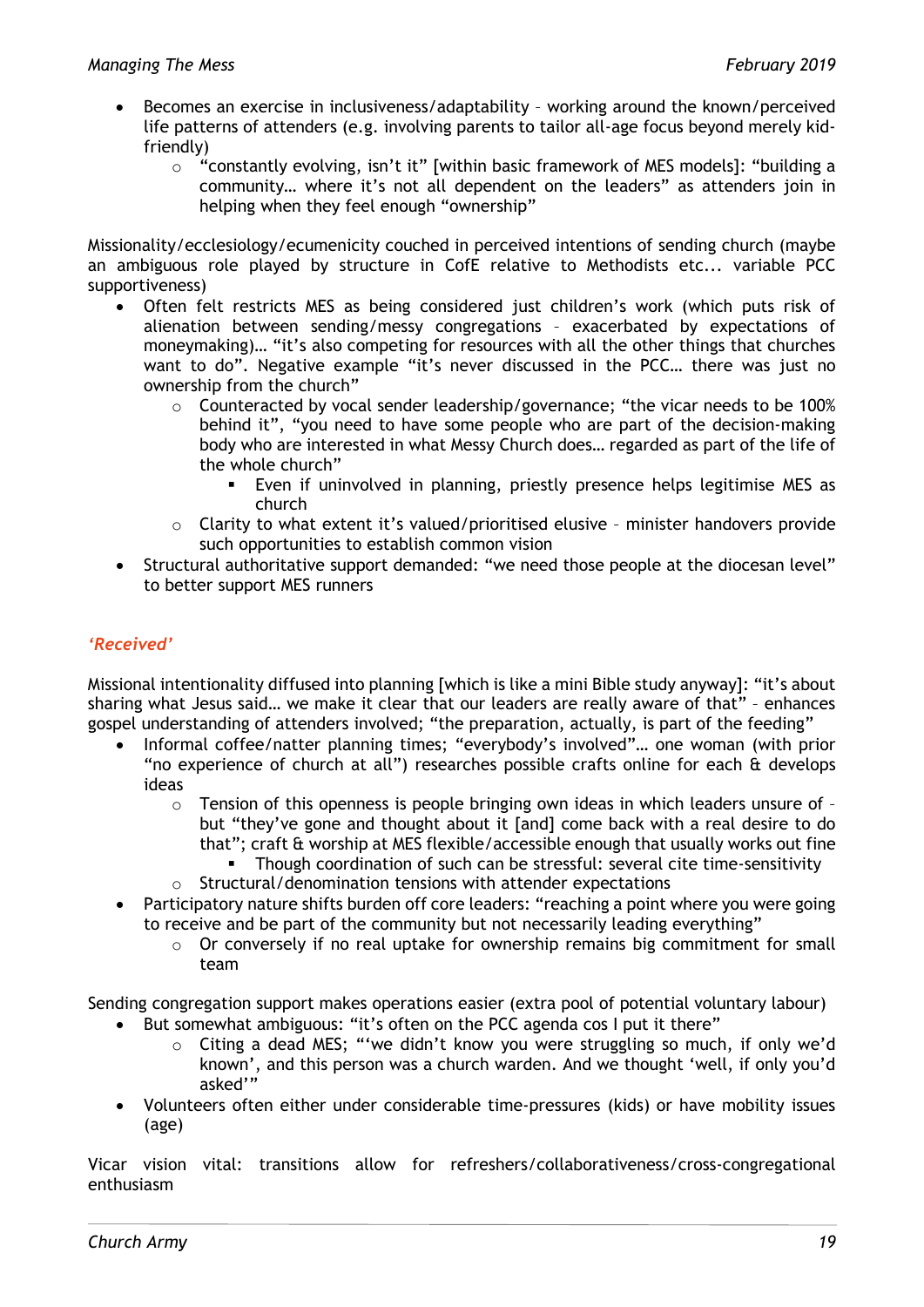- Becomes an exercise in inclusiveness/adaptability working around the known/perceived life patterns of attenders (e.g. involving parents to tailor all-age focus beyond merely kidfriendly)
	- o "constantly evolving, isn't it" [within basic framework of MES models]: "building a community… where it's not all dependent on the leaders" as attenders join in helping when they feel enough "ownership"

Missionality/ecclesiology/ecumenicity couched in perceived intentions of sending church (maybe an ambiguous role played by structure in CofE relative to Methodists etc... variable PCC supportiveness)

- Often felt restricts MES as being considered just children's work (which puts risk of alienation between sending/messy congregations – exacerbated by expectations of moneymaking)… "it's also competing for resources with all the other things that churches want to do". Negative example "it's never discussed in the PCC… there was just no ownership from the church"
	- $\circ$  Counteracted by vocal sender leadership/governance; "the vicar needs to be 100% behind it", "you need to have some people who are part of the decision-making body who are interested in what Messy Church does… regarded as part of the life of the whole church"
		- Even if uninvolved in planning, priestly presence helps legitimise MES as church
	- $\circ$  Clarity to what extent it's valued/prioritised elusive minister handovers provide such opportunities to establish common vision
- Structural authoritative support demanded: "we need those people at the diocesan level" to better support MES runners

# *'Received'*

Missional intentionality diffused into planning [which is like a mini Bible study anyway]: "it's about sharing what Jesus said… we make it clear that our leaders are really aware of that" – enhances gospel understanding of attenders involved; "the preparation, actually, is part of the feeding"

- Informal coffee/natter planning times; "everybody's involved"… one woman (with prior "no experience of church at all") researches possible crafts online for each & develops ideas
	- o Tension of this openness is people bringing own ideas in which leaders unsure of but "they've gone and thought about it [and] come back with a real desire to do that"; craft & worship at MES flexible/accessible enough that usually works out fine
		- Though coordination of such can be stressful: several cite time-sensitivity
	- o Structural/denomination tensions with attender expectations
- Participatory nature shifts burden off core leaders: "reaching a point where you were going to receive and be part of the community but not necessarily leading everything"
	- $\circ$  Or conversely if no real uptake for ownership remains big commitment for small team

Sending congregation support makes operations easier (extra pool of potential voluntary labour)

- But somewhat ambiguous: "it's often on the PCC agenda cos I put it there"
	- o Citing a dead MES; "'we didn't know you were struggling so much, if only we'd known', and this person was a church warden. And we thought 'well, if only you'd asked'"
- Volunteers often either under considerable time-pressures (kids) or have mobility issues (age)

Vicar vision vital: transitions allow for refreshers/collaborativeness/cross-congregational enthusiasm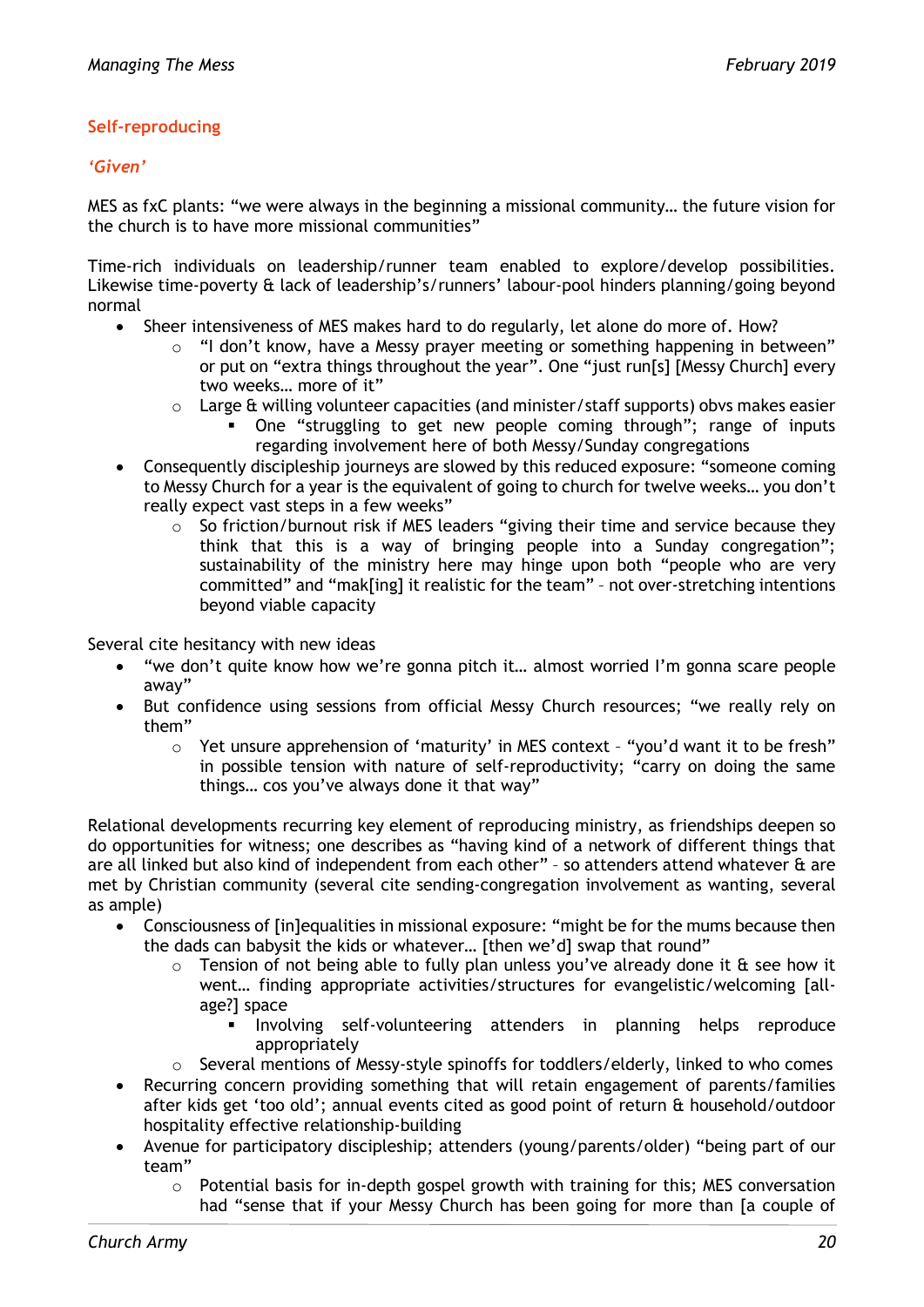# **Self-reproducing**

#### *'Given'*

MES as fxC plants: "we were always in the beginning a missional community… the future vision for the church is to have more missional communities"

Time-rich individuals on leadership/runner team enabled to explore/develop possibilities. Likewise time-poverty & lack of leadership's/runners' labour-pool hinders planning/going beyond normal

- Sheer intensiveness of MES makes hard to do regularly, let alone do more of. How?
	- $\circ$  "I don't know, have a Messy prayer meeting or something happening in between" or put on "extra things throughout the year". One "just run[s] [Messy Church] every two weeks… more of it"
	- $\circ$  Large & willing volunteer capacities (and minister/staff supports) obvs makes easier
		- One "struggling to get new people coming through"; range of inputs regarding involvement here of both Messy/Sunday congregations
- Consequently discipleship journeys are slowed by this reduced exposure: "someone coming to Messy Church for a year is the equivalent of going to church for twelve weeks… you don't really expect vast steps in a few weeks"
	- $\circ$  So friction/burnout risk if MES leaders "giving their time and service because they think that this is a way of bringing people into a Sunday congregation"; sustainability of the ministry here may hinge upon both "people who are very committed" and "mak[ing] it realistic for the team" – not over-stretching intentions beyond viable capacity

Several cite hesitancy with new ideas

- "we don't quite know how we're gonna pitch it… almost worried I'm gonna scare people away"
- But confidence using sessions from official Messy Church resources; "we really rely on them"
	- o Yet unsure apprehension of 'maturity' in MES context "you'd want it to be fresh" in possible tension with nature of self-reproductivity; "carry on doing the same things… cos you've always done it that way"

Relational developments recurring key element of reproducing ministry, as friendships deepen so do opportunities for witness; one describes as "having kind of a network of different things that are all linked but also kind of independent from each other" - so attenders attend whatever & are met by Christian community (several cite sending-congregation involvement as wanting, several as ample)

- Consciousness of [in]equalities in missional exposure: "might be for the mums because then the dads can babysit the kids or whatever… [then we'd] swap that round"
	- $\circ$  Tension of not being able to fully plan unless you've already done it  $\alpha$  see how it went… finding appropriate activities/structures for evangelistic/welcoming [allage?] space
		- **Involving self-volunteering attenders in planning helps reproduce** appropriately
	- $\circ$  Several mentions of Messy-style spinoffs for toddlers/elderly, linked to who comes
- Recurring concern providing something that will retain engagement of parents/families after kids get 'too old'; annual events cited as good point of return & household/outdoor hospitality effective relationship-building
- Avenue for participatory discipleship; attenders (young/parents/older) "being part of our team"
	- $\circ$  Potential basis for in-depth gospel growth with training for this; MES conversation had "sense that if your Messy Church has been going for more than [a couple of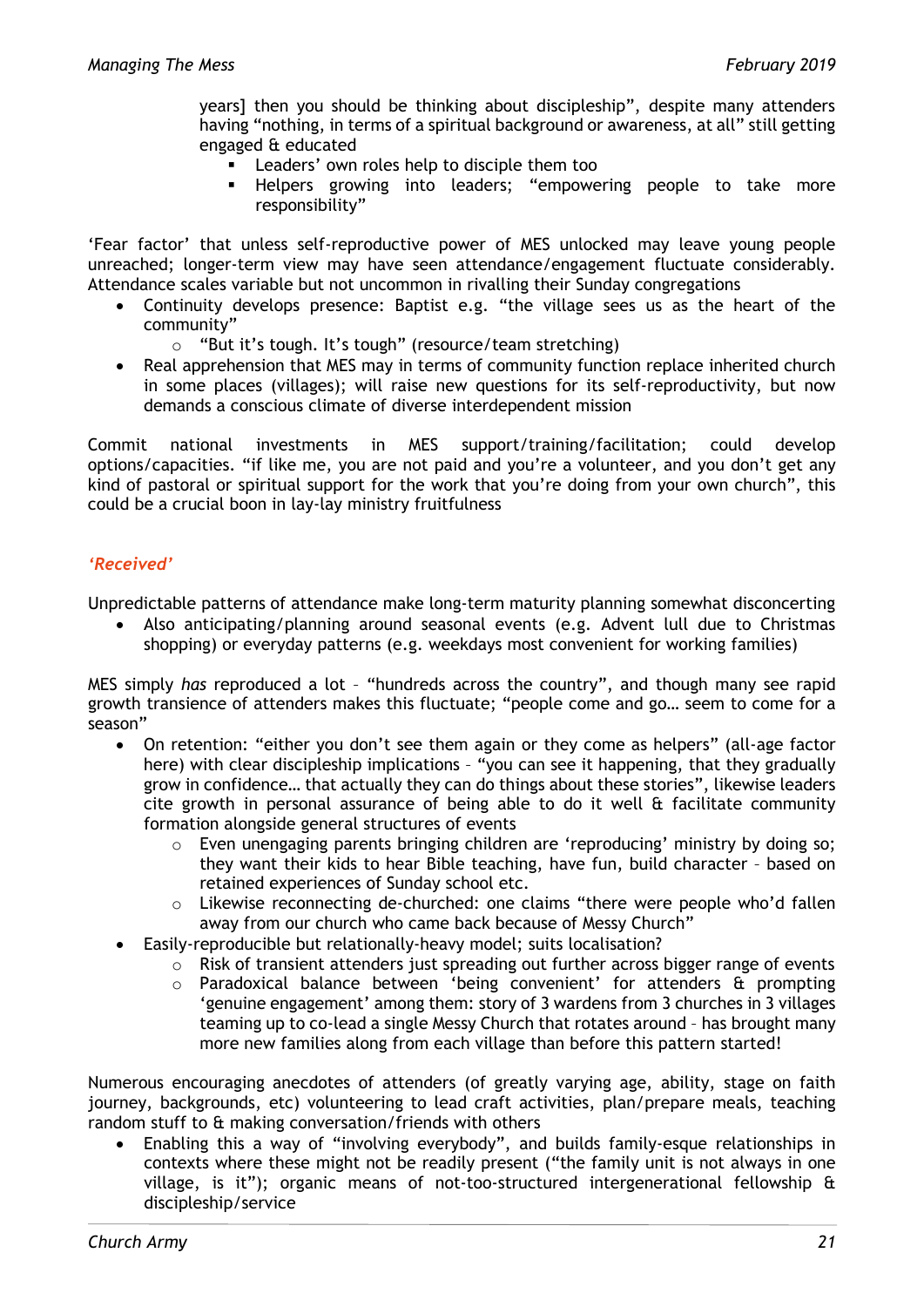years] then you should be thinking about discipleship", despite many attenders having "nothing, in terms of a spiritual background or awareness, at all" still getting engaged & educated

- **EXEC** Leaders' own roles help to disciple them too
- Helpers growing into leaders; "empowering people to take more responsibility"

'Fear factor' that unless self-reproductive power of MES unlocked may leave young people unreached; longer-term view may have seen attendance/engagement fluctuate considerably. Attendance scales variable but not uncommon in rivalling their Sunday congregations

- Continuity develops presence: Baptist e.g. "the village sees us as the heart of the community"
	- o "But it's tough. It's tough" (resource/team stretching)
- Real apprehension that MES may in terms of community function replace inherited church in some places (villages); will raise new questions for its self-reproductivity, but now demands a conscious climate of diverse interdependent mission

Commit national investments in MES support/training/facilitation; could develop options/capacities. "if like me, you are not paid and you're a volunteer, and you don't get any kind of pastoral or spiritual support for the work that you're doing from your own church", this could be a crucial boon in lay-lay ministry fruitfulness

#### *'Received'*

Unpredictable patterns of attendance make long-term maturity planning somewhat disconcerting

• Also anticipating/planning around seasonal events (e.g. Advent lull due to Christmas shopping) or everyday patterns (e.g. weekdays most convenient for working families)

MES simply *has* reproduced a lot – "hundreds across the country", and though many see rapid growth transience of attenders makes this fluctuate; "people come and go… seem to come for a season"

- On retention: "either you don't see them again or they come as helpers" (all-age factor here) with clear discipleship implications - "you can see it happening, that they gradually grow in confidence… that actually they can do things about these stories", likewise leaders cite growth in personal assurance of being able to do it well  $\alpha$  facilitate community formation alongside general structures of events
	- o Even unengaging parents bringing children are 'reproducing' ministry by doing so; they want their kids to hear Bible teaching, have fun, build character – based on retained experiences of Sunday school etc.
	- o Likewise reconnecting de-churched: one claims "there were people who'd fallen away from our church who came back because of Messy Church"
- Easily-reproducible but relationally-heavy model; suits localisation?
	- o Risk of transient attenders just spreading out further across bigger range of events
	- o Paradoxical balance between 'being convenient' for attenders & prompting 'genuine engagement' among them: story of 3 wardens from 3 churches in 3 villages teaming up to co-lead a single Messy Church that rotates around – has brought many more new families along from each village than before this pattern started!

Numerous encouraging anecdotes of attenders (of greatly varying age, ability, stage on faith journey, backgrounds, etc) volunteering to lead craft activities, plan/prepare meals, teaching random stuff to & making conversation/friends with others

• Enabling this a way of "involving everybody", and builds family-esque relationships in contexts where these might not be readily present ("the family unit is not always in one village, is it"); organic means of not-too-structured intergenerational fellowship & discipleship/service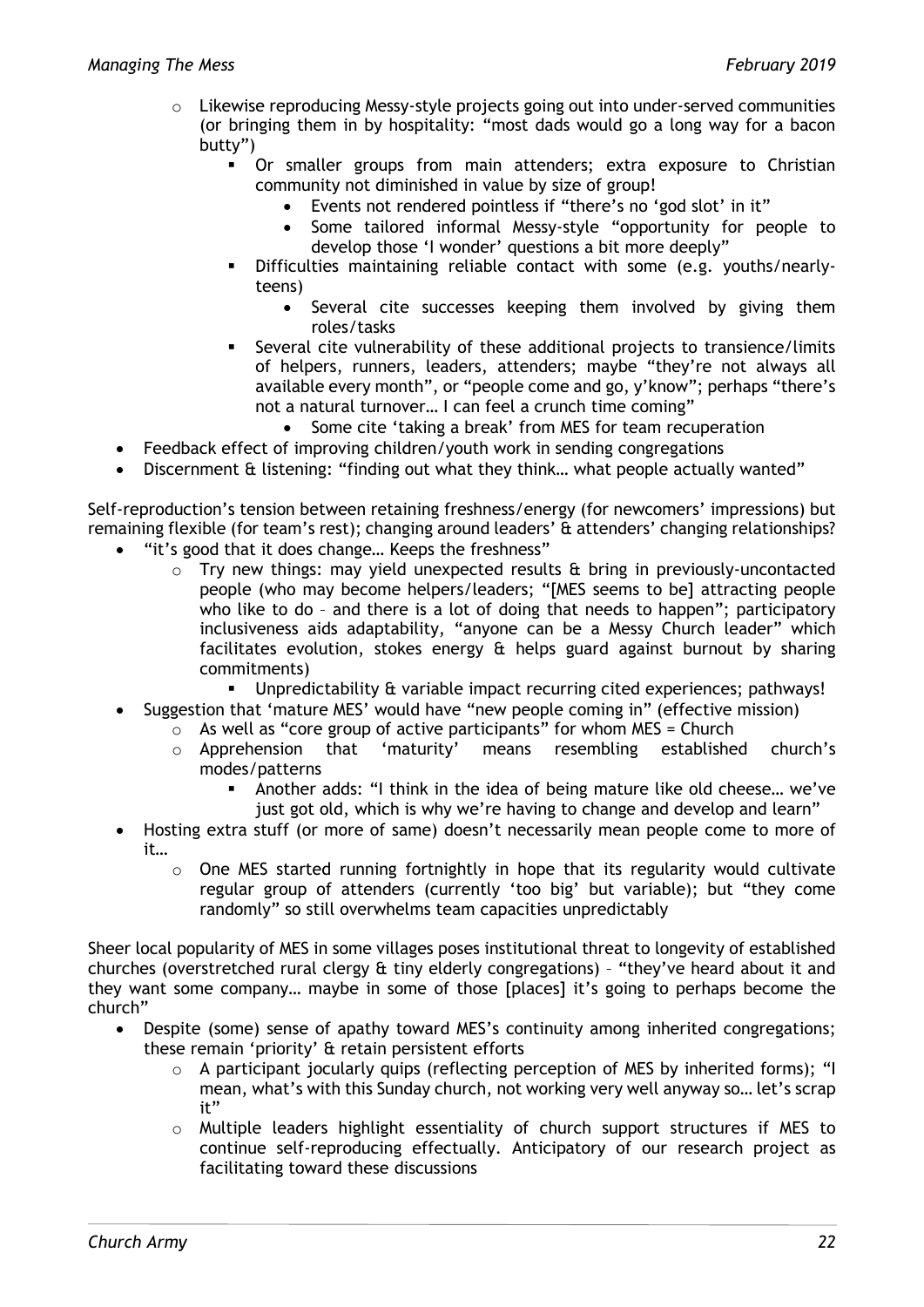- o Likewise reproducing Messy-style projects going out into under-served communities (or bringing them in by hospitality: "most dads would go a long way for a bacon butty")
	- Or smaller groups from main attenders; extra exposure to Christian community not diminished in value by size of group!
		- Events not rendered pointless if "there's no 'god slot' in it"
		- Some tailored informal Messy-style "opportunity for people to develop those 'I wonder' questions a bit more deeply"
	- Difficulties maintaining reliable contact with some (e.g. youths/nearlyteens)
		- Several cite successes keeping them involved by giving them roles/tasks
	- Several cite vulnerability of these additional projects to transience/limits of helpers, runners, leaders, attenders; maybe "they're not always all available every month", or "people come and go, y'know"; perhaps "there's not a natural turnover… I can feel a crunch time coming"
		- Some cite 'taking a break' from MES for team recuperation
- Feedback effect of improving children/youth work in sending congregations
- Discernment & listening: "finding out what they think… what people actually wanted"

Self-reproduction's tension between retaining freshness/energy (for newcomers' impressions) but remaining flexible (for team's rest); changing around leaders' & attenders' changing relationships?

- "it's good that it does change… Keeps the freshness"
	- $\circ$  Try new things: may vield unexpected results & bring in previously-uncontacted people (who may become helpers/leaders; "[MES seems to be] attracting people who like to do - and there is a lot of doing that needs to happen"; participatory inclusiveness aids adaptability, "anyone can be a Messy Church leader" which facilitates evolution, stokes energy & helps guard against burnout by sharing commitments)
		- Unpredictability & variable impact recurring cited experiences; pathways!
- Suggestion that 'mature MES' would have "new people coming in" (effective mission)
	- $\circ$  As well as "core group of active participants" for whom MES = Church
		- o Apprehension that 'maturity' means resembling established church's modes/patterns
			- Another adds: "I think in the idea of being mature like old cheese… we've just got old, which is why we're having to change and develop and learn"
- Hosting extra stuff (or more of same) doesn't necessarily mean people come to more of it…
	- $\circ$  One MES started running fortnightly in hope that its regularity would cultivate regular group of attenders (currently 'too big' but variable); but "they come randomly" so still overwhelms team capacities unpredictably

Sheer local popularity of MES in some villages poses institutional threat to longevity of established churches (overstretched rural clergy & tiny elderly congregations) – "they've heard about it and they want some company… maybe in some of those [places] it's going to perhaps become the church"

- Despite (some) sense of apathy toward MES's continuity among inherited congregations; these remain 'priority' & retain persistent efforts
	- $\circ$  A participant jocularly quips (reflecting perception of MES by inherited forms); "I mean, what's with this Sunday church, not working very well anyway so… let's scrap it"
	- o Multiple leaders highlight essentiality of church support structures if MES to continue self-reproducing effectually. Anticipatory of our research project as facilitating toward these discussions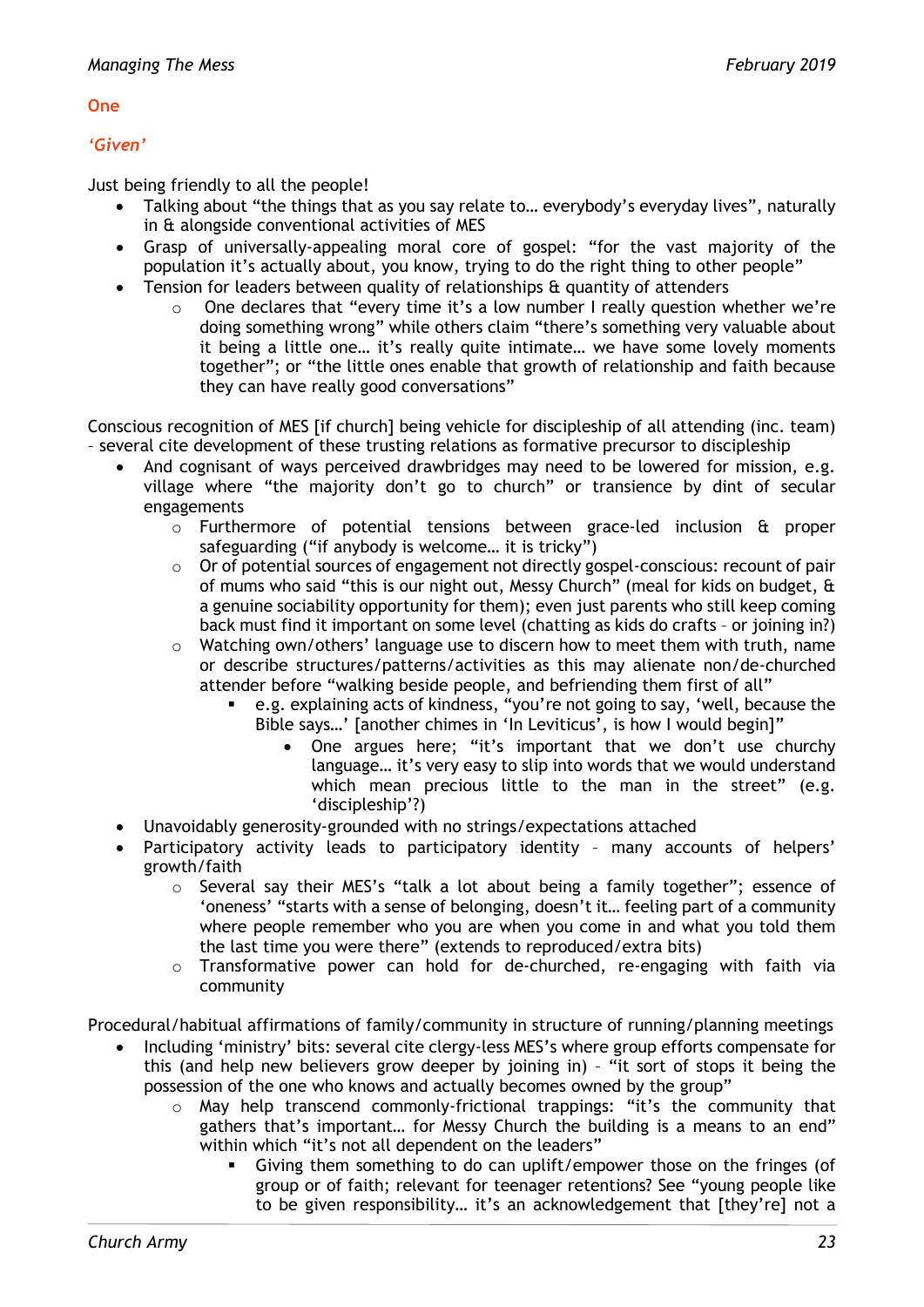#### **One**

#### *'Given'*

Just being friendly to all the people!

- Talking about "the things that as you say relate to... everybody's everyday lives", naturally in & alongside conventional activities of MES
- Grasp of universally-appealing moral core of gospel: "for the vast majority of the population it's actually about, you know, trying to do the right thing to other people"
- Tension for leaders between quality of relationships & quantity of attenders
	- o One declares that "every time it's a low number I really question whether we're doing something wrong" while others claim "there's something very valuable about it being a little one… it's really quite intimate… we have some lovely moments together"; or "the little ones enable that growth of relationship and faith because they can have really good conversations"

Conscious recognition of MES [if church] being vehicle for discipleship of all attending (inc. team) – several cite development of these trusting relations as formative precursor to discipleship

- And cognisant of ways perceived drawbridges may need to be lowered for mission, e.g. village where "the majority don't go to church" or transience by dint of secular engagements
	- $\circ$  Furthermore of potential tensions between grace-led inclusion  $\theta$  proper safeguarding ("if anybody is welcome… it is tricky")
	- $\circ$  Or of potential sources of engagement not directly gospel-conscious: recount of pair of mums who said "this is our night out, Messy Church" (meal for kids on budget, & a genuine sociability opportunity for them); even just parents who still keep coming back must find it important on some level (chatting as kids do crafts – or joining in?)
	- o Watching own/others' language use to discern how to meet them with truth, name or describe structures/patterns/activities as this may alienate non/de-churched attender before "walking beside people, and befriending them first of all"
		- e.g. explaining acts of kindness, "you're not going to say, 'well, because the Bible says…' [another chimes in 'In Leviticus', is how I would begin]"
			- One argues here; "it's important that we don't use churchy language… it's very easy to slip into words that we would understand which mean precious little to the man in the street" (e.g. 'discipleship'?)
- Unavoidably generosity-grounded with no strings/expectations attached
- Participatory activity leads to participatory identity many accounts of helpers' growth/faith
	- o Several say their MES's "talk a lot about being a family together"; essence of 'oneness' "starts with a sense of belonging, doesn't it… feeling part of a community where people remember who you are when you come in and what you told them the last time you were there" (extends to reproduced/extra bits)
	- $\circ$  Transformative power can hold for de-churched, re-engaging with faith via community

Procedural/habitual affirmations of family/community in structure of running/planning meetings

- Including 'ministry' bits: several cite clergy-less MES's where group efforts compensate for this (and help new believers grow deeper by joining in) – "it sort of stops it being the possession of the one who knows and actually becomes owned by the group"
	- $\circ$  May help transcend commonly-frictional trappings: "it's the community that gathers that's important… for Messy Church the building is a means to an end" within which "it's not all dependent on the leaders"
		- Giving them something to do can uplift/empower those on the fringes (of group or of faith; relevant for teenager retentions? See "young people like to be given responsibility… it's an acknowledgement that [they're] not a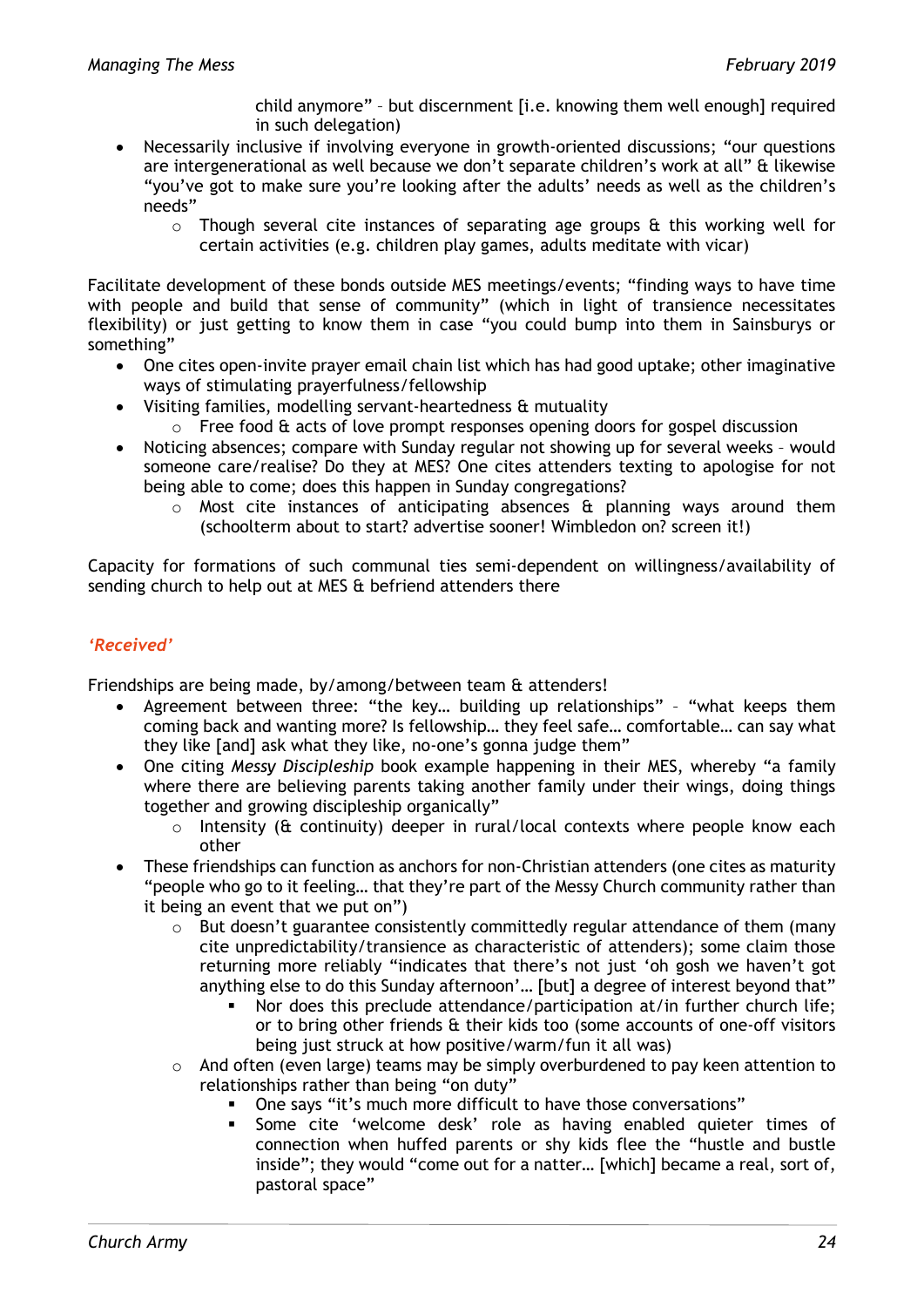child anymore" – but discernment [i.e. knowing them well enough] required in such delegation)

- Necessarily inclusive if involving everyone in growth-oriented discussions; "our questions are intergenerational as well because we don't separate children's work at all" & likewise "you've got to make sure you're looking after the adults' needs as well as the children's needs"
	- $\circ$  Though several cite instances of separating age groups & this working well for certain activities (e.g. children play games, adults meditate with vicar)

Facilitate development of these bonds outside MES meetings/events; "finding ways to have time with people and build that sense of community" (which in light of transience necessitates flexibility) or just getting to know them in case "you could bump into them in Sainsburys or something"

- One cites open-invite prayer email chain list which has had good uptake; other imaginative ways of stimulating prayerfulness/fellowship
- Visiting families, modelling servant-heartedness & mutuality
	- $\circ$  Free food  $\theta$  acts of love prompt responses opening doors for gospel discussion
- Noticing absences; compare with Sunday regular not showing up for several weeks would someone care/realise? Do they at MES? One cites attenders texting to apologise for not being able to come; does this happen in Sunday congregations?
	- $\circ$  Most cite instances of anticipating absences  $\hat{a}$  planning ways around them (schoolterm about to start? advertise sooner! Wimbledon on? screen it!)

Capacity for formations of such communal ties semi-dependent on willingness/availability of sending church to help out at MES & befriend attenders there

# *'Received'*

Friendships are being made, by/among/between team & attenders!

- Agreement between three: "the key… building up relationships" "what keeps them coming back and wanting more? Is fellowship… they feel safe… comfortable… can say what they like [and] ask what they like, no-one's gonna judge them"
- One citing *Messy Discipleship* book example happening in their MES, whereby "a family where there are believing parents taking another family under their wings, doing things together and growing discipleship organically"
	- $\circ$  Intensity ( $\&$  continuity) deeper in rural/local contexts where people know each other
- These friendships can function as anchors for non-Christian attenders (one cites as maturity "people who go to it feeling… that they're part of the Messy Church community rather than it being an event that we put on")
	- $\circ$  But doesn't guarantee consistently committedly regular attendance of them (many cite unpredictability/transience as characteristic of attenders); some claim those returning more reliably "indicates that there's not just 'oh gosh we haven't got anything else to do this Sunday afternoon'… [but] a degree of interest beyond that"
		- Nor does this preclude attendance/participation at/in further church life; or to bring other friends & their kids too (some accounts of one-off visitors being just struck at how positive/warm/fun it all was)
	- $\circ$  And often (even large) teams may be simply overburdened to pay keen attention to relationships rather than being "on duty"
		- One says "it's much more difficult to have those conversations"
		- Some cite 'welcome desk' role as having enabled quieter times of connection when huffed parents or shy kids flee the "hustle and bustle inside"; they would "come out for a natter… [which] became a real, sort of, pastoral space"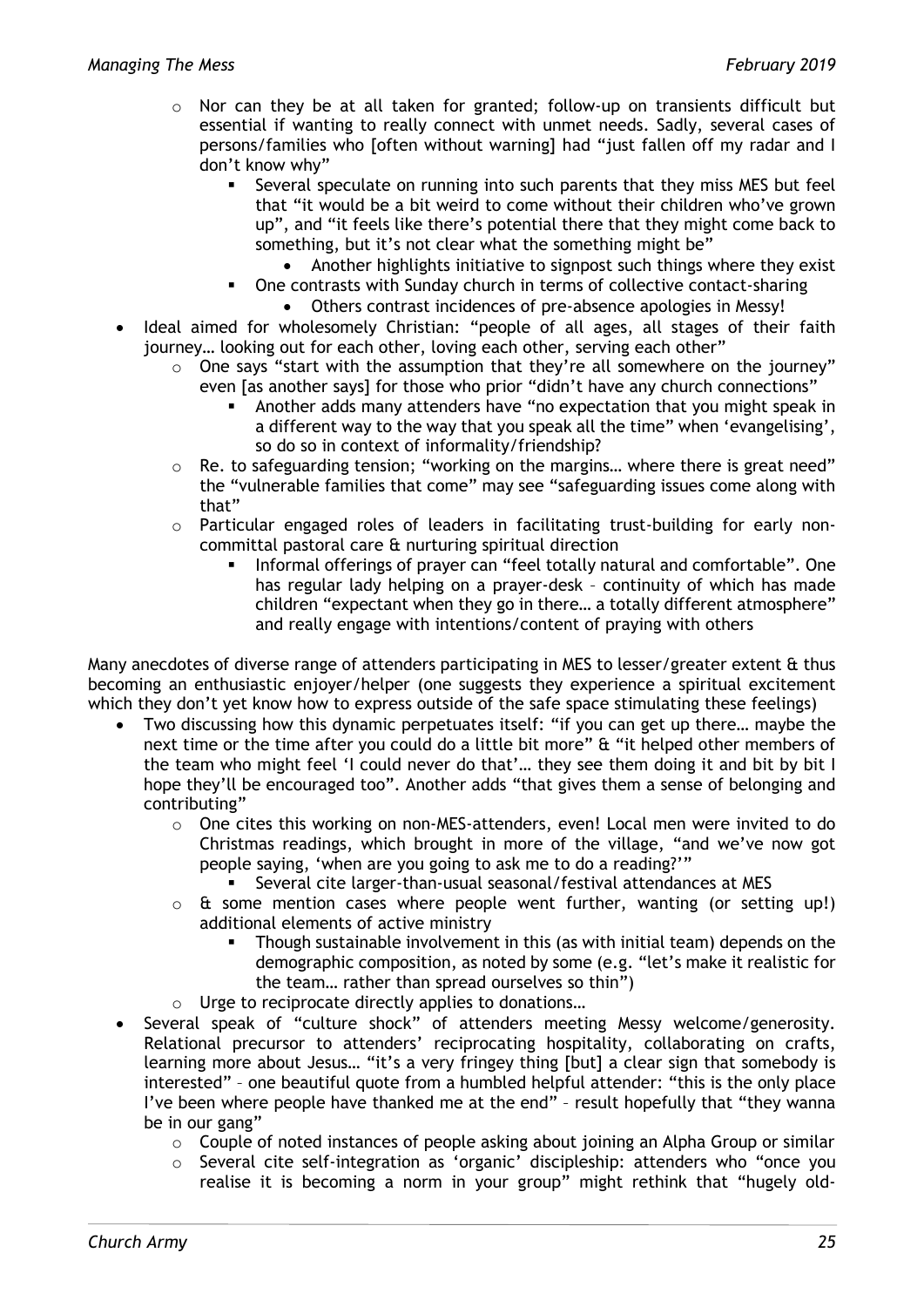- o Nor can they be at all taken for granted; follow-up on transients difficult but essential if wanting to really connect with unmet needs. Sadly, several cases of persons/families who [often without warning] had "just fallen off my radar and I don't know why"
	- Several speculate on running into such parents that they miss MES but feel that "it would be a bit weird to come without their children who've grown up", and "it feels like there's potential there that they might come back to something, but it's not clear what the something might be"
		- Another highlights initiative to signpost such things where they exist
	- One contrasts with Sunday church in terms of collective contact-sharing Others contrast incidences of pre-absence apologies in Messy!
- Ideal aimed for wholesomely Christian: "people of all ages, all stages of their faith journey... looking out for each other, loving each other, serving each other"
	- $\circ$  One says "start with the assumption that they're all somewhere on the journey" even [as another says] for those who prior "didn't have any church connections"
		- Another adds many attenders have "no expectation that you might speak in a different way to the way that you speak all the time" when 'evangelising', so do so in context of informality/friendship?
	- o Re. to safeguarding tension; "working on the margins… where there is great need" the "vulnerable families that come" may see "safeguarding issues come along with that"
	- $\circ$  Particular engaged roles of leaders in facilitating trust-building for early noncommittal pastoral care & nurturing spiritual direction
		- Informal offerings of prayer can "feel totally natural and comfortable". One has regular lady helping on a prayer-desk – continuity of which has made children "expectant when they go in there… a totally different atmosphere" and really engage with intentions/content of praying with others

Many anecdotes of diverse range of attenders participating in MES to lesser/greater extent & thus becoming an enthusiastic enjoyer/helper (one suggests they experience a spiritual excitement which they don't yet know how to express outside of the safe space stimulating these feelings)

- Two discussing how this dynamic perpetuates itself: "if you can get up there… maybe the next time or the time after you could do a little bit more" & "it helped other members of the team who might feel 'I could never do that'… they see them doing it and bit by bit I hope they'll be encouraged too". Another adds "that gives them a sense of belonging and contributing"
	- $\circ$  One cites this working on non-MES-attenders, even! Local men were invited to do Christmas readings, which brought in more of the village, "and we've now got people saying, 'when are you going to ask me to do a reading?'"
		- Several cite larger-than-usual seasonal/festival attendances at MES
	- $\circ$  & some mention cases where people went further, wanting (or setting up!) additional elements of active ministry
		- Though sustainable involvement in this (as with initial team) depends on the demographic composition, as noted by some (e.g. "let's make it realistic for the team… rather than spread ourselves so thin")
	- o Urge to reciprocate directly applies to donations…
- Several speak of "culture shock" of attenders meeting Messy welcome/generosity. Relational precursor to attenders' reciprocating hospitality, collaborating on crafts, learning more about Jesus… "it's a very fringey thing [but] a clear sign that somebody is interested" – one beautiful quote from a humbled helpful attender: "this is the only place I've been where people have thanked me at the end" - result hopefully that "they wanna be in our gang"
	- o Couple of noted instances of people asking about joining an Alpha Group or similar
	- o Several cite self-integration as 'organic' discipleship: attenders who "once you realise it is becoming a norm in your group" might rethink that "hugely old-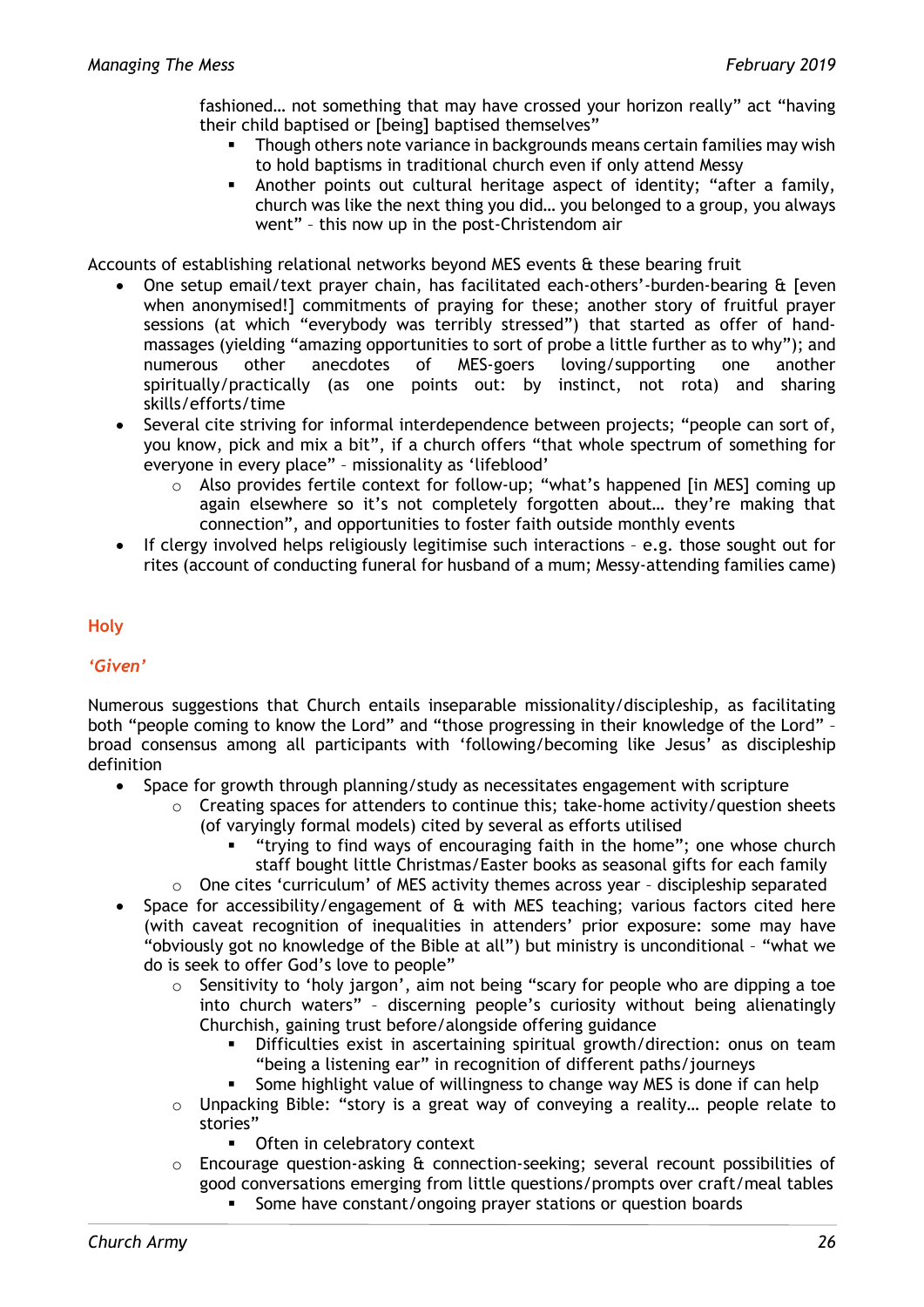fashioned… not something that may have crossed your horizon really" act "having their child baptised or [being] baptised themselves"

- **Though others note variance in backgrounds means certain families may wish** to hold baptisms in traditional church even if only attend Messy
- Another points out cultural heritage aspect of identity; "after a family, church was like the next thing you did… you belonged to a group, you always went" – this now up in the post-Christendom air

Accounts of establishing relational networks beyond MES events & these bearing fruit

- One setup email/text prayer chain, has facilitated each-others'-burden-bearing & [even when anonymised!] commitments of praying for these; another story of fruitful prayer sessions (at which "everybody was terribly stressed") that started as offer of handmassages (yielding "amazing opportunities to sort of probe a little further as to why"); and numerous other anecdotes of MES-goers loving/supporting one another spiritually/practically (as one points out: by instinct, not rota) and sharing skills/efforts/time
- Several cite striving for informal interdependence between projects; "people can sort of, you know, pick and mix a bit", if a church offers "that whole spectrum of something for everyone in every place" – missionality as 'lifeblood'
	- o Also provides fertile context for follow-up; "what's happened [in MES] coming up again elsewhere so it's not completely forgotten about… they're making that connection", and opportunities to foster faith outside monthly events
- If clergy involved helps religiously legitimise such interactions e.g. those sought out for rites (account of conducting funeral for husband of a mum; Messy-attending families came)

#### **Holy**

#### *'Given'*

Numerous suggestions that Church entails inseparable missionality/discipleship, as facilitating both "people coming to know the Lord" and "those progressing in their knowledge of the Lord" broad consensus among all participants with 'following/becoming like Jesus' as discipleship definition

- Space for growth through planning/study as necessitates engagement with scripture
	- o Creating spaces for attenders to continue this; take-home activity/question sheets (of varyingly formal models) cited by several as efforts utilised
		- "trying to find ways of encouraging faith in the home"; one whose church staff bought little Christmas/Easter books as seasonal gifts for each family
	- o One cites 'curriculum' of MES activity themes across year discipleship separated
- Space for accessibility/engagement of & with MES teaching; various factors cited here (with caveat recognition of inequalities in attenders' prior exposure: some may have "obviously got no knowledge of the Bible at all") but ministry is unconditional – "what we do is seek to offer God's love to people"
	- o Sensitivity to 'holy jargon', aim not being "scary for people who are dipping a toe into church waters" – discerning people's curiosity without being alienatingly Churchish, gaining trust before/alongside offering guidance
		- Difficulties exist in ascertaining spiritual growth/direction: onus on team "being a listening ear" in recognition of different paths/journeys
		- Some highlight value of willingness to change way MES is done if can help
	- o Unpacking Bible: "story is a great way of conveying a reality… people relate to stories"
		- Often in celebratory context
	- $\circ$  Encourage question-asking  $\theta$  connection-seeking; several recount possibilities of good conversations emerging from little questions/prompts over craft/meal tables
		- Some have constant/ongoing prayer stations or question boards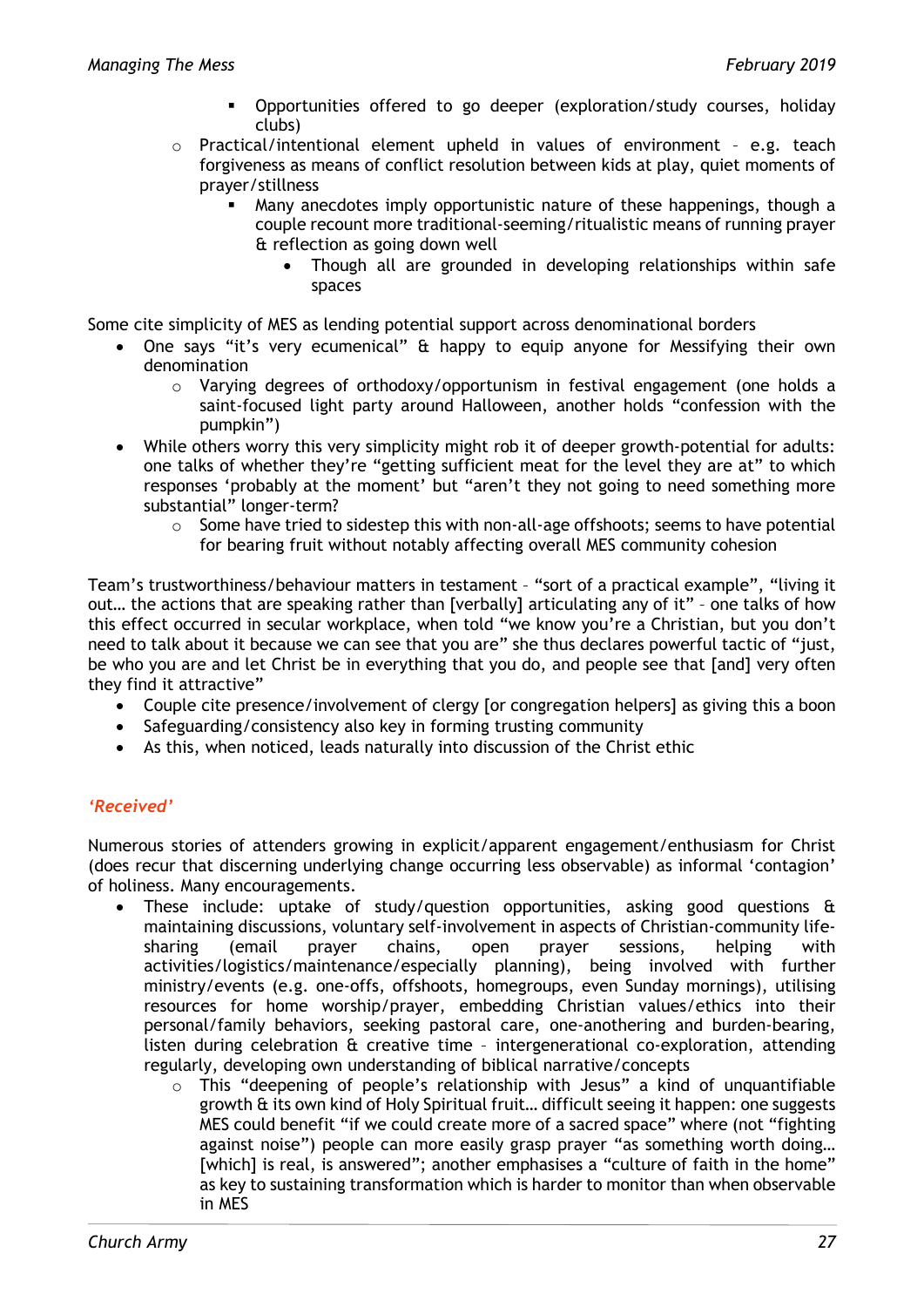- Opportunities offered to go deeper (exploration/study courses, holiday clubs)
- o Practical/intentional element upheld in values of environment e.g. teach forgiveness as means of conflict resolution between kids at play, quiet moments of prayer/stillness
	- Many anecdotes imply opportunistic nature of these happenings, though a couple recount more traditional-seeming/ritualistic means of running prayer & reflection as going down well
		- Though all are grounded in developing relationships within safe spaces

Some cite simplicity of MES as lending potential support across denominational borders

- One says "it's very ecumenical" & happy to equip anyone for Messifying their own denomination
	- o Varying degrees of orthodoxy/opportunism in festival engagement (one holds a saint-focused light party around Halloween, another holds "confession with the pumpkin")
- While others worry this very simplicity might rob it of deeper growth-potential for adults: one talks of whether they're "getting sufficient meat for the level they are at" to which responses 'probably at the moment' but "aren't they not going to need something more substantial" longer-term?
	- $\circ$  Some have tried to sidestep this with non-all-age offshoots; seems to have potential for bearing fruit without notably affecting overall MES community cohesion

Team's trustworthiness/behaviour matters in testament – "sort of a practical example", "living it out… the actions that are speaking rather than [verbally] articulating any of it" – one talks of how this effect occurred in secular workplace, when told "we know you're a Christian, but you don't need to talk about it because we can see that you are" she thus declares powerful tactic of "just, be who you are and let Christ be in everything that you do, and people see that [and] very often they find it attractive"

- Couple cite presence/involvement of clergy [or congregation helpers] as giving this a boon
- Safeguarding/consistency also key in forming trusting community
- As this, when noticed, leads naturally into discussion of the Christ ethic

# *'Received'*

Numerous stories of attenders growing in explicit/apparent engagement/enthusiasm for Christ (does recur that discerning underlying change occurring less observable) as informal 'contagion' of holiness. Many encouragements.

- These include: uptake of study/question opportunities, asking good questions & maintaining discussions, voluntary self-involvement in aspects of Christian-community life-<br>sharing (email praver chains, open praver sessions. helping with sharing (email prayer chains, open prayer sessions, helping with activities/logistics/maintenance/especially planning), being involved with further ministry/events (e.g. one-offs, offshoots, homegroups, even Sunday mornings), utilising resources for home worship/prayer, embedding Christian values/ethics into their personal/family behaviors, seeking pastoral care, one-anothering and burden-bearing, listen during celebration & creative time – intergenerational co-exploration, attending regularly, developing own understanding of biblical narrative/concepts
	- $\circ$  This "deepening of people's relationship with Jesus" a kind of unquantifiable growth & its own kind of Holy Spiritual fruit… difficult seeing it happen: one suggests MES could benefit "if we could create more of a sacred space" where (not "fighting against noise") people can more easily grasp prayer "as something worth doing… [which] is real, is answered"; another emphasises a "culture of faith in the home" as key to sustaining transformation which is harder to monitor than when observable in MES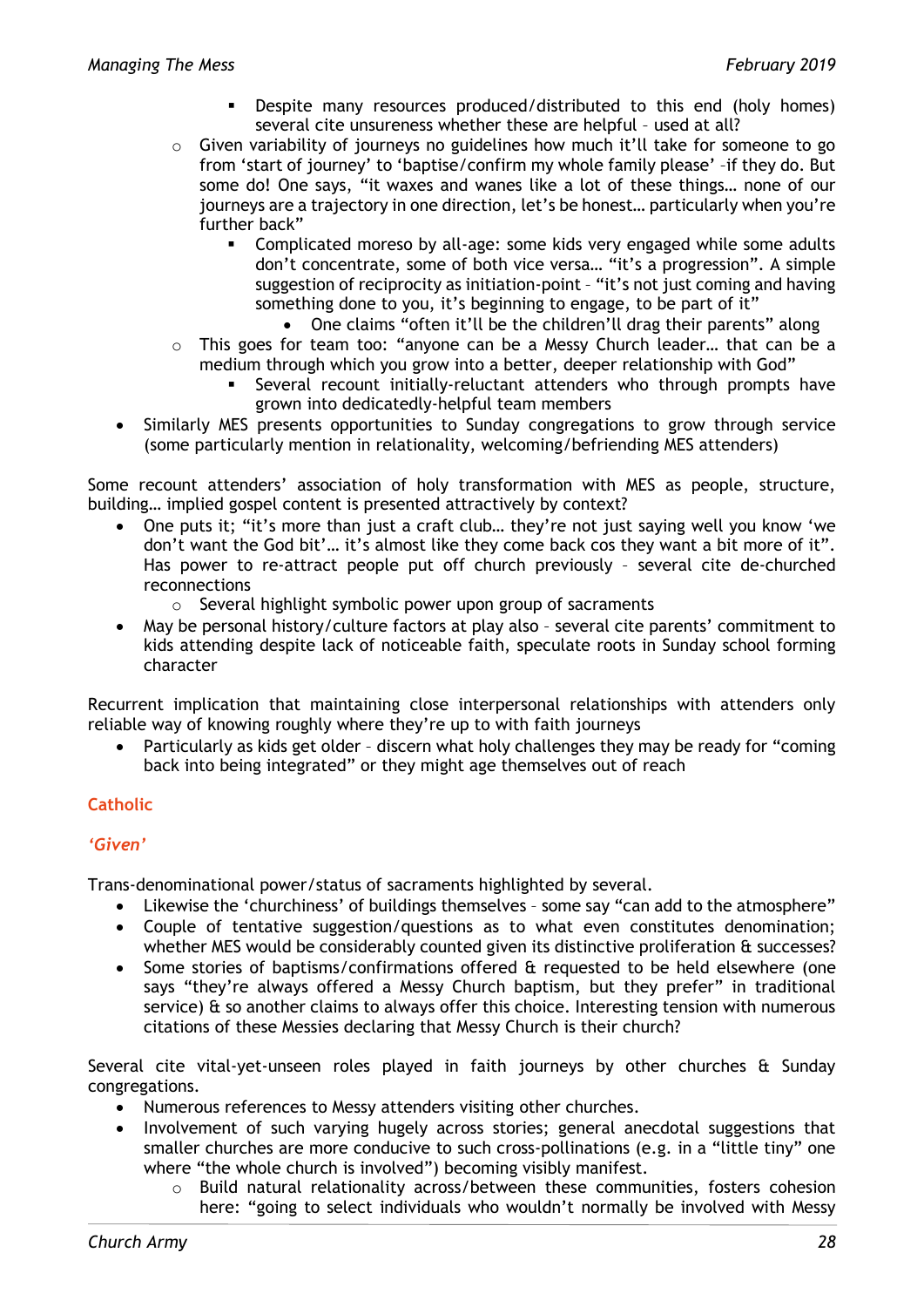- Despite many resources produced/distributed to this end (holy homes) several cite unsureness whether these are helpful – used at all?
- o Given variability of journeys no guidelines how much it'll take for someone to go from 'start of journey' to 'baptise/confirm my whole family please' –if they do. But some do! One says, "it waxes and wanes like a lot of these things… none of our journeys are a trajectory in one direction, let's be honest… particularly when you're further back"
	- Complicated moreso by all-age: some kids very engaged while some adults don't concentrate, some of both vice versa… "it's a progression". A simple suggestion of reciprocity as initiation-point – "it's not just coming and having something done to you, it's beginning to engage, to be part of it"
		- One claims "often it'll be the children'll drag their parents" along
- $\circ$  This goes for team too: "anyone can be a Messy Church leader... that can be a medium through which you grow into a better, deeper relationship with God"
	- Several recount initially-reluctant attenders who through prompts have grown into dedicatedly-helpful team members
- Similarly MES presents opportunities to Sunday congregations to grow through service (some particularly mention in relationality, welcoming/befriending MES attenders)

Some recount attenders' association of holy transformation with MES as people, structure, building… implied gospel content is presented attractively by context?

- One puts it; "it's more than just a craft club… they're not just saying well you know 'we don't want the God bit'… it's almost like they come back cos they want a bit more of it". Has power to re-attract people put off church previously – several cite de-churched reconnections
	- o Several highlight symbolic power upon group of sacraments
- May be personal history/culture factors at play also several cite parents' commitment to kids attending despite lack of noticeable faith, speculate roots in Sunday school forming character

Recurrent implication that maintaining close interpersonal relationships with attenders only reliable way of knowing roughly where they're up to with faith journeys

• Particularly as kids get older – discern what holy challenges they may be ready for "coming back into being integrated" or they might age themselves out of reach

# **Catholic**

# *'Given'*

Trans-denominational power/status of sacraments highlighted by several.

- Likewise the 'churchiness' of buildings themselves some say "can add to the atmosphere"
- Couple of tentative suggestion/questions as to what even constitutes denomination; whether MES would be considerably counted given its distinctive proliferation & successes?
- Some stories of baptisms/confirmations offered & requested to be held elsewhere (one says "they're always offered a Messy Church baptism, but they prefer" in traditional service)  $\hat{\sigma}$  so another claims to always offer this choice. Interesting tension with numerous citations of these Messies declaring that Messy Church is their church?

Several cite vital-yet-unseen roles played in faith journeys by other churches & Sunday congregations.

- Numerous references to Messy attenders visiting other churches.
- Involvement of such varying hugely across stories; general anecdotal suggestions that smaller churches are more conducive to such cross-pollinations (e.g. in a "little tiny" one where "the whole church is involved") becoming visibly manifest.
	- o Build natural relationality across/between these communities, fosters cohesion here: "going to select individuals who wouldn't normally be involved with Messy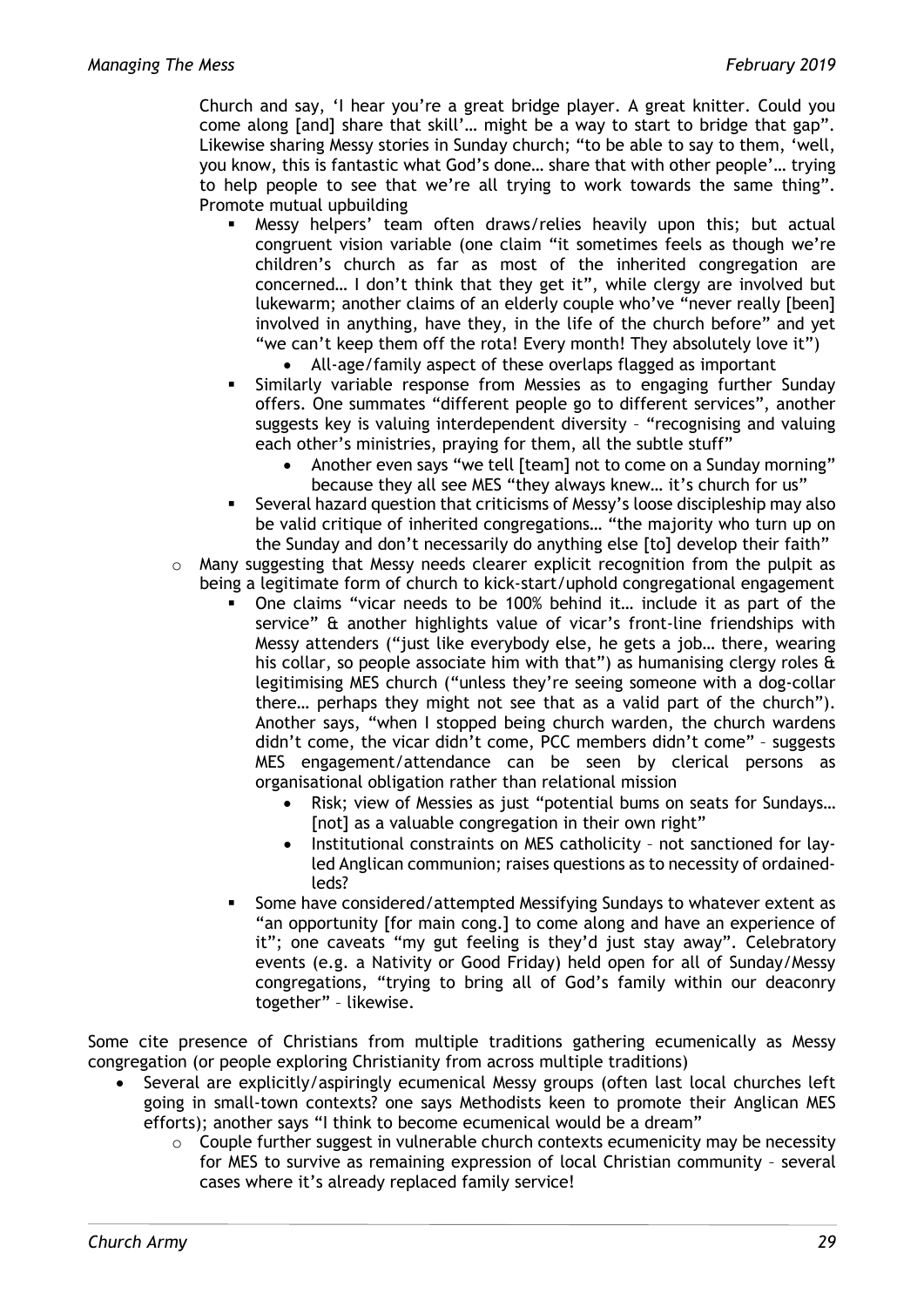Church and say, 'I hear you're a great bridge player. A great knitter. Could you come along [and] share that skill'… might be a way to start to bridge that gap". Likewise sharing Messy stories in Sunday church; "to be able to say to them, 'well, you know, this is fantastic what God's done… share that with other people'… trying to help people to see that we're all trying to work towards the same thing". Promote mutual upbuilding

- Messy helpers' team often draws/relies heavily upon this; but actual congruent vision variable (one claim "it sometimes feels as though we're children's church as far as most of the inherited congregation are concerned… I don't think that they get it", while clergy are involved but lukewarm; another claims of an elderly couple who've "never really [been] involved in anything, have they, in the life of the church before" and yet "we can't keep them off the rota! Every month! They absolutely love it")
	- All-age/family aspect of these overlaps flagged as important
- Similarly variable response from Messies as to engaging further Sunday offers. One summates "different people go to different services", another suggests key is valuing interdependent diversity – "recognising and valuing each other's ministries, praying for them, all the subtle stuff"
	- Another even says "we tell [team] not to come on a Sunday morning" because they all see MES "they always knew… it's church for us"
- Several hazard question that criticisms of Messy's loose discipleship may also be valid critique of inherited congregations… "the majority who turn up on the Sunday and don't necessarily do anything else [to] develop their faith"
- $\circ$  Many suggesting that Messy needs clearer explicit recognition from the pulpit as being a legitimate form of church to kick-start/uphold congregational engagement
	- One claims "vicar needs to be 100% behind it… include it as part of the service" & another highlights value of vicar's front-line friendships with Messy attenders ("just like everybody else, he gets a job… there, wearing his collar, so people associate him with that") as humanising clergy roles  $\alpha$ legitimising MES church ("unless they're seeing someone with a dog-collar there… perhaps they might not see that as a valid part of the church"). Another says, "when I stopped being church warden, the church wardens didn't come, the vicar didn't come, PCC members didn't come" – suggests MES engagement/attendance can be seen by clerical persons as organisational obligation rather than relational mission
		- Risk; view of Messies as just "potential bums on seats for Sundays… [not] as a valuable congregation in their own right"
		- Institutional constraints on MES catholicity not sanctioned for layled Anglican communion; raises questions as to necessity of ordainedleds?
	- Some have considered/attempted Messifying Sundays to whatever extent as "an opportunity [for main cong.] to come along and have an experience of it"; one caveats "my gut feeling is they'd just stay away". Celebratory events (e.g. a Nativity or Good Friday) held open for all of Sunday/Messy congregations, "trying to bring all of God's family within our deaconry together" – likewise.

Some cite presence of Christians from multiple traditions gathering ecumenically as Messy congregation (or people exploring Christianity from across multiple traditions)

- Several are explicitly/aspiringly ecumenical Messy groups (often last local churches left going in small-town contexts? one says Methodists keen to promote their Anglican MES efforts); another says "I think to become ecumenical would be a dream"
	- $\circ$  Couple further suggest in vulnerable church contexts ecumenicity may be necessity for MES to survive as remaining expression of local Christian community – several cases where it's already replaced family service!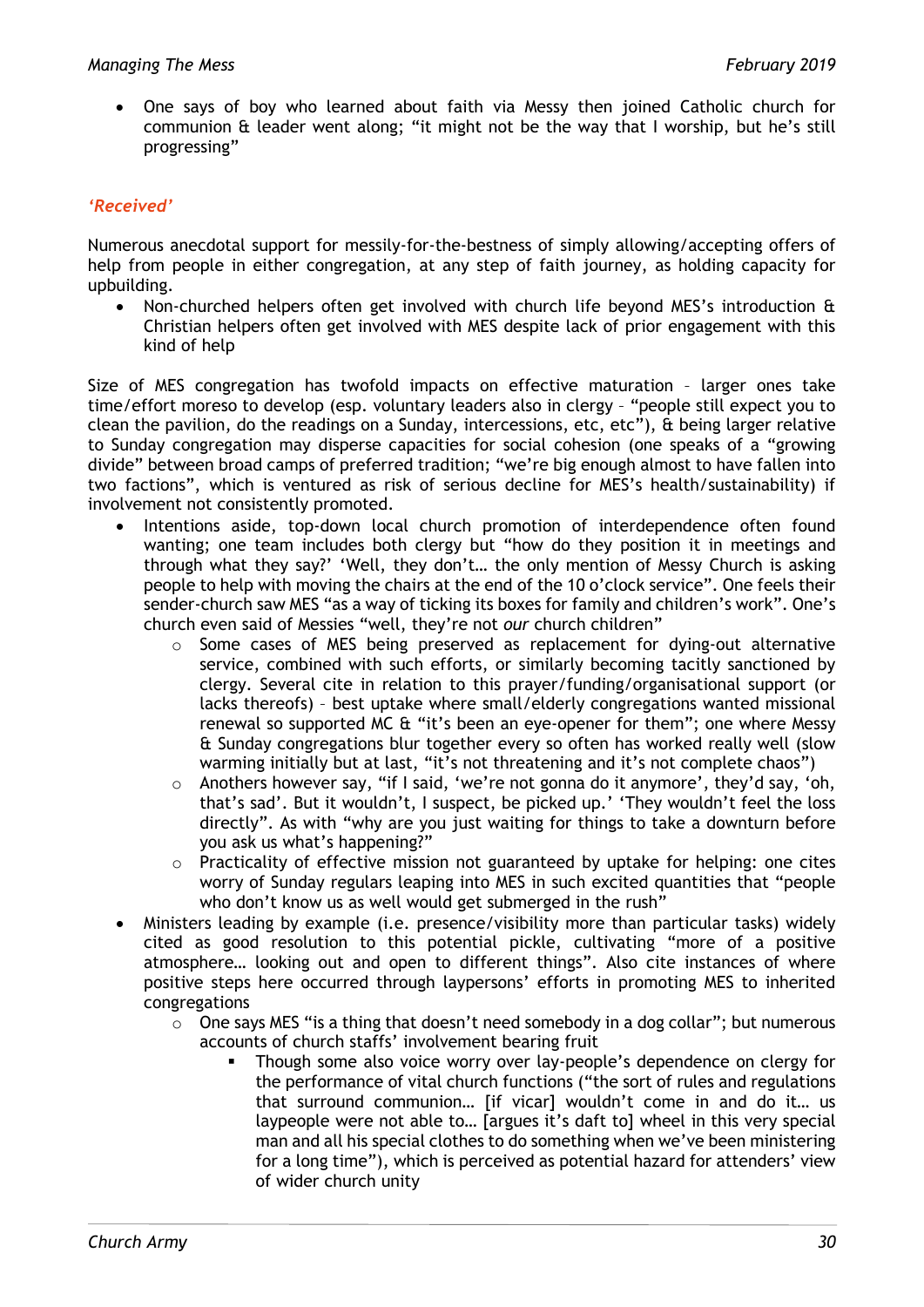• One says of boy who learned about faith via Messy then joined Catholic church for communion & leader went along; "it might not be the way that I worship, but he's still progressing"

# *'Received'*

Numerous anecdotal support for messily-for-the-bestness of simply allowing/accepting offers of help from people in either congregation, at any step of faith journey, as holding capacity for upbuilding.

• Non-churched helpers often get involved with church life beyond MES's introduction & Christian helpers often get involved with MES despite lack of prior engagement with this kind of help

Size of MES congregation has twofold impacts on effective maturation – larger ones take time/effort moreso to develop (esp. voluntary leaders also in clergy – "people still expect you to clean the pavilion, do the readings on a Sunday, intercessions, etc, etc"), & being larger relative to Sunday congregation may disperse capacities for social cohesion (one speaks of a "growing divide" between broad camps of preferred tradition; "we're big enough almost to have fallen into two factions", which is ventured as risk of serious decline for MES's health/sustainability) if involvement not consistently promoted.

- Intentions aside, top-down local church promotion of interdependence often found wanting; one team includes both clergy but "how do they position it in meetings and through what they say?' 'Well, they don't… the only mention of Messy Church is asking people to help with moving the chairs at the end of the 10 o'clock service". One feels their sender-church saw MES "as a way of ticking its boxes for family and children's work". One's church even said of Messies "well, they're not *our* church children"
	- $\circ$  Some cases of MES being preserved as replacement for dying-out alternative service, combined with such efforts, or similarly becoming tacitly sanctioned by clergy. Several cite in relation to this prayer/funding/organisational support (or lacks thereofs) – best uptake where small/elderly congregations wanted missional renewal so supported MC & "it's been an eye-opener for them"; one where Messy & Sunday congregations blur together every so often has worked really well (slow warming initially but at last, "it's not threatening and it's not complete chaos")
	- o Anothers however say, "if I said, 'we're not gonna do it anymore', they'd say, 'oh, that's sad'. But it wouldn't, I suspect, be picked up.' 'They wouldn't feel the loss directly". As with "why are you just waiting for things to take a downturn before you ask us what's happening?"
	- o Practicality of effective mission not guaranteed by uptake for helping: one cites worry of Sunday regulars leaping into MES in such excited quantities that "people who don't know us as well would get submerged in the rush"
- Ministers leading by example (i.e. presence/visibility more than particular tasks) widely cited as good resolution to this potential pickle, cultivating "more of a positive atmosphere… looking out and open to different things". Also cite instances of where positive steps here occurred through laypersons' efforts in promoting MES to inherited congregations
	- o One says MES "is a thing that doesn't need somebody in a dog collar"; but numerous accounts of church staffs' involvement bearing fruit
		- Though some also voice worry over lay-people's dependence on clergy for the performance of vital church functions ("the sort of rules and regulations that surround communion… [if vicar] wouldn't come in and do it… us laypeople were not able to… [argues it's daft to] wheel in this very special man and all his special clothes to do something when we've been ministering for a long time"), which is perceived as potential hazard for attenders' view of wider church unity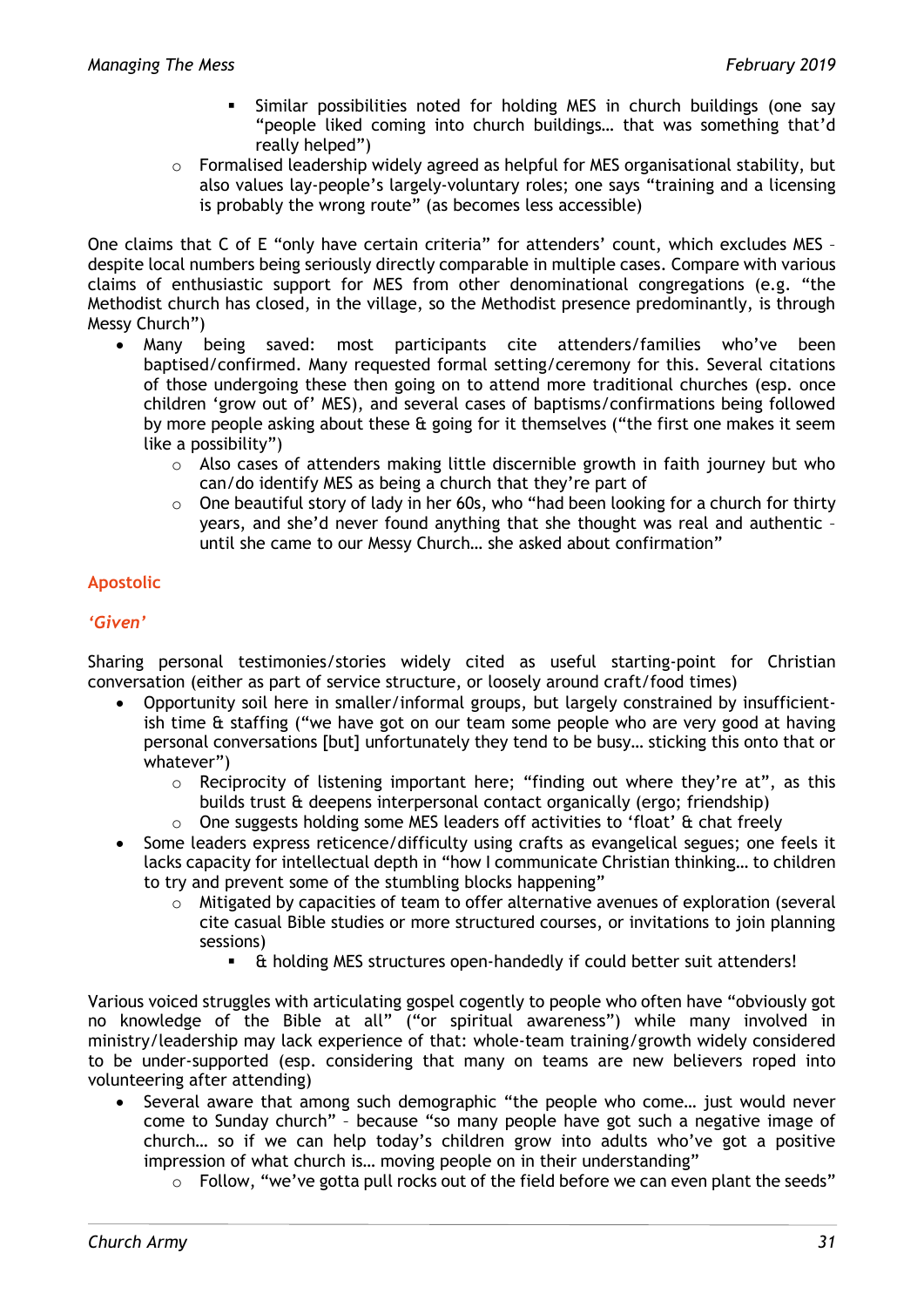- Similar possibilities noted for holding MES in church buildings (one say "people liked coming into church buildings… that was something that'd really helped")
- $\circ$  Formalised leadership widely agreed as helpful for MES organisational stability, but also values lay-people's largely-voluntary roles; one says "training and a licensing is probably the wrong route" (as becomes less accessible)

One claims that C of E "only have certain criteria" for attenders' count, which excludes MES despite local numbers being seriously directly comparable in multiple cases. Compare with various claims of enthusiastic support for MES from other denominational congregations (e.g. "the Methodist church has closed, in the village, so the Methodist presence predominantly, is through Messy Church")

- Many being saved: most participants cite attenders/families who've been baptised/confirmed. Many requested formal setting/ceremony for this. Several citations of those undergoing these then going on to attend more traditional churches (esp. once children 'grow out of' MES), and several cases of baptisms/confirmations being followed by more people asking about these & going for it themselves ("the first one makes it seem like a possibility")
	- $\circ$  Also cases of attenders making little discernible growth in faith journey but who can/do identify MES as being a church that they're part of
	- $\circ$  One beautiful story of lady in her 60s, who "had been looking for a church for thirty years, and she'd never found anything that she thought was real and authentic – until she came to our Messy Church… she asked about confirmation"

# **Apostolic**

# *'Given'*

Sharing personal testimonies/stories widely cited as useful starting-point for Christian conversation (either as part of service structure, or loosely around craft/food times)

- Opportunity soil here in smaller/informal groups, but largely constrained by insufficientish time & staffing ("we have got on our team some people who are very good at having personal conversations [but] unfortunately they tend to be busy… sticking this onto that or whatever")
	- o Reciprocity of listening important here; "finding out where they're at", as this builds trust & deepens interpersonal contact organically (ergo; friendship)
	- o One suggests holding some MES leaders off activities to 'float' & chat freely
- Some leaders express reticence/difficulty using crafts as evangelical segues; one feels it lacks capacity for intellectual depth in "how I communicate Christian thinking… to children to try and prevent some of the stumbling blocks happening"
	- $\circ$  Mitigated by capacities of team to offer alternative avenues of exploration (several cite casual Bible studies or more structured courses, or invitations to join planning sessions)
		- & holding MES structures open-handedly if could better suit attenders!

Various voiced struggles with articulating gospel cogently to people who often have "obviously got no knowledge of the Bible at all" ("or spiritual awareness") while many involved in ministry/leadership may lack experience of that: whole-team training/growth widely considered to be under-supported (esp. considering that many on teams are new believers roped into volunteering after attending)

- Several aware that among such demographic "the people who come… just would never come to Sunday church" – because "so many people have got such a negative image of church… so if we can help today's children grow into adults who've got a positive impression of what church is… moving people on in their understanding"
	- $\circ$  Follow, "we've gotta pull rocks out of the field before we can even plant the seeds"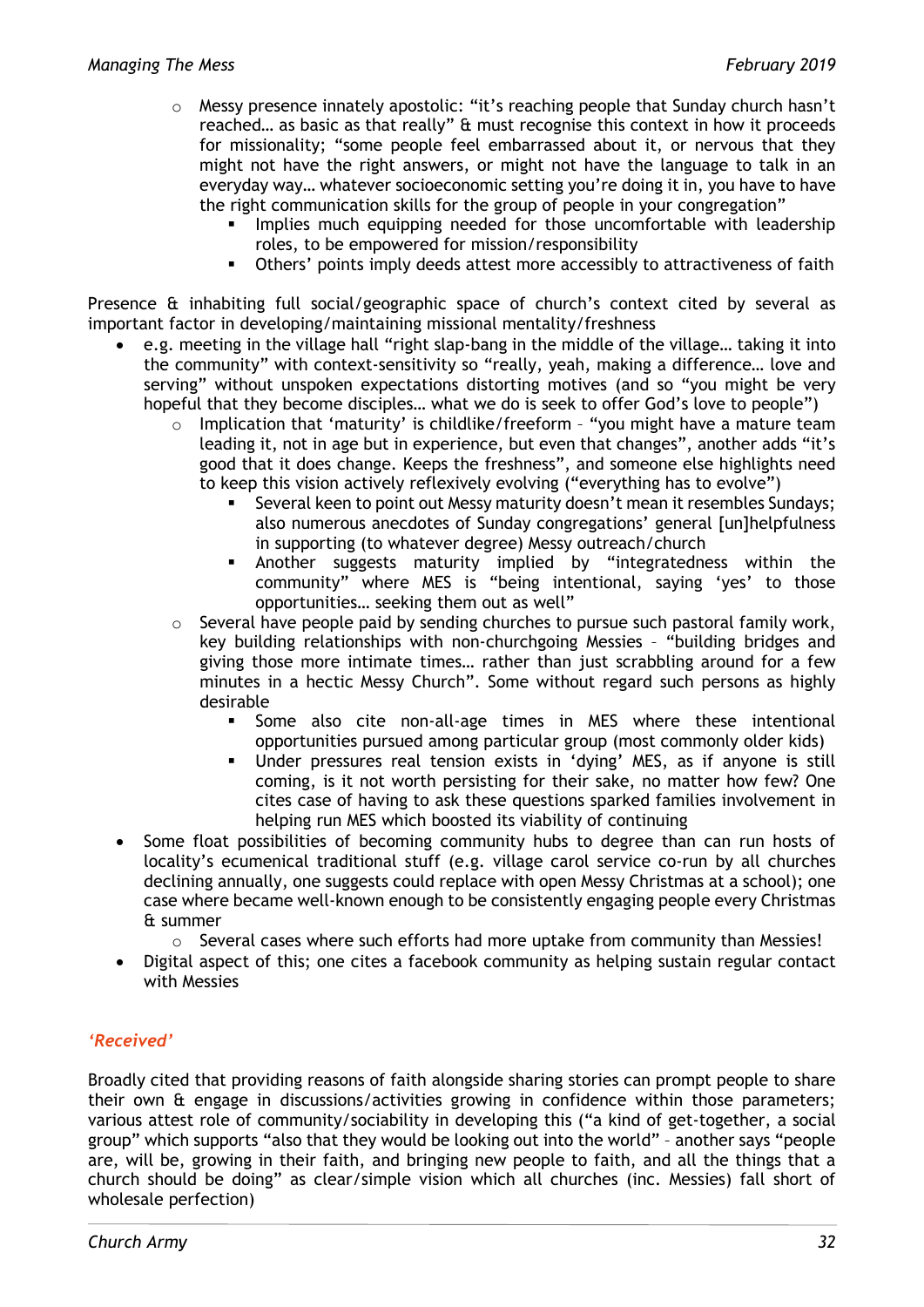- o Messy presence innately apostolic: "it's reaching people that Sunday church hasn't reached… as basic as that really" & must recognise this context in how it proceeds for missionality; "some people feel embarrassed about it, or nervous that they might not have the right answers, or might not have the language to talk in an everyday way… whatever socioeconomic setting you're doing it in, you have to have the right communication skills for the group of people in your congregation"
	- Implies much equipping needed for those uncomfortable with leadership roles, to be empowered for mission/responsibility
	- Others' points imply deeds attest more accessibly to attractiveness of faith

Presence & inhabiting full social/geographic space of church's context cited by several as important factor in developing/maintaining missional mentality/freshness

- e.g. meeting in the village hall "right slap-bang in the middle of the village… taking it into the community" with context-sensitivity so "really, yeah, making a difference… love and serving" without unspoken expectations distorting motives (and so "you might be very hopeful that they become disciples… what we do is seek to offer God's love to people")
	- o Implication that 'maturity' is childlike/freeform "you might have a mature team leading it, not in age but in experience, but even that changes", another adds "it's good that it does change. Keeps the freshness", and someone else highlights need to keep this vision actively reflexively evolving ("everything has to evolve")
		- Several keen to point out Messy maturity doesn't mean it resembles Sundays; also numerous anecdotes of Sunday congregations' general [un]helpfulness in supporting (to whatever degree) Messy outreach/church
		- Another suggests maturity implied by "integratedness within the community" where MES is "being intentional, saying 'yes' to those opportunities… seeking them out as well"
	- $\circ$  Several have people paid by sending churches to pursue such pastoral family work, key building relationships with non-churchgoing Messies – "building bridges and giving those more intimate times… rather than just scrabbling around for a few minutes in a hectic Messy Church". Some without regard such persons as highly desirable
		- Some also cite non-all-age times in MES where these intentional opportunities pursued among particular group (most commonly older kids)
		- Under pressures real tension exists in 'dying' MES, as if anyone is still coming, is it not worth persisting for their sake, no matter how few? One cites case of having to ask these questions sparked families involvement in helping run MES which boosted its viability of continuing
- Some float possibilities of becoming community hubs to degree than can run hosts of locality's ecumenical traditional stuff (e.g. village carol service co-run by all churches declining annually, one suggests could replace with open Messy Christmas at a school); one case where became well-known enough to be consistently engaging people every Christmas & summer
	- $\circ$  Several cases where such efforts had more uptake from community than Messies!
- Digital aspect of this; one cites a facebook community as helping sustain regular contact with Messies

# *'Received'*

Broadly cited that providing reasons of faith alongside sharing stories can prompt people to share their own & engage in discussions/activities growing in confidence within those parameters; various attest role of community/sociability in developing this ("a kind of get-together, a social group" which supports "also that they would be looking out into the world" – another says "people are, will be, growing in their faith, and bringing new people to faith, and all the things that a church should be doing" as clear/simple vision which all churches (inc. Messies) fall short of wholesale perfection)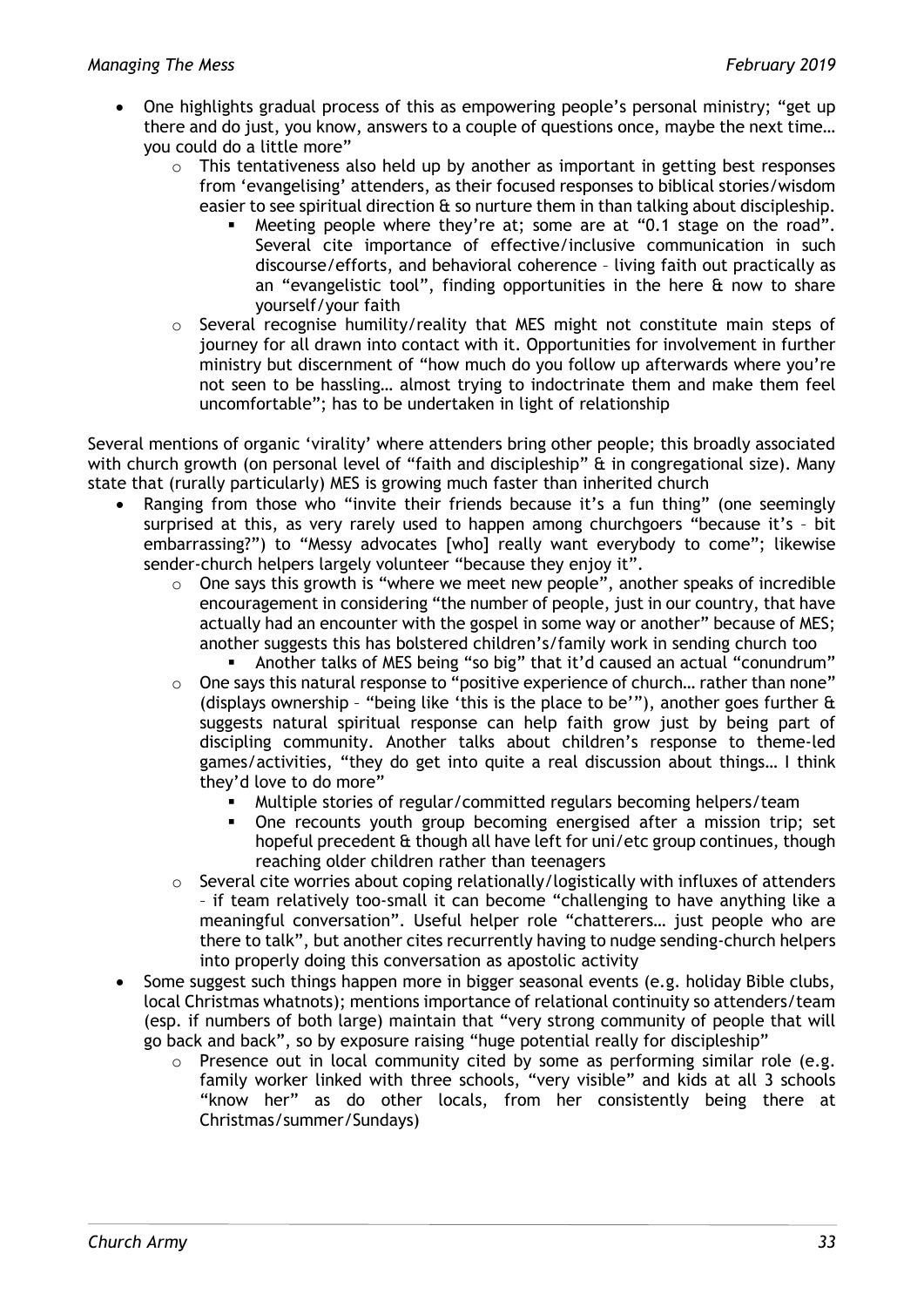- One highlights gradual process of this as empowering people's personal ministry; "get up there and do just, you know, answers to a couple of questions once, maybe the next time… you could do a little more"
	- $\circ$  This tentativeness also held up by another as important in getting best responses from 'evangelising' attenders, as their focused responses to biblical stories/wisdom easier to see spiritual direction  $\theta$  so nurture them in than talking about discipleship.
		- Meeting people where they're at; some are at "0.1 stage on the road". Several cite importance of effective/inclusive communication in such discourse/efforts, and behavioral coherence – living faith out practically as an "evangelistic tool", finding opportunities in the here & now to share yourself/your faith
	- o Several recognise humility/reality that MES might not constitute main steps of journey for all drawn into contact with it. Opportunities for involvement in further ministry but discernment of "how much do you follow up afterwards where you're not seen to be hassling… almost trying to indoctrinate them and make them feel uncomfortable"; has to be undertaken in light of relationship

Several mentions of organic 'virality' where attenders bring other people; this broadly associated with church growth (on personal level of "faith and discipleship" & in congregational size). Many state that (rurally particularly) MES is growing much faster than inherited church

- Ranging from those who "invite their friends because it's a fun thing" (one seemingly surprised at this, as very rarely used to happen among churchgoers "because it's – bit embarrassing?") to "Messy advocates [who] really want everybody to come"; likewise sender-church helpers largely volunteer "because they enjoy it".
	- o One says this growth is "where we meet new people", another speaks of incredible encouragement in considering "the number of people, just in our country, that have actually had an encounter with the gospel in some way or another" because of MES; another suggests this has bolstered children's/family work in sending church too
		- Another talks of MES being "so big" that it'd caused an actual "conundrum"
	- o One says this natural response to "positive experience of church… rather than none" (displays ownership – "being like 'this is the place to be'"), another goes further & suggests natural spiritual response can help faith grow just by being part of discipling community. Another talks about children's response to theme-led games/activities, "they do get into quite a real discussion about things… I think they'd love to do more"
		- Multiple stories of regular/committed regulars becoming helpers/team
		- One recounts youth group becoming energised after a mission trip; set hopeful precedent & though all have left for uni/etc group continues, though reaching older children rather than teenagers
	- o Several cite worries about coping relationally/logistically with influxes of attenders – if team relatively too-small it can become "challenging to have anything like a meaningful conversation". Useful helper role "chatterers… just people who are there to talk", but another cites recurrently having to nudge sending-church helpers into properly doing this conversation as apostolic activity
- Some suggest such things happen more in bigger seasonal events (e.g. holiday Bible clubs, local Christmas whatnots); mentions importance of relational continuity so attenders/team (esp. if numbers of both large) maintain that "very strong community of people that will go back and back", so by exposure raising "huge potential really for discipleship"
	- o Presence out in local community cited by some as performing similar role (e.g. family worker linked with three schools, "very visible" and kids at all 3 schools "know her" as do other locals, from her consistently being there at Christmas/summer/Sundays)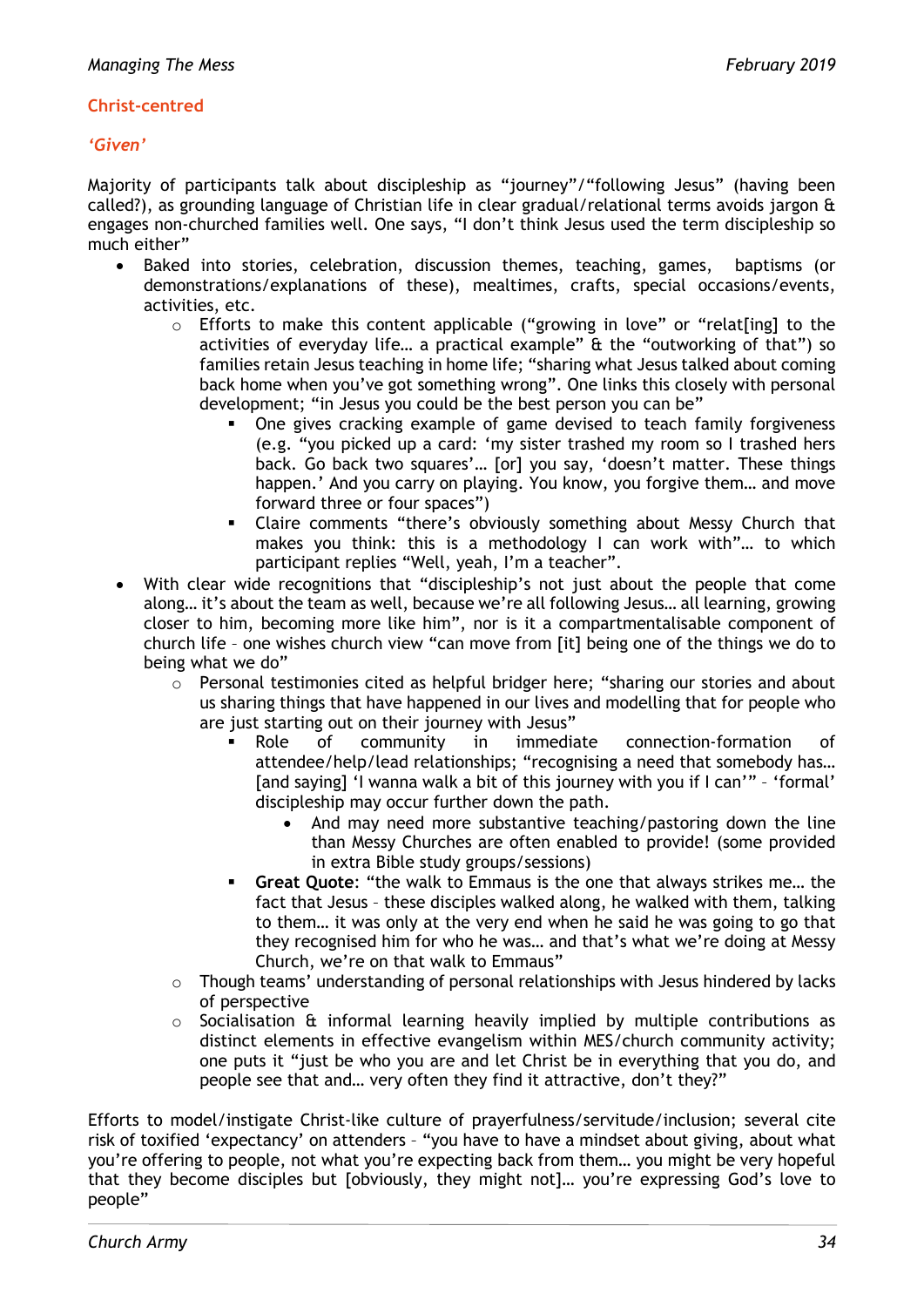#### **Christ-centred**

#### *'Given'*

Majority of participants talk about discipleship as "journey"/"following Jesus" (having been called?), as grounding language of Christian life in clear gradual/relational terms avoids jargon & engages non-churched families well. One says, "I don't think Jesus used the term discipleship so much either"

- Baked into stories, celebration, discussion themes, teaching, games, baptisms (or demonstrations/explanations of these), mealtimes, crafts, special occasions/events, activities, etc.
	- o Efforts to make this content applicable ("growing in love" or "relat[ing] to the activities of everyday life… a practical example" & the "outworking of that") so families retain Jesus teaching in home life; "sharing what Jesus talked about coming back home when you've got something wrong". One links this closely with personal development; "in Jesus you could be the best person you can be"
		- One gives cracking example of game devised to teach family forgiveness (e.g. "you picked up a card: 'my sister trashed my room so I trashed hers back. Go back two squares'… [or] you say, 'doesn't matter. These things happen.' And you carry on playing. You know, you forgive them… and move forward three or four spaces")
		- Claire comments "there's obviously something about Messy Church that makes you think: this is a methodology I can work with"… to which participant replies "Well, yeah, I'm a teacher".
- With clear wide recognitions that "discipleship's not just about the people that come along… it's about the team as well, because we're all following Jesus… all learning, growing closer to him, becoming more like him", nor is it a compartmentalisable component of church life – one wishes church view "can move from [it] being one of the things we do to being what we do"
	- o Personal testimonies cited as helpful bridger here; "sharing our stories and about us sharing things that have happened in our lives and modelling that for people who are just starting out on their journey with Jesus"
		- Role of community in immediate connection-formation of attendee/help/lead relationships; "recognising a need that somebody has… [and saying] 'I wanna walk a bit of this journey with you if I can'" - 'formal' discipleship may occur further down the path.
			- And may need more substantive teaching/pastoring down the line than Messy Churches are often enabled to provide! (some provided in extra Bible study groups/sessions)
		- **Great Quote**: "the walk to Emmaus is the one that always strikes me… the fact that Jesus – these disciples walked along, he walked with them, talking to them… it was only at the very end when he said he was going to go that they recognised him for who he was… and that's what we're doing at Messy Church, we're on that walk to Emmaus"
	- $\circ$  Though teams' understanding of personal relationships with Jesus hindered by lacks of perspective
	- o Socialisation & informal learning heavily implied by multiple contributions as distinct elements in effective evangelism within MES/church community activity; one puts it "just be who you are and let Christ be in everything that you do, and people see that and… very often they find it attractive, don't they?"

Efforts to model/instigate Christ-like culture of prayerfulness/servitude/inclusion; several cite risk of toxified 'expectancy' on attenders – "you have to have a mindset about giving, about what you're offering to people, not what you're expecting back from them… you might be very hopeful that they become disciples but [obviously, they might not]… you're expressing God's love to people"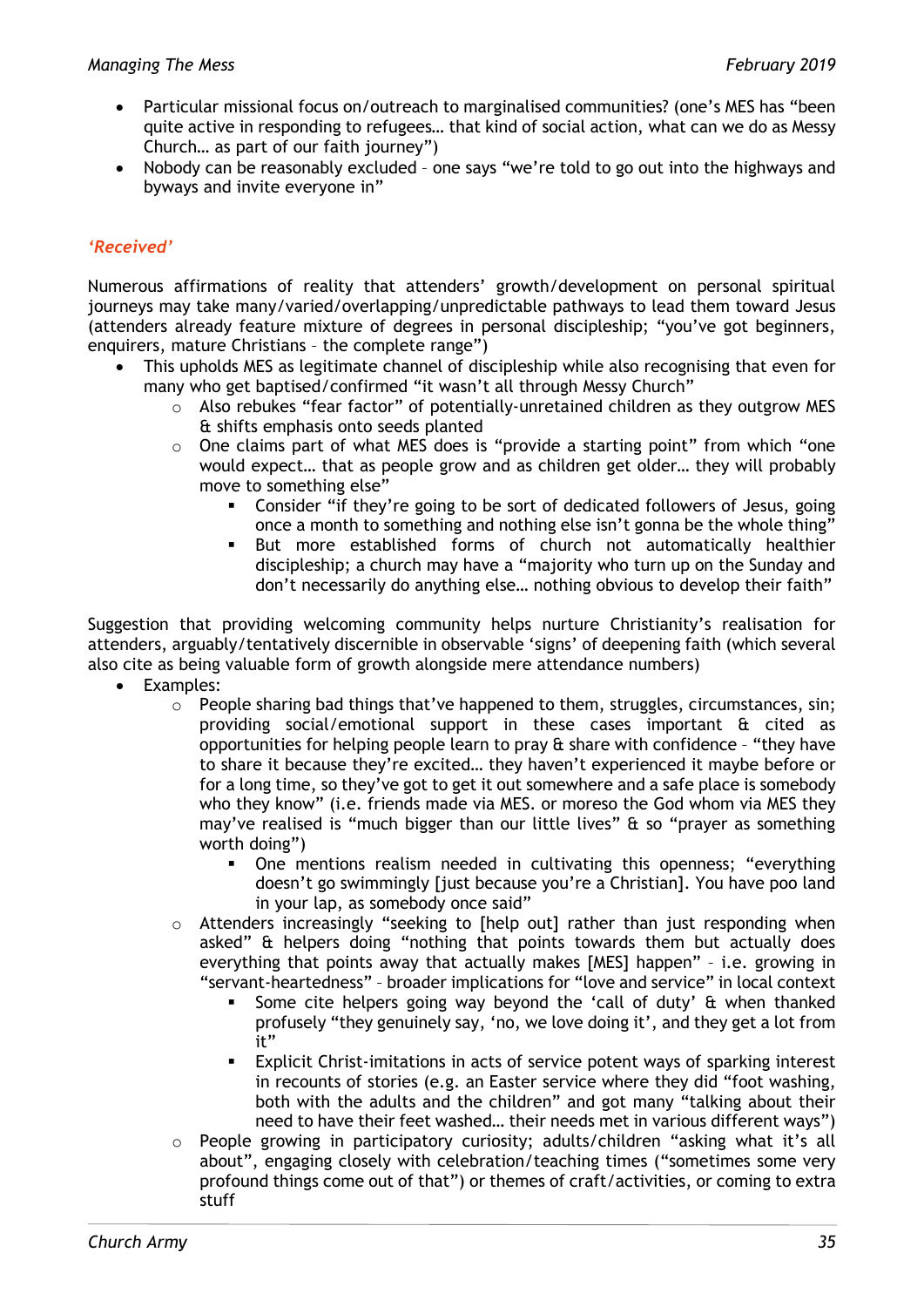- Particular missional focus on/outreach to marginalised communities? (one's MES has "been quite active in responding to refugees… that kind of social action, what can we do as Messy Church… as part of our faith journey")
- Nobody can be reasonably excluded one says "we're told to go out into the highways and byways and invite everyone in"

# *'Received'*

Numerous affirmations of reality that attenders' growth/development on personal spiritual journeys may take many/varied/overlapping/unpredictable pathways to lead them toward Jesus (attenders already feature mixture of degrees in personal discipleship; "you've got beginners, enquirers, mature Christians – the complete range")

- This upholds MES as legitimate channel of discipleship while also recognising that even for many who get baptised/confirmed "it wasn't all through Messy Church"
	- o Also rebukes "fear factor" of potentially-unretained children as they outgrow MES & shifts emphasis onto seeds planted
	- o One claims part of what MES does is "provide a starting point" from which "one would expect… that as people grow and as children get older… they will probably move to something else"
		- Consider "if they're going to be sort of dedicated followers of Jesus, going once a month to something and nothing else isn't gonna be the whole thing"
		- But more established forms of church not automatically healthier discipleship; a church may have a "majority who turn up on the Sunday and don't necessarily do anything else… nothing obvious to develop their faith"

Suggestion that providing welcoming community helps nurture Christianity's realisation for attenders, arguably/tentatively discernible in observable 'signs' of deepening faith (which several also cite as being valuable form of growth alongside mere attendance numbers)

- Examples:
	- $\circ$  People sharing bad things that've happened to them, struggles, circumstances, sin; providing social/emotional support in these cases important & cited as opportunities for helping people learn to pray  $\alpha$  share with confidence - "they have to share it because they're excited… they haven't experienced it maybe before or for a long time, so they've got to get it out somewhere and a safe place is somebody who they know" (i.e. friends made via MES. or moreso the God whom via MES they may've realised is "much bigger than our little lives"  $\theta$  so "prayer as something worth doing")
		- One mentions realism needed in cultivating this openness; "everything doesn't go swimmingly [just because you're a Christian]. You have poo land in your lap, as somebody once said"
	- o Attenders increasingly "seeking to [help out] rather than just responding when asked" & helpers doing "nothing that points towards them but actually does everything that points away that actually makes [MES] happen" – i.e. growing in "servant-heartedness" – broader implications for "love and service" in local context
		- Some cite helpers going way beyond the 'call of duty' & when thanked profusely "they genuinely say, 'no, we love doing it', and they get a lot from it"
		- Explicit Christ-imitations in acts of service potent ways of sparking interest in recounts of stories (e.g. an Easter service where they did "foot washing, both with the adults and the children" and got many "talking about their need to have their feet washed… their needs met in various different ways")
	- o People growing in participatory curiosity; adults/children "asking what it's all about", engaging closely with celebration/teaching times ("sometimes some very profound things come out of that") or themes of craft/activities, or coming to extra stuff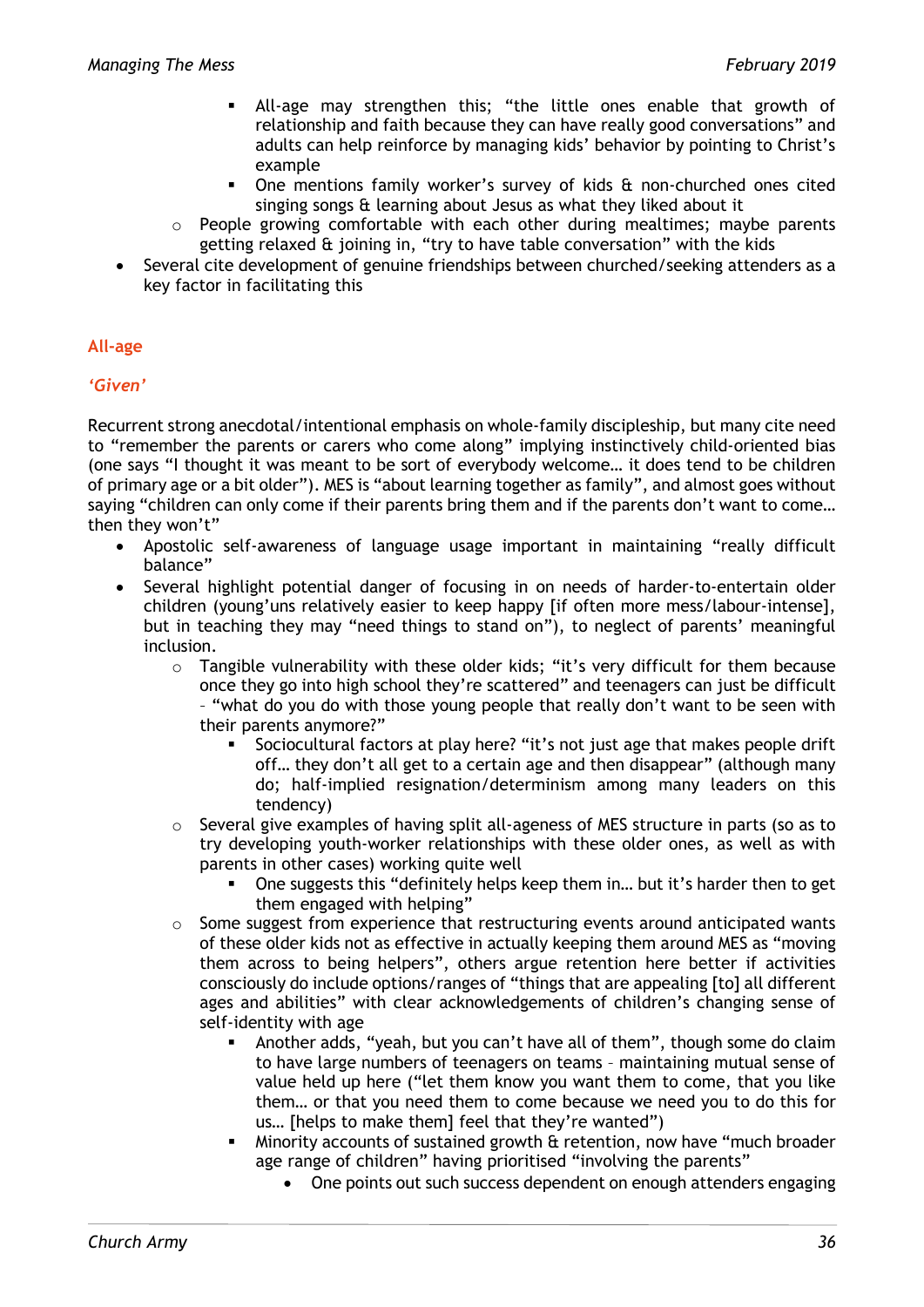- All-age may strengthen this; "the little ones enable that growth of relationship and faith because they can have really good conversations" and adults can help reinforce by managing kids' behavior by pointing to Christ's example
- One mentions family worker's survey of kids & non-churched ones cited singing songs & learning about Jesus as what they liked about it
- o People growing comfortable with each other during mealtimes; maybe parents getting relaxed & joining in, "try to have table conversation" with the kids
- Several cite development of genuine friendships between churched/seeking attenders as a key factor in facilitating this

# **All-age**

# *'Given'*

Recurrent strong anecdotal/intentional emphasis on whole-family discipleship, but many cite need to "remember the parents or carers who come along" implying instinctively child-oriented bias (one says "I thought it was meant to be sort of everybody welcome… it does tend to be children of primary age or a bit older"). MES is "about learning together as family", and almost goes without saying "children can only come if their parents bring them and if the parents don't want to come… then they won't"

- Apostolic self-awareness of language usage important in maintaining "really difficult balance"
- Several highlight potential danger of focusing in on needs of harder-to-entertain older children (young'uns relatively easier to keep happy [if often more mess/labour-intense], but in teaching they may "need things to stand on"), to neglect of parents' meaningful inclusion.
	- o Tangible vulnerability with these older kids; "it's very difficult for them because once they go into high school they're scattered" and teenagers can just be difficult – "what do you do with those young people that really don't want to be seen with their parents anymore?"
		- Sociocultural factors at play here? "it's not just age that makes people drift off… they don't all get to a certain age and then disappear" (although many do; half-implied resignation/determinism among many leaders on this tendency)
	- $\circ$  Several give examples of having split all-ageness of MES structure in parts (so as to try developing youth-worker relationships with these older ones, as well as with parents in other cases) working quite well
		- One suggests this "definitely helps keep them in… but it's harder then to get them engaged with helping"
	- $\circ$  Some suggest from experience that restructuring events around anticipated wants of these older kids not as effective in actually keeping them around MES as "moving them across to being helpers", others argue retention here better if activities consciously do include options/ranges of "things that are appealing [to] all different ages and abilities" with clear acknowledgements of children's changing sense of self-identity with age
		- Another adds, "yeah, but you can't have all of them", though some do claim to have large numbers of teenagers on teams – maintaining mutual sense of value held up here ("let them know you want them to come, that you like them… or that you need them to come because we need you to do this for us… [helps to make them] feel that they're wanted")
		- Minority accounts of sustained growth & retention, now have "much broader age range of children" having prioritised "involving the parents"
			- One points out such success dependent on enough attenders engaging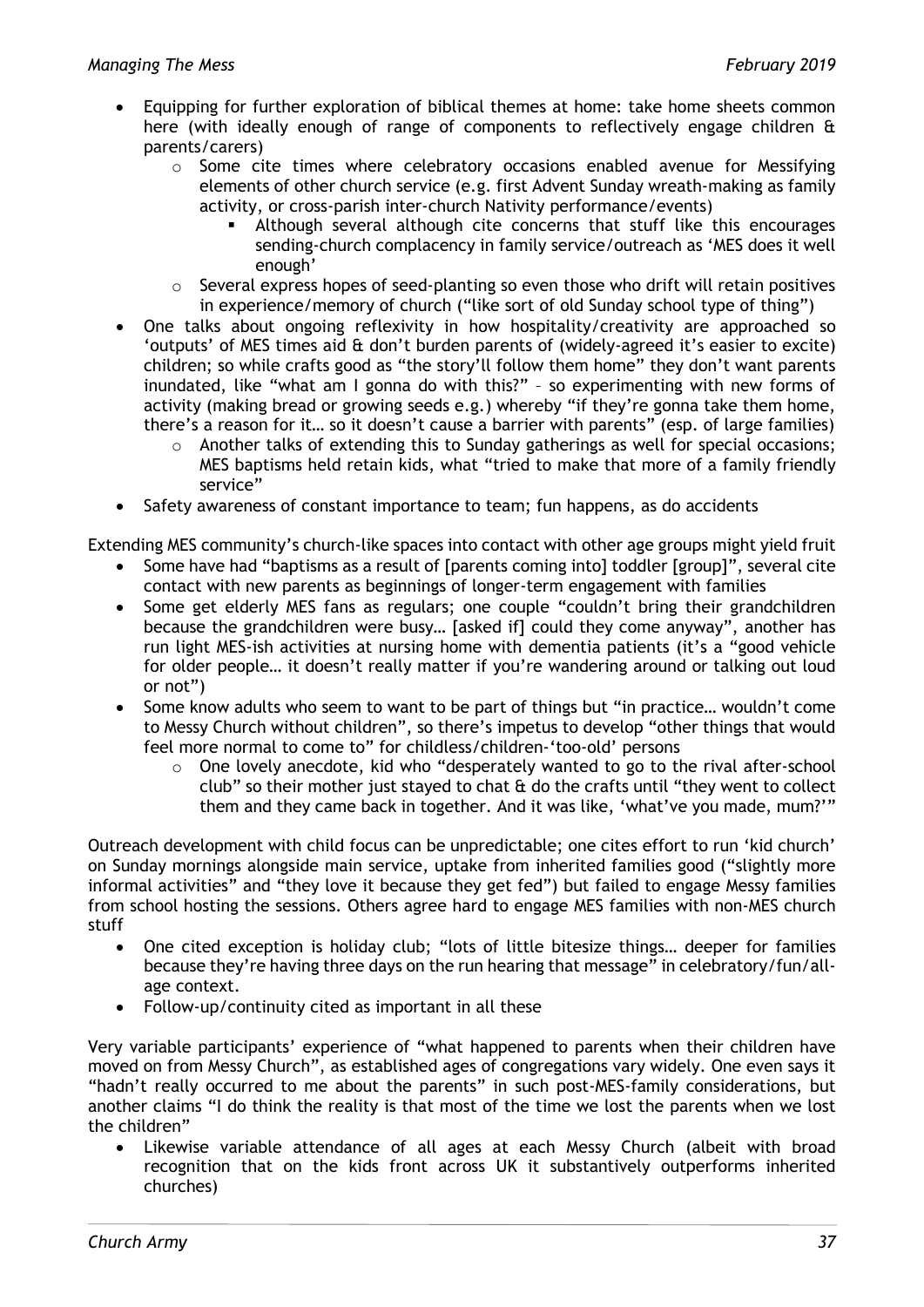- Equipping for further exploration of biblical themes at home: take home sheets common here (with ideally enough of range of components to reflectively engage children & parents/carers)
	- o Some cite times where celebratory occasions enabled avenue for Messifying elements of other church service (e.g. first Advent Sunday wreath-making as family activity, or cross-parish inter-church Nativity performance/events)
		- Although several although cite concerns that stuff like this encourages sending-church complacency in family service/outreach as 'MES does it well enough'
	- $\circ$  Several express hopes of seed-planting so even those who drift will retain positives in experience/memory of church ("like sort of old Sunday school type of thing")
- One talks about ongoing reflexivity in how hospitality/creativity are approached so 'outputs' of MES times aid & don't burden parents of (widely-agreed it's easier to excite) children; so while crafts good as "the story'll follow them home" they don't want parents inundated, like "what am I gonna do with this?" – so experimenting with new forms of activity (making bread or growing seeds e.g.) whereby "if they're gonna take them home, there's a reason for it… so it doesn't cause a barrier with parents" (esp. of large families)
	- $\circ$  Another talks of extending this to Sunday gatherings as well for special occasions; MES baptisms held retain kids, what "tried to make that more of a family friendly service"
- Safety awareness of constant importance to team; fun happens, as do accidents

Extending MES community's church-like spaces into contact with other age groups might yield fruit

- Some have had "baptisms as a result of [parents coming into] toddler [group]", several cite contact with new parents as beginnings of longer-term engagement with families
- Some get elderly MES fans as regulars; one couple "couldn't bring their grandchildren because the grandchildren were busy… [asked if] could they come anyway", another has run light MES-ish activities at nursing home with dementia patients (it's a "good vehicle for older people… it doesn't really matter if you're wandering around or talking out loud or not")
- Some know adults who seem to want to be part of things but "in practice… wouldn't come to Messy Church without children", so there's impetus to develop "other things that would feel more normal to come to" for childless/children-'too-old' persons
	- o One lovely anecdote, kid who "desperately wanted to go to the rival after-school club" so their mother just stayed to chat  $\hat{a}$  do the crafts until "they went to collect them and they came back in together. And it was like, 'what've you made, mum?'"

Outreach development with child focus can be unpredictable; one cites effort to run 'kid church' on Sunday mornings alongside main service, uptake from inherited families good ("slightly more informal activities" and "they love it because they get fed") but failed to engage Messy families from school hosting the sessions. Others agree hard to engage MES families with non-MES church stuff

- One cited exception is holiday club: "lots of little bitesize things... deeper for families because they're having three days on the run hearing that message" in celebratory/fun/allage context.
- Follow-up/continuity cited as important in all these

Very variable participants' experience of "what happened to parents when their children have moved on from Messy Church", as established ages of congregations vary widely. One even says it "hadn't really occurred to me about the parents" in such post-MES-family considerations, but another claims "I do think the reality is that most of the time we lost the parents when we lost the children"

• Likewise variable attendance of all ages at each Messy Church (albeit with broad recognition that on the kids front across UK it substantively outperforms inherited churches)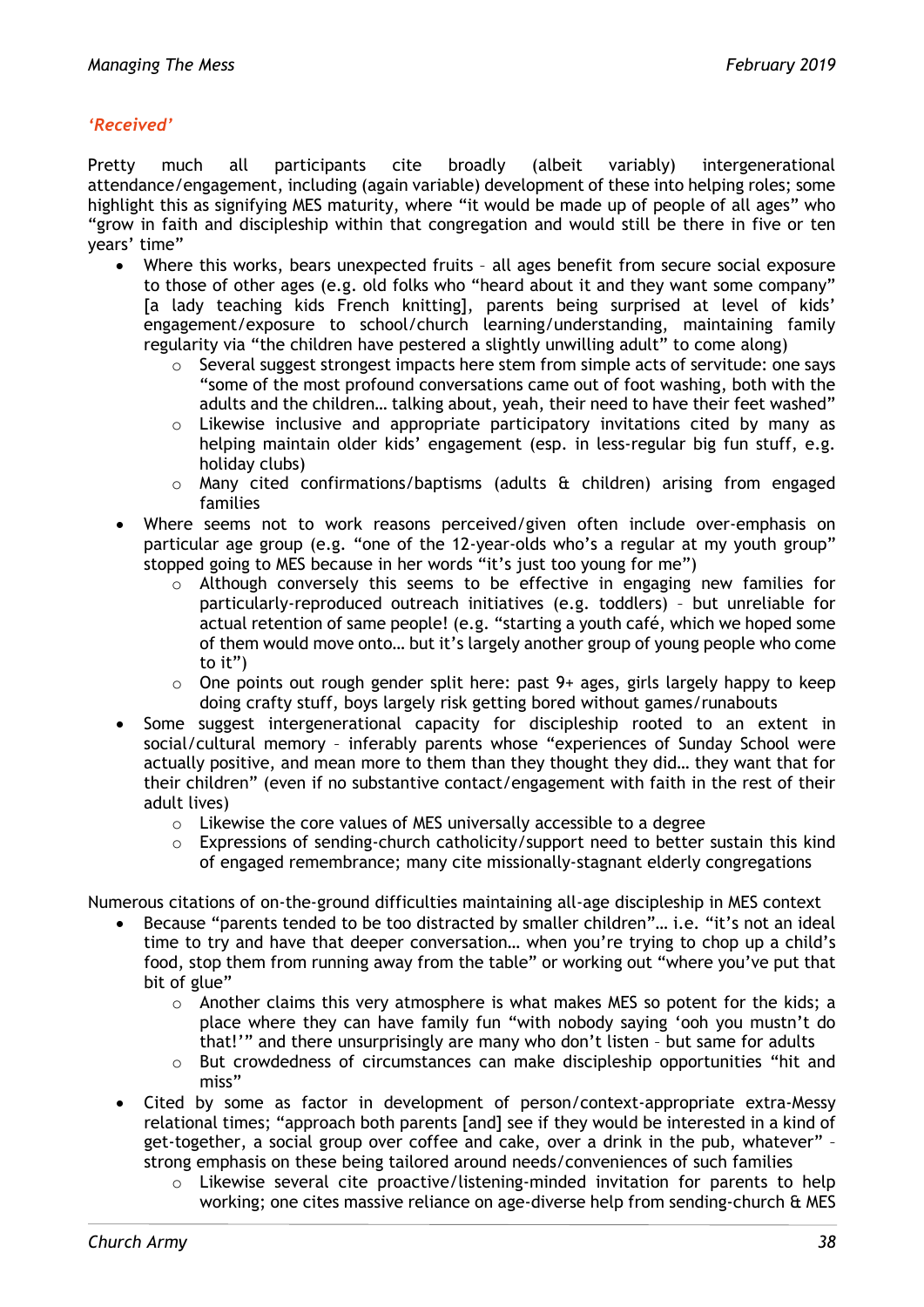#### *'Received'*

Pretty much all participants cite broadly (albeit variably) intergenerational attendance/engagement, including (again variable) development of these into helping roles; some highlight this as signifying MES maturity, where "it would be made up of people of all ages" who "grow in faith and discipleship within that congregation and would still be there in five or ten years' time"

- Where this works, bears unexpected fruits all ages benefit from secure social exposure to those of other ages (e.g. old folks who "heard about it and they want some company" [a lady teaching kids French knitting], parents being surprised at level of kids' engagement/exposure to school/church learning/understanding, maintaining family regularity via "the children have pestered a slightly unwilling adult" to come along)
	- o Several suggest strongest impacts here stem from simple acts of servitude: one says "some of the most profound conversations came out of foot washing, both with the adults and the children… talking about, yeah, their need to have their feet washed"
	- o Likewise inclusive and appropriate participatory invitations cited by many as helping maintain older kids' engagement (esp. in less-regular big fun stuff, e.g. holiday clubs)
	- $\circ$  Many cited confirmations/baptisms (adults & children) arising from engaged families
- Where seems not to work reasons perceived/given often include over-emphasis on particular age group (e.g. "one of the 12-year-olds who's a regular at my youth group" stopped going to MES because in her words "it's just too young for me")
	- o Although conversely this seems to be effective in engaging new families for particularly-reproduced outreach initiatives (e.g. toddlers) – but unreliable for actual retention of same people! (e.g. "starting a youth café, which we hoped some of them would move onto… but it's largely another group of young people who come to it")
	- $\circ$  One points out rough gender split here: past 9+ ages, girls largely happy to keep doing crafty stuff, boys largely risk getting bored without games/runabouts
- Some suggest intergenerational capacity for discipleship rooted to an extent in social/cultural memory – inferably parents whose "experiences of Sunday School were actually positive, and mean more to them than they thought they did… they want that for their children" (even if no substantive contact/engagement with faith in the rest of their adult lives)
	- o Likewise the core values of MES universally accessible to a degree
	- o Expressions of sending-church catholicity/support need to better sustain this kind of engaged remembrance; many cite missionally-stagnant elderly congregations

Numerous citations of on-the-ground difficulties maintaining all-age discipleship in MES context

- Because "parents tended to be too distracted by smaller children"... *i.e.* "it's not an ideal time to try and have that deeper conversation… when you're trying to chop up a child's food, stop them from running away from the table" or working out "where you've put that bit of glue"
	- $\circ$  Another claims this very atmosphere is what makes MES so potent for the kids; a place where they can have family fun "with nobody saying 'ooh you mustn't do that!'" and there unsurprisingly are many who don't listen – but same for adults
	- $\circ$  But crowdedness of circumstances can make discipleship opportunities "hit and miss"
- Cited by some as factor in development of person/context-appropriate extra-Messy relational times; "approach both parents [and] see if they would be interested in a kind of get-together, a social group over coffee and cake, over a drink in the pub, whatever" – strong emphasis on these being tailored around needs/conveniences of such families
	- o Likewise several cite proactive/listening-minded invitation for parents to help working; one cites massive reliance on age-diverse help from sending-church & MES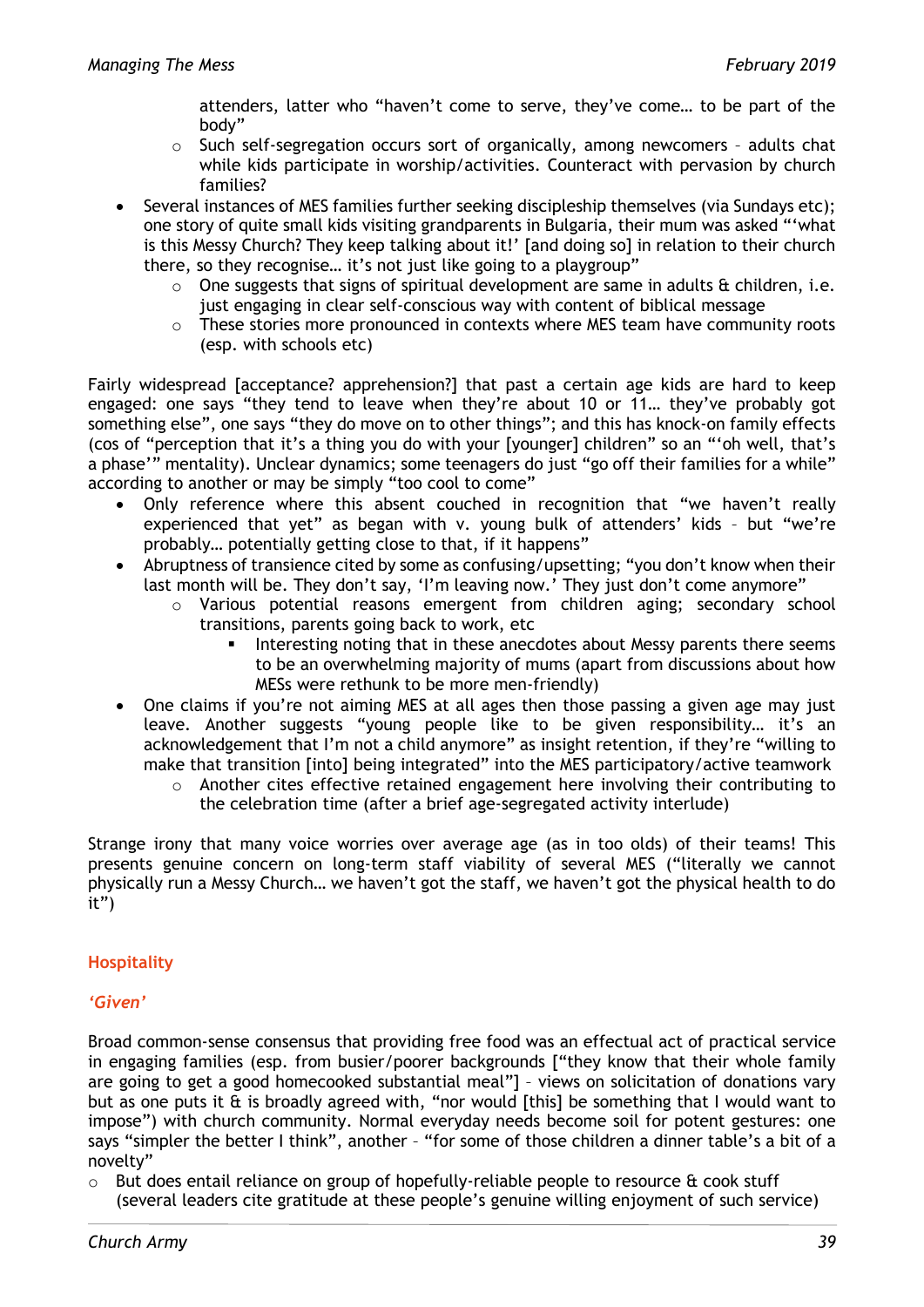attenders, latter who "haven't come to serve, they've come… to be part of the body"

- o Such self-segregation occurs sort of organically, among newcomers adults chat while kids participate in worship/activities. Counteract with pervasion by church families?
- Several instances of MES families further seeking discipleship themselves (via Sundays etc); one story of quite small kids visiting grandparents in Bulgaria, their mum was asked "'what is this Messy Church? They keep talking about it!' [and doing so] in relation to their church there, so they recognise… it's not just like going to a playgroup"
	- $\circ$  One suggests that signs of spiritual development are same in adults & children, i.e. just engaging in clear self-conscious way with content of biblical message
	- o These stories more pronounced in contexts where MES team have community roots (esp. with schools etc)

Fairly widespread [acceptance? apprehension?] that past a certain age kids are hard to keep engaged: one says "they tend to leave when they're about 10 or 11… they've probably got something else", one says "they do move on to other things"; and this has knock-on family effects (cos of "perception that it's a thing you do with your [younger] children" so an "'oh well, that's a phase'" mentality). Unclear dynamics; some teenagers do just "go off their families for a while" according to another or may be simply "too cool to come"

- Only reference where this absent couched in recognition that "we haven't really experienced that yet" as began with v. young bulk of attenders' kids – but "we're probably… potentially getting close to that, if it happens"
- Abruptness of transience cited by some as confusing/upsetting; "you don't know when their last month will be. They don't say, 'I'm leaving now.' They just don't come anymore"
	- o Various potential reasons emergent from children aging; secondary school transitions, parents going back to work, etc
		- Interesting noting that in these anecdotes about Messy parents there seems to be an overwhelming majority of mums (apart from discussions about how MESs were rethunk to be more men-friendly)
- One claims if you're not aiming MES at all ages then those passing a given age may just leave. Another suggests "young people like to be given responsibility… it's an acknowledgement that I'm not a child anymore" as insight retention, if they're "willing to make that transition [into] being integrated" into the MES participatory/active teamwork
	- $\circ$  Another cites effective retained engagement here involving their contributing to the celebration time (after a brief age-segregated activity interlude)

Strange irony that many voice worries over average age (as in too olds) of their teams! This presents genuine concern on long-term staff viability of several MES ("literally we cannot physically run a Messy Church… we haven't got the staff, we haven't got the physical health to do it")

# **Hospitality**

# *'Given'*

Broad common-sense consensus that providing free food was an effectual act of practical service in engaging families (esp. from busier/poorer backgrounds ["they know that their whole family are going to get a good homecooked substantial meal"] – views on solicitation of donations vary but as one puts it & is broadly agreed with, "nor would [this] be something that I would want to impose") with church community. Normal everyday needs become soil for potent gestures: one says "simpler the better I think", another - "for some of those children a dinner table's a bit of a novelty"

o But does entail reliance on group of hopefully-reliable people to resource & cook stuff (several leaders cite gratitude at these people's genuine willing enjoyment of such service)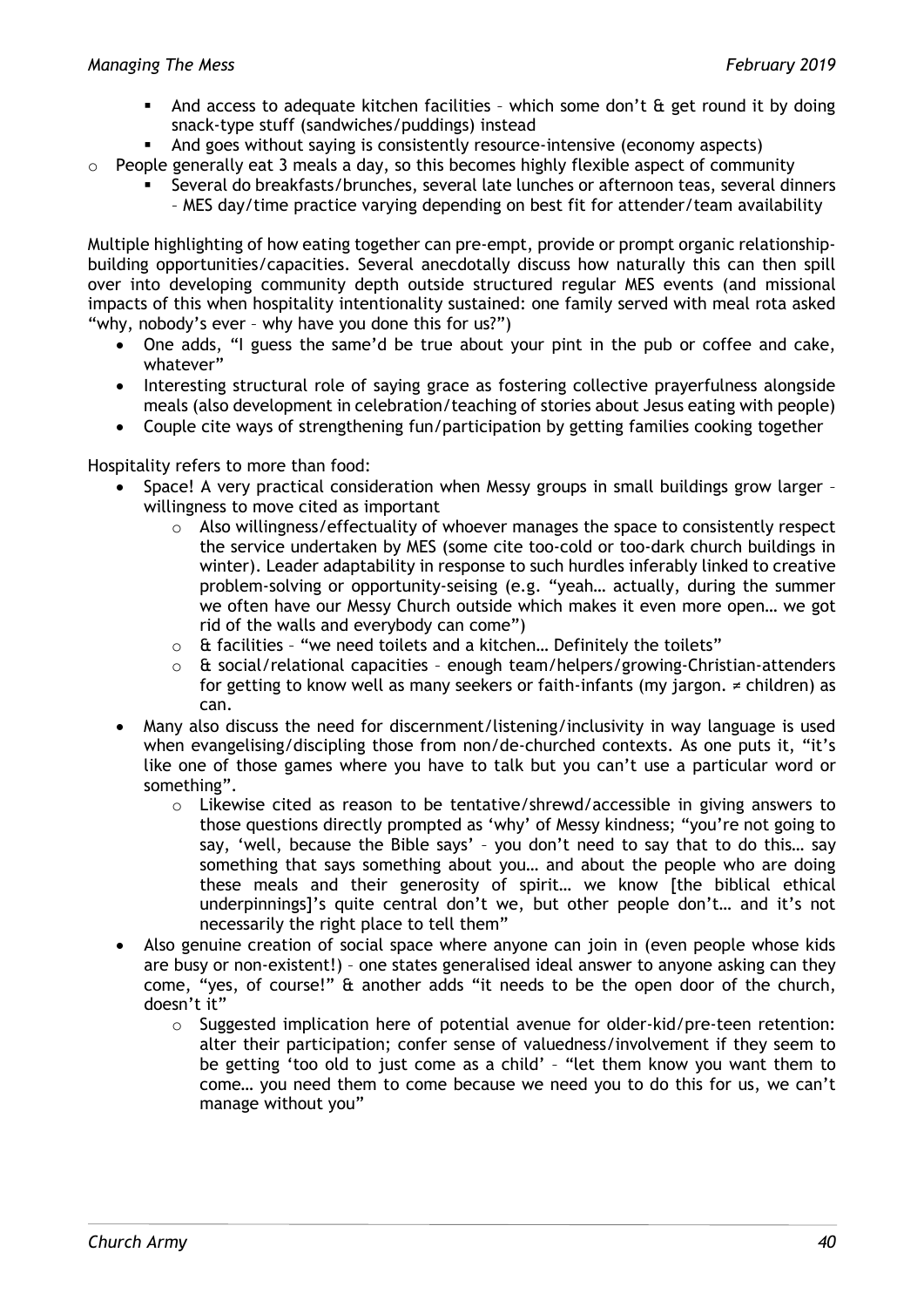- And access to adequate kitchen facilities which some don't & get round it by doing snack-type stuff (sandwiches/puddings) instead
- And goes without saying is consistently resource-intensive (economy aspects)
- $\circ$  People generally eat 3 meals a day, so this becomes highly flexible aspect of community
	- Several do breakfasts/brunches, several late lunches or afternoon teas, several dinners – MES day/time practice varying depending on best fit for attender/team availability

Multiple highlighting of how eating together can pre-empt, provide or prompt organic relationshipbuilding opportunities/capacities. Several anecdotally discuss how naturally this can then spill over into developing community depth outside structured regular MES events (and missional impacts of this when hospitality intentionality sustained: one family served with meal rota asked "why, nobody's ever – why have you done this for us?")

- One adds, "I guess the same'd be true about your pint in the pub or coffee and cake, whatever"
- Interesting structural role of saying grace as fostering collective prayerfulness alongside meals (also development in celebration/teaching of stories about Jesus eating with people)
- Couple cite ways of strengthening fun/participation by getting families cooking together

Hospitality refers to more than food:

- Space! A very practical consideration when Messy groups in small buildings grow larger willingness to move cited as important
	- $\circ$  Also willingness/effectuality of whoever manages the space to consistently respect the service undertaken by MES (some cite too-cold or too-dark church buildings in winter). Leader adaptability in response to such hurdles inferably linked to creative problem-solving or opportunity-seising (e.g. "yeah… actually, during the summer we often have our Messy Church outside which makes it even more open… we got rid of the walls and everybody can come")
	- o & facilities "we need toilets and a kitchen… Definitely the toilets"
	- $\circ$  & social/relational capacities enough team/helpers/growing-Christian-attenders for getting to know well as many seekers or faith-infants (my jargon. ≠ children) as can.
- Many also discuss the need for discernment/listening/inclusivity in way language is used when evangelising/discipling those from non/de-churched contexts. As one puts it, "it's like one of those games where you have to talk but you can't use a particular word or something".
	- $\circ$  Likewise cited as reason to be tentative/shrewd/accessible in giving answers to those questions directly prompted as 'why' of Messy kindness; "you're not going to say, 'well, because the Bible says' – you don't need to say that to do this… say something that says something about you… and about the people who are doing these meals and their generosity of spirit… we know [the biblical ethical underpinnings]'s quite central don't we, but other people don't… and it's not necessarily the right place to tell them"
- Also genuine creation of social space where anyone can join in (even people whose kids are busy or non-existent!) – one states generalised ideal answer to anyone asking can they come, "yes, of course!" & another adds "it needs to be the open door of the church, doesn't it"
	- $\circ$  Suggested implication here of potential avenue for older-kid/pre-teen retention: alter their participation; confer sense of valuedness/involvement if they seem to be getting 'too old to just come as a child' – "let them know you want them to come… you need them to come because we need you to do this for us, we can't manage without you"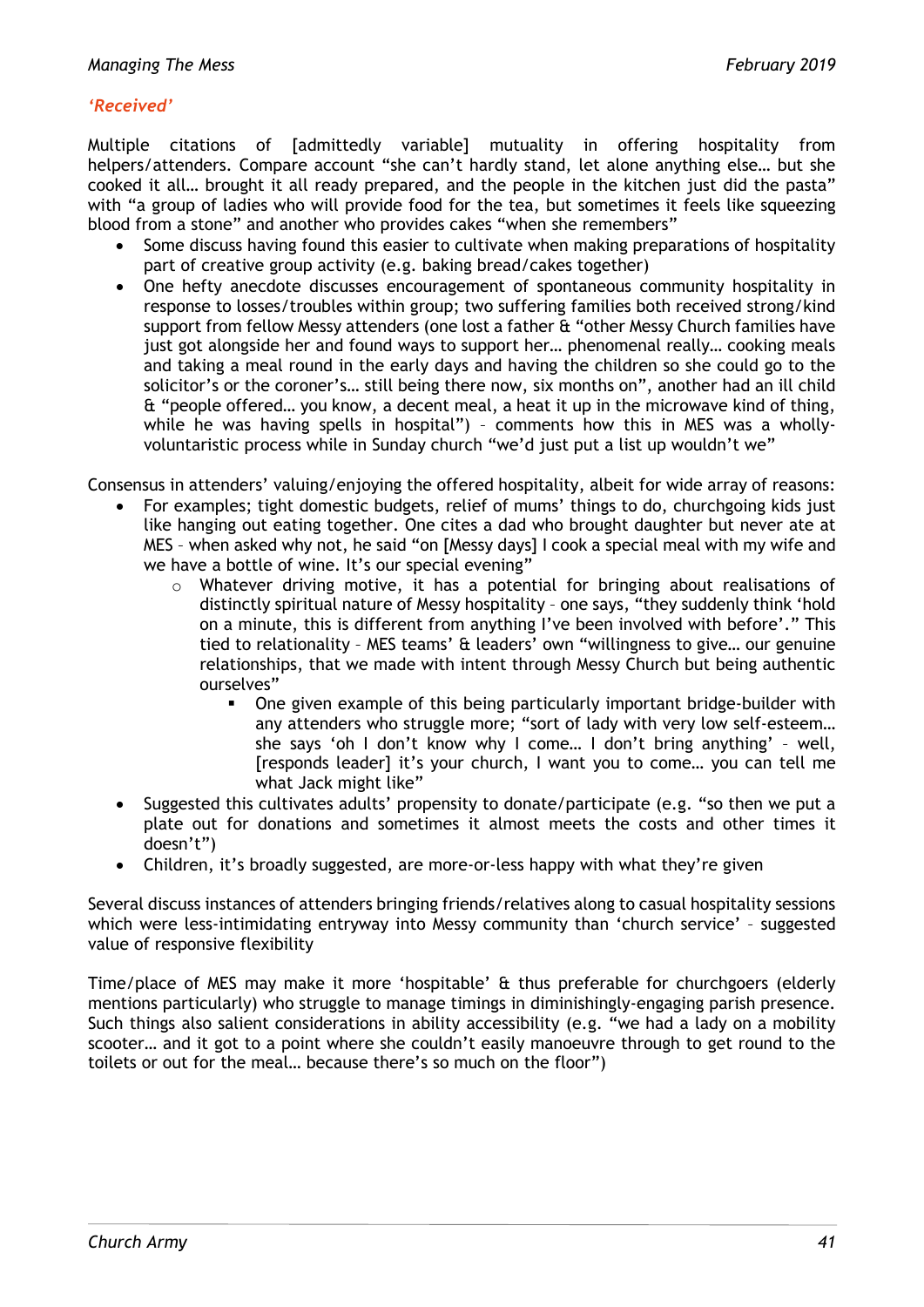# *'Received'*

Multiple citations of [admittedly variable] mutuality in offering hospitality from helpers/attenders. Compare account "she can't hardly stand, let alone anything else… but she cooked it all… brought it all ready prepared, and the people in the kitchen just did the pasta" with "a group of ladies who will provide food for the tea, but sometimes it feels like squeezing blood from a stone" and another who provides cakes "when she remembers"

- Some discuss having found this easier to cultivate when making preparations of hospitality part of creative group activity (e.g. baking bread/cakes together)
- One hefty anecdote discusses encouragement of spontaneous community hospitality in response to losses/troubles within group; two suffering families both received strong/kind support from fellow Messy attenders (one lost a father & "other Messy Church families have just got alongside her and found ways to support her… phenomenal really… cooking meals and taking a meal round in the early days and having the children so she could go to the solicitor's or the coroner's… still being there now, six months on", another had an ill child & "people offered… you know, a decent meal, a heat it up in the microwave kind of thing, while he was having spells in hospital") – comments how this in MES was a whollyvoluntaristic process while in Sunday church "we'd just put a list up wouldn't we"

Consensus in attenders' valuing/enjoying the offered hospitality, albeit for wide array of reasons:

- For examples; tight domestic budgets, relief of mums' things to do, churchgoing kids just like hanging out eating together. One cites a dad who brought daughter but never ate at MES – when asked why not, he said "on [Messy days] I cook a special meal with my wife and we have a bottle of wine. It's our special evening"
	- o Whatever driving motive, it has a potential for bringing about realisations of distinctly spiritual nature of Messy hospitality – one says, "they suddenly think 'hold on a minute, this is different from anything I've been involved with before'." This tied to relationality – MES teams' & leaders' own "willingness to give… our genuine relationships, that we made with intent through Messy Church but being authentic ourselves"
		- One given example of this being particularly important bridge-builder with any attenders who struggle more; "sort of lady with very low self-esteem… she says 'oh I don't know why I come… I don't bring anything' – well, [responds leader] it's your church, I want you to come… you can tell me what Jack might like"
- Suggested this cultivates adults' propensity to donate/participate (e.g. "so then we put a plate out for donations and sometimes it almost meets the costs and other times it doesn't")
- Children, it's broadly suggested, are more-or-less happy with what they're given

Several discuss instances of attenders bringing friends/relatives along to casual hospitality sessions which were less-intimidating entryway into Messy community than 'church service' – suggested value of responsive flexibility

Time/place of MES may make it more 'hospitable' & thus preferable for churchgoers (elderly mentions particularly) who struggle to manage timings in diminishingly-engaging parish presence. Such things also salient considerations in ability accessibility (e.g. "we had a lady on a mobility scooter… and it got to a point where she couldn't easily manoeuvre through to get round to the toilets or out for the meal… because there's so much on the floor")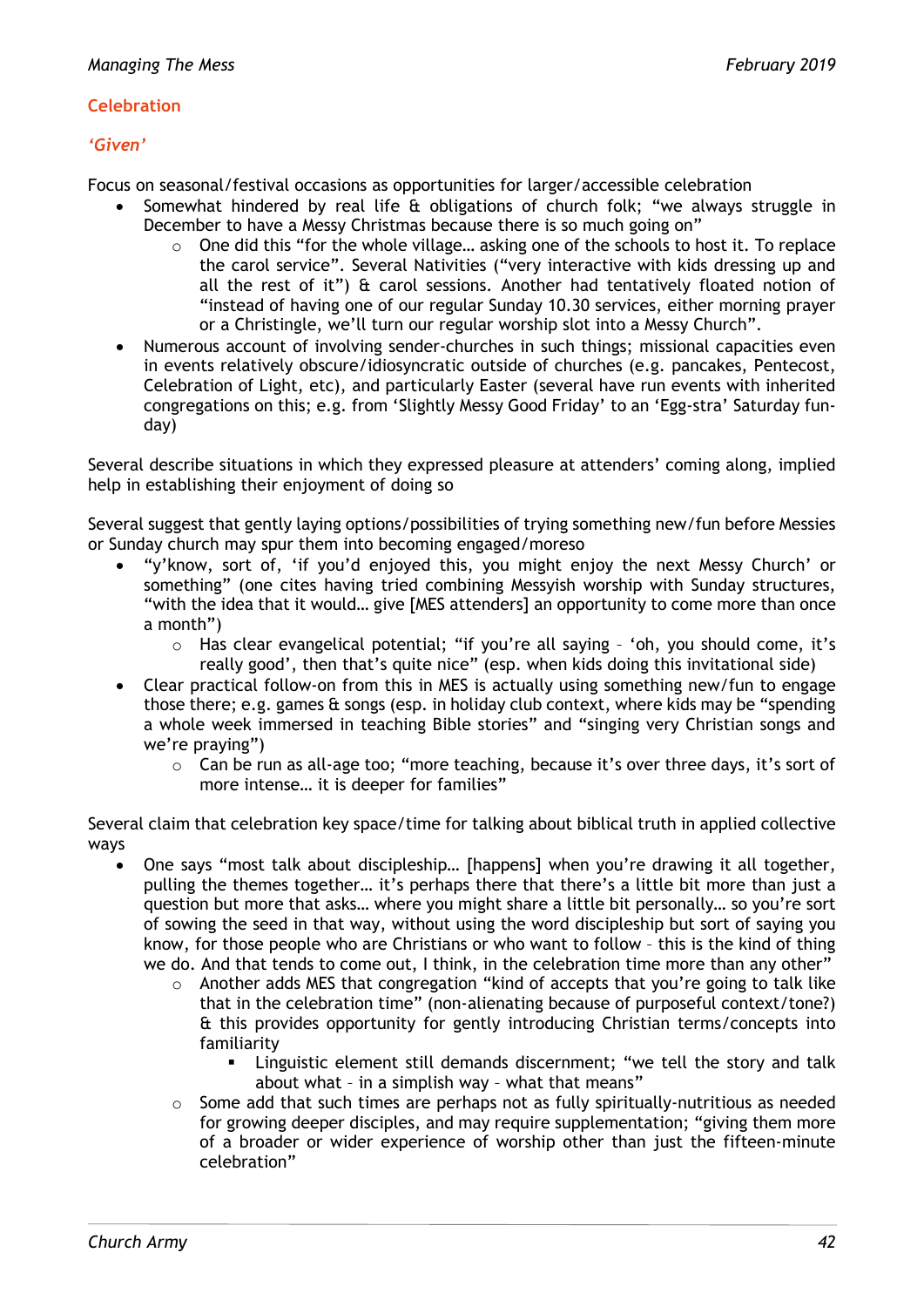#### **Celebration**

#### *'Given'*

Focus on seasonal/festival occasions as opportunities for larger/accessible celebration

- Somewhat hindered by real life & obligations of church folk; "we always struggle in December to have a Messy Christmas because there is so much going on"
	- o One did this "for the whole village… asking one of the schools to host it. To replace the carol service". Several Nativities ("very interactive with kids dressing up and all the rest of it") & carol sessions. Another had tentatively floated notion of "instead of having one of our regular Sunday 10.30 services, either morning prayer or a Christingle, we'll turn our regular worship slot into a Messy Church".
- Numerous account of involving sender-churches in such things; missional capacities even in events relatively obscure/idiosyncratic outside of churches (e.g. pancakes, Pentecost, Celebration of Light, etc), and particularly Easter (several have run events with inherited congregations on this; e.g. from 'Slightly Messy Good Friday' to an 'Egg-stra' Saturday funday)

Several describe situations in which they expressed pleasure at attenders' coming along, implied help in establishing their enjoyment of doing so

Several suggest that gently laying options/possibilities of trying something new/fun before Messies or Sunday church may spur them into becoming engaged/moreso

- "y'know, sort of, 'if you'd enjoyed this, you might enjoy the next Messy Church' or something" (one cites having tried combining Messyish worship with Sunday structures, "with the idea that it would… give [MES attenders] an opportunity to come more than once a month")
	- o Has clear evangelical potential; "if you're all saying 'oh, you should come, it's really good', then that's quite nice" (esp. when kids doing this invitational side)
- Clear practical follow-on from this in MES is actually using something new/fun to engage those there; e.g. games & songs (esp. in holiday club context, where kids may be "spending a whole week immersed in teaching Bible stories" and "singing very Christian songs and we're praying")
	- $\circ$  Can be run as all-age too; "more teaching, because it's over three days, it's sort of more intense… it is deeper for families"

Several claim that celebration key space/time for talking about biblical truth in applied collective ways

- One says "most talk about discipleship… [happens] when you're drawing it all together, pulling the themes together… it's perhaps there that there's a little bit more than just a question but more that asks… where you might share a little bit personally… so you're sort of sowing the seed in that way, without using the word discipleship but sort of saying you know, for those people who are Christians or who want to follow – this is the kind of thing we do. And that tends to come out, I think, in the celebration time more than any other"
	- o Another adds MES that congregation "kind of accepts that you're going to talk like that in the celebration time" (non-alienating because of purposeful context/tone?) & this provides opportunity for gently introducing Christian terms/concepts into familiarity
		- Linguistic element still demands discernment; "we tell the story and talk about what – in a simplish way – what that means"
	- $\circ$  Some add that such times are perhaps not as fully spiritually-nutritious as needed for growing deeper disciples, and may require supplementation; "giving them more of a broader or wider experience of worship other than just the fifteen-minute celebration"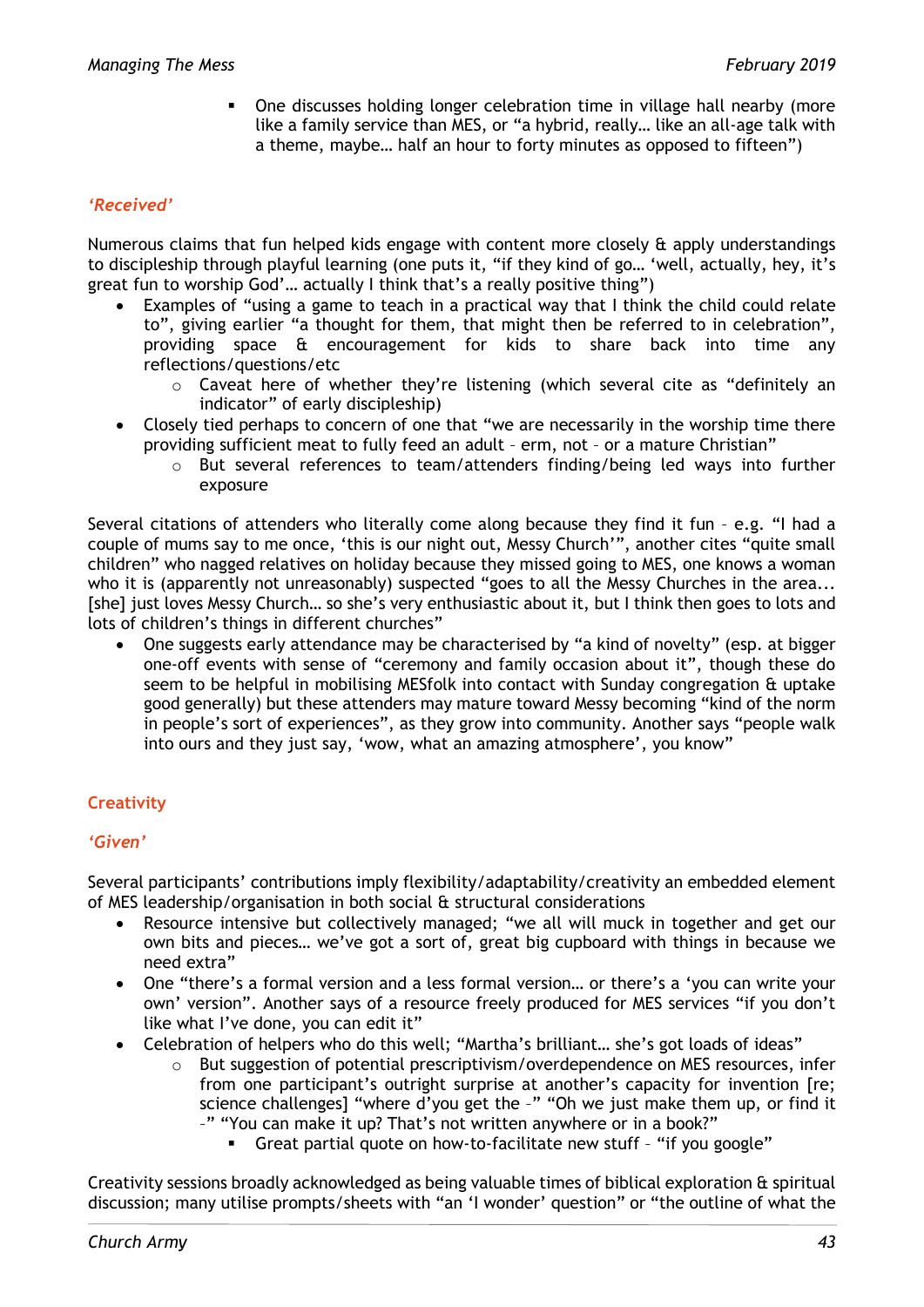One discusses holding longer celebration time in village hall nearby (more like a family service than MES, or "a hybrid, really… like an all-age talk with a theme, maybe… half an hour to forty minutes as opposed to fifteen")

#### *'Received'*

Numerous claims that fun helped kids engage with content more closely & apply understandings to discipleship through playful learning (one puts it, "if they kind of go… 'well, actually, hey, it's great fun to worship God'… actually I think that's a really positive thing")

- Examples of "using a game to teach in a practical way that I think the child could relate to", giving earlier "a thought for them, that might then be referred to in celebration", providing space & encouragement for kids to share back into time any reflections/questions/etc
	- o Caveat here of whether they're listening (which several cite as "definitely an indicator" of early discipleship)
- Closely tied perhaps to concern of one that "we are necessarily in the worship time there providing sufficient meat to fully feed an adult – erm, not – or a mature Christian"
	- $\circ$  But several references to team/attenders finding/being led ways into further exposure

Several citations of attenders who literally come along because they find it fun – e.g. "I had a couple of mums say to me once, 'this is our night out, Messy Church'", another cites "quite small children" who nagged relatives on holiday because they missed going to MES, one knows a woman who it is (apparently not unreasonably) suspected "goes to all the Messy Churches in the area... [she] just loves Messy Church... so she's very enthusiastic about it, but I think then goes to lots and lots of children's things in different churches"

• One suggests early attendance may be characterised by "a kind of novelty" (esp. at bigger one-off events with sense of "ceremony and family occasion about it", though these do seem to be helpful in mobilising MESfolk into contact with Sunday congregation & uptake good generally) but these attenders may mature toward Messy becoming "kind of the norm in people's sort of experiences", as they grow into community. Another says "people walk into ours and they just say, 'wow, what an amazing atmosphere', you know"

# **Creativity**

#### *'Given'*

Several participants' contributions imply flexibility/adaptability/creativity an embedded element of MES leadership/organisation in both social & structural considerations

- Resource intensive but collectively managed; "we all will muck in together and get our own bits and pieces… we've got a sort of, great big cupboard with things in because we need extra"
- One "there's a formal version and a less formal version… or there's a 'you can write your own' version". Another says of a resource freely produced for MES services "if you don't like what I've done, you can edit it"
- Celebration of helpers who do this well; "Martha's brilliant… she's got loads of ideas"
	- $\circ$  But suggestion of potential prescriptivism/overdependence on MES resources, infer from one participant's outright surprise at another's capacity for invention [re; science challenges] "where d'you get the -" "Oh we just make them up, or find it –" "You can make it up? That's not written anywhere or in a book?"
		- Great partial quote on how-to-facilitate new stuff "if you google"

Creativity sessions broadly acknowledged as being valuable times of biblical exploration & spiritual discussion; many utilise prompts/sheets with "an 'I wonder' question" or "the outline of what the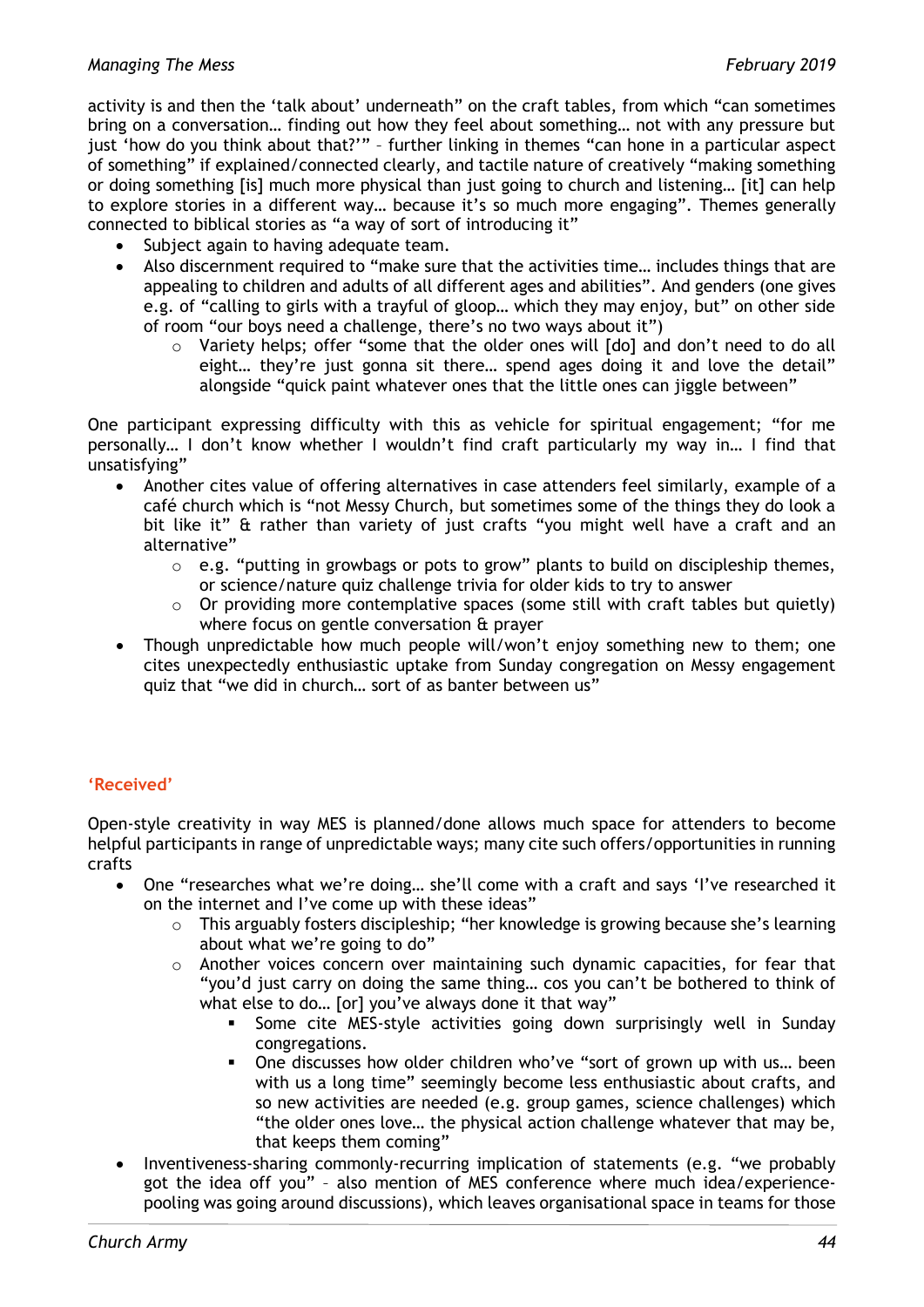activity is and then the 'talk about' underneath" on the craft tables, from which "can sometimes bring on a conversation… finding out how they feel about something… not with any pressure but just 'how do you think about that?'" – further linking in themes "can hone in a particular aspect of something" if explained/connected clearly, and tactile nature of creatively "making something or doing something [is] much more physical than just going to church and listening… [it] can help to explore stories in a different way… because it's so much more engaging". Themes generally connected to biblical stories as "a way of sort of introducing it"

- Subject again to having adequate team.
- Also discernment required to "make sure that the activities time… includes things that are appealing to children and adults of all different ages and abilities". And genders (one gives e.g. of "calling to girls with a trayful of gloop… which they may enjoy, but" on other side of room "our boys need a challenge, there's no two ways about it")
	- o Variety helps; offer "some that the older ones will [do] and don't need to do all eight... they're just gonna sit there... spend ages doing it and love the detail" alongside "quick paint whatever ones that the little ones can jiggle between"

One participant expressing difficulty with this as vehicle for spiritual engagement; "for me personally… I don't know whether I wouldn't find craft particularly my way in… I find that unsatisfying"

- Another cites value of offering alternatives in case attenders feel similarly, example of a café church which is "not Messy Church, but sometimes some of the things they do look a bit like it" & rather than variety of just crafts "you might well have a craft and an alternative"
	- o e.g. "putting in growbags or pots to grow" plants to build on discipleship themes, or science/nature quiz challenge trivia for older kids to try to answer
	- Or providing more contemplative spaces (some still with craft tables but quietly) where focus on gentle conversation & prayer
- Though unpredictable how much people will/won't enjoy something new to them; one cites unexpectedly enthusiastic uptake from Sunday congregation on Messy engagement quiz that "we did in church… sort of as banter between us"

# **'Received'**

Open-style creativity in way MES is planned/done allows much space for attenders to become helpful participants in range of unpredictable ways; many cite such offers/opportunities in running crafts

- One "researches what we're doing… she'll come with a craft and says 'I've researched it on the internet and I've come up with these ideas"
	- o This arguably fosters discipleship; "her knowledge is growing because she's learning about what we're going to do"
	- o Another voices concern over maintaining such dynamic capacities, for fear that "you'd just carry on doing the same thing… cos you can't be bothered to think of what else to do… [or] you've always done it that way"
		- Some cite MES-style activities going down surprisingly well in Sunday congregations.
		- One discusses how older children who've "sort of grown up with us… been with us a long time" seemingly become less enthusiastic about crafts, and so new activities are needed (e.g. group games, science challenges) which "the older ones love… the physical action challenge whatever that may be, that keeps them coming"
- Inventiveness-sharing commonly-recurring implication of statements (e.g. "we probably got the idea off you" – also mention of MES conference where much idea/experiencepooling was going around discussions), which leaves organisational space in teams for those